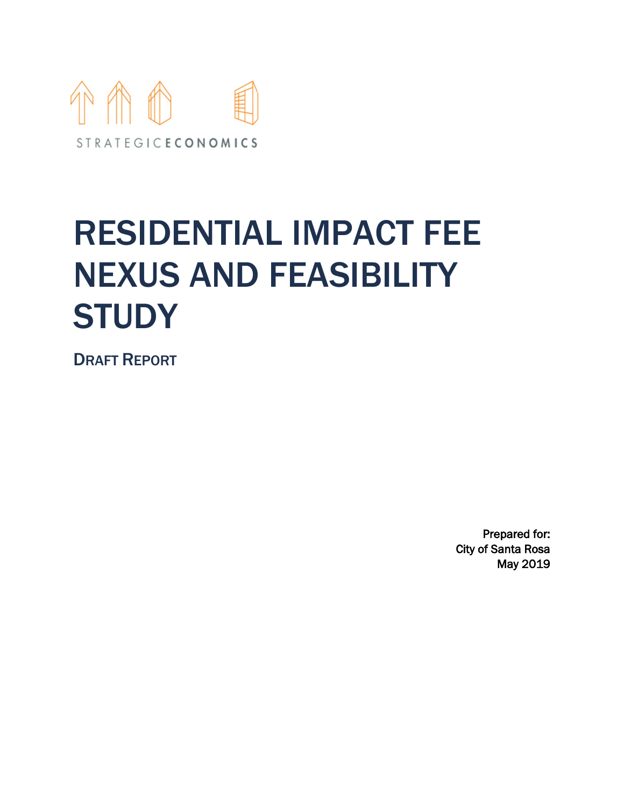

# RESIDENTIAL IMPACT FEE NEXUS AND FEASIBILITY **STUDY**

DRAFT REPORT

Prepared for: City of Santa Rosa May 2019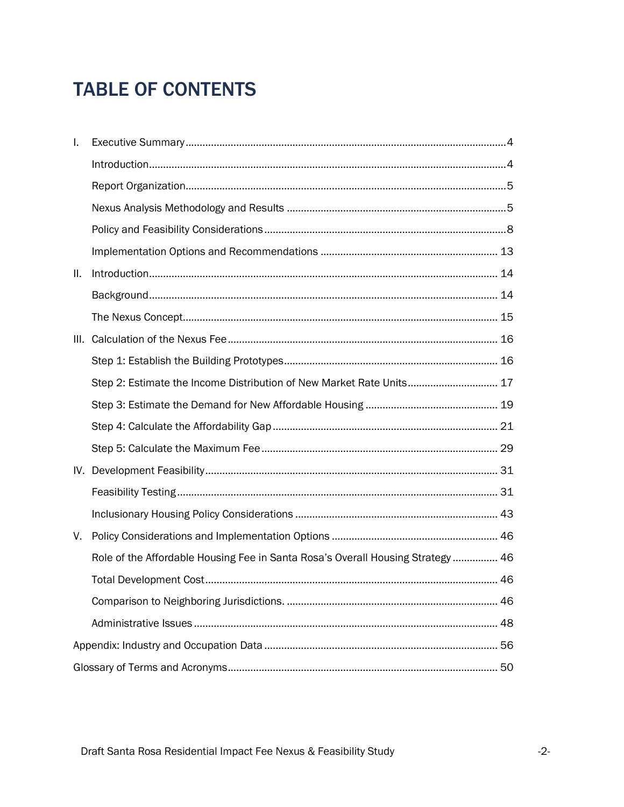# **TABLE OF CONTENTS**

| L. |                                                                                 |  |
|----|---------------------------------------------------------------------------------|--|
|    |                                                                                 |  |
|    |                                                                                 |  |
|    |                                                                                 |  |
|    |                                                                                 |  |
|    |                                                                                 |  |
| Ш. |                                                                                 |  |
|    |                                                                                 |  |
|    |                                                                                 |  |
|    |                                                                                 |  |
|    |                                                                                 |  |
|    | Step 2: Estimate the Income Distribution of New Market Rate Units 17            |  |
|    |                                                                                 |  |
|    |                                                                                 |  |
|    |                                                                                 |  |
|    |                                                                                 |  |
|    |                                                                                 |  |
|    |                                                                                 |  |
| V. |                                                                                 |  |
|    | Role of the Affordable Housing Fee in Santa Rosa's Overall Housing Strategy  46 |  |
|    |                                                                                 |  |
|    |                                                                                 |  |
|    |                                                                                 |  |
|    |                                                                                 |  |
|    |                                                                                 |  |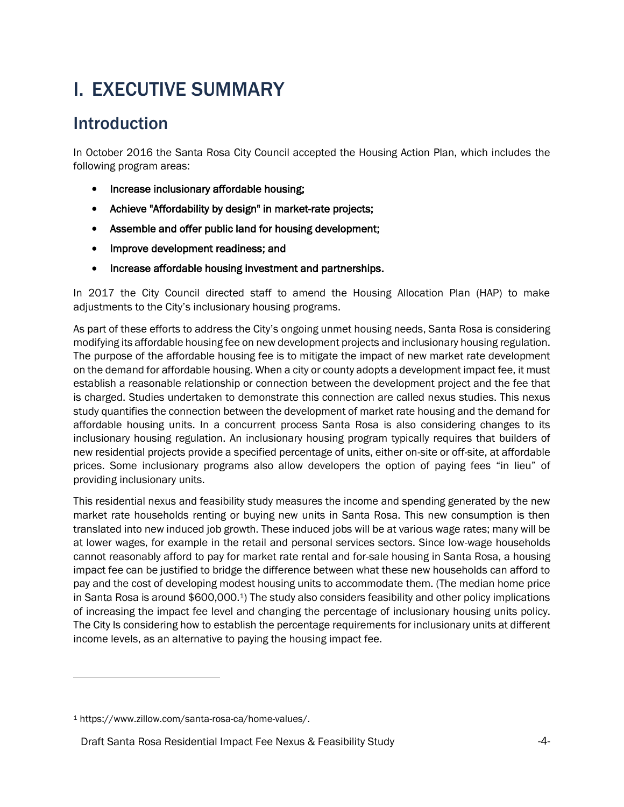# <span id="page-3-0"></span>I. EXECUTIVE SUMMARY

### <span id="page-3-1"></span>**Introduction**

In October 2016 the Santa Rosa City Council accepted the Housing Action Plan, which includes the following program areas:

- Increase inclusionary affordable housing;
- Achieve "Affordability by design" in market-rate projects;
- Assemble and offer public land for housing development;
- Improve development readiness; and
- Increase affordable housing investment and partnerships.

In 2017 the City Council directed staff to amend the Housing Allocation Plan (HAP) to make adjustments to the City's inclusionary housing programs.

As part of these efforts to address the City's ongoing unmet housing needs, Santa Rosa is considering modifying its affordable housing fee on new development projects and inclusionary housing regulation. The purpose of the affordable housing fee is to mitigate the impact of new market rate development on the demand for affordable housing. When a city or county adopts a development impact fee, it must establish a reasonable relationship or connection between the development project and the fee that is charged. Studies undertaken to demonstrate this connection are called nexus studies. This nexus study quantifies the connection between the development of market rate housing and the demand for affordable housing units. In a concurrent process Santa Rosa is also considering changes to its inclusionary housing regulation. An inclusionary housing program typically requires that builders of new residential projects provide a specified percentage of units, either on-site or off-site, at affordable prices. Some inclusionary programs also allow developers the option of paying fees "in lieu" of providing inclusionary units.

This residential nexus and feasibility study measures the income and spending generated by the new market rate households renting or buying new units in Santa Rosa. This new consumption is then translated into new induced job growth. These induced jobs will be at various wage rates; many will be at lower wages, for example in the retail and personal services sectors. Since low-wage households cannot reasonably afford to pay for market rate rental and for-sale housing in Santa Rosa, a housing impact fee can be justified to bridge the difference between what these new households can afford to pay and the cost of developing modest housing units to accommodate them. (The median home price in Santa Rosa is around \$600,000.1) The study also considers feasibility and other policy implications of increasing the impact fee level and changing the percentage of inclusionary housing units policy. The City Is considering how to establish the percentage requirements for inclusionary units at different income levels, as an alternative to paying the housing impact fee.

<sup>1</sup> https://www.zillow.com/santa-rosa-ca/home-values/.

Draft Santa Rosa Residential Impact Fee Nexus & Feasibility Study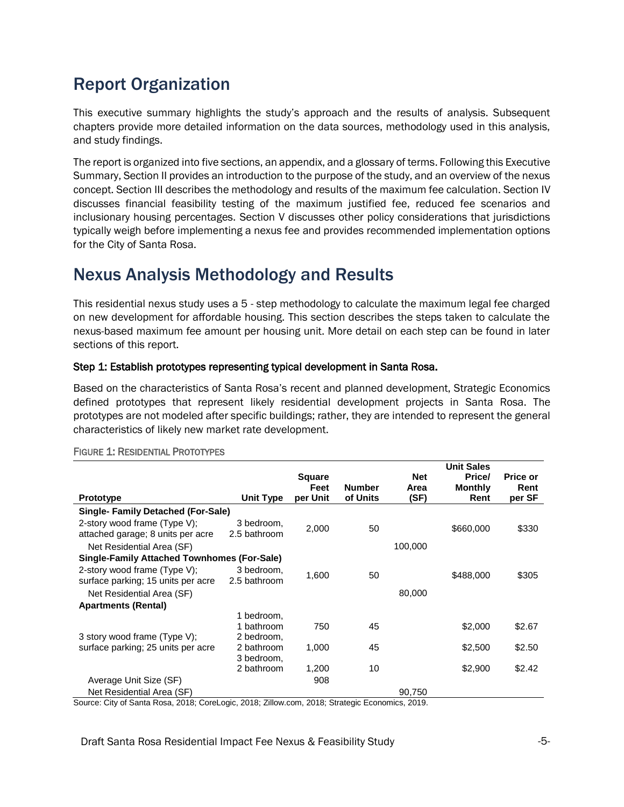### <span id="page-4-0"></span>Report Organization

This executive summary highlights the study's approach and the results of analysis. Subsequent chapters provide more detailed information on the data sources, methodology used in this analysis, and study findings.

The report is organized into five sections, an appendix, and a glossary of terms. Following this Executive Summary, Section II provides an introduction to the purpose of the study, and an overview of the nexus concept. Section III describes the methodology and results of the maximum fee calculation. Section IV discusses financial feasibility testing of the maximum justified fee, reduced fee scenarios and inclusionary housing percentages. Section V discusses other policy considerations that jurisdictions typically weigh before implementing a nexus fee and provides recommended implementation options for the City of Santa Rosa.

### <span id="page-4-1"></span>Nexus Analysis Methodology and Results

This residential nexus study uses a 5 - step methodology to calculate the maximum legal fee charged on new development for affordable housing. This section describes the steps taken to calculate the nexus-based maximum fee amount per housing unit. More detail on each step can be found in later sections of this report.

#### Step 1: Establish prototypes representing typical development in Santa Rosa.

Based on the characteristics of Santa Rosa's recent and planned development, Strategic Economics defined prototypes that represent likely residential development projects in Santa Rosa. The prototypes are not modeled after specific buildings; rather, they are intended to represent the general characteristics of likely new market rate development.

|                                                                    |                            | <b>Square</b>    |                           | <b>Net</b>   | <b>Unit Sales</b><br>Price/ | <b>Price or</b> |
|--------------------------------------------------------------------|----------------------------|------------------|---------------------------|--------------|-----------------------------|-----------------|
| Prototype                                                          | Unit Type                  | Feet<br>per Unit | <b>Number</b><br>of Units | Area<br>(SF) | <b>Monthly</b><br>Rent      | Rent<br>per SF  |
| <b>Single-Family Detached (For-Sale)</b>                           |                            |                  |                           |              |                             |                 |
| 2-story wood frame (Type V);<br>attached garage; 8 units per acre  | 3 bedroom,<br>2.5 bathroom | 2,000            | 50                        |              | \$660,000                   | \$330           |
| Net Residential Area (SF)                                          |                            |                  |                           | 100,000      |                             |                 |
| <b>Single-Family Attached Townhomes (For-Sale)</b>                 |                            |                  |                           |              |                             |                 |
| 2-story wood frame (Type V);<br>surface parking; 15 units per acre | 3 bedroom,<br>2.5 bathroom | 1,600            | 50                        |              | \$488,000                   | \$305           |
| Net Residential Area (SF)                                          |                            |                  |                           | 80,000       |                             |                 |
| <b>Apartments (Rental)</b>                                         |                            |                  |                           |              |                             |                 |
|                                                                    | 1 bedroom.                 |                  |                           |              |                             |                 |
|                                                                    | 1 bathroom                 | 750              | 45                        |              | \$2,000                     | \$2.67          |
| 3 story wood frame (Type V);                                       | 2 bedroom,                 |                  |                           |              |                             |                 |
| surface parking; 25 units per acre                                 | 2 bathroom                 | 1,000            | 45                        |              | \$2,500                     | \$2.50          |
|                                                                    | 3 bedroom,                 |                  |                           |              |                             |                 |
|                                                                    | 2 bathroom                 | 1,200            | 10                        |              | \$2,900                     | \$2.42          |
| Average Unit Size (SF)                                             |                            | 908              |                           |              |                             |                 |
| Net Residential Area (SF)                                          |                            |                  |                           | 90,750       |                             |                 |

#### FIGURE 1: RESIDENTIAL PROTOTYPES

Source: City of Santa Rosa, 2018; CoreLogic, 2018; Zillow.com, 2018; Strategic Economics, 2019.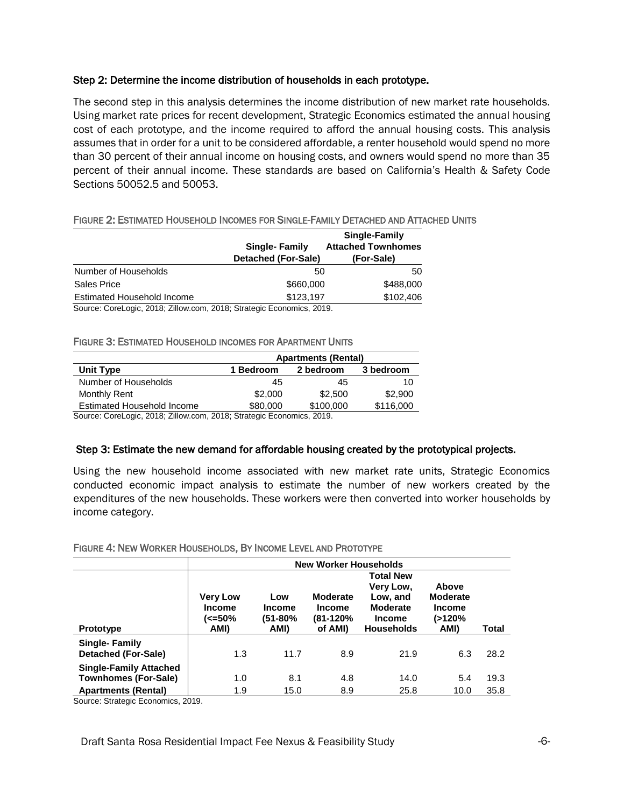#### Step 2: Determine the income distribution of households in each prototype.

The second step in this analysis determines the income distribution of new market rate households. Using market rate prices for recent development, Strategic Economics estimated the annual housing cost of each prototype, and the income required to afford the annual housing costs. This analysis assumes that in order for a unit to be considered affordable, a renter household would spend no more than 30 percent of their annual income on housing costs, and owners would spend no more than 35 percent of their annual income. These standards are based on California's Health & Safety Code Sections 50052.5 and 50053.

#### FIGURE 2: ESTIMATED HOUSEHOLD INCOMES FOR SINGLE-FAMILY DETACHED AND ATTACHED UNITS

|                            | <b>Single-Family</b><br>Detached (For-Sale) | Single-Family<br><b>Attached Townhomes</b><br>(For-Sale) |
|----------------------------|---------------------------------------------|----------------------------------------------------------|
| Number of Households       | 50                                          | 50                                                       |
| Sales Price                | \$660,000                                   | \$488,000                                                |
| Estimated Household Income | \$123.197                                   | \$102,406                                                |
|                            |                                             |                                                          |

Source: CoreLogic, 2018; Zillow.com, 2018; Strategic Economics, 2019.

#### FIGURE 3: ESTIMATED HOUSEHOLD INCOMES FOR APARTMENT UNITS

|                                                                       | <b>Apartments (Rental)</b> |           |           |  |  |  |  |
|-----------------------------------------------------------------------|----------------------------|-----------|-----------|--|--|--|--|
| Unit Type                                                             | 1 Bedroom                  | 2 bedroom | 3 bedroom |  |  |  |  |
| Number of Households                                                  | 45                         | 45        | 10        |  |  |  |  |
| Monthly Rent                                                          | \$2,000                    | \$2,500   | \$2,900   |  |  |  |  |
| <b>Estimated Household Income</b>                                     | \$80,000                   | \$100,000 | \$116,000 |  |  |  |  |
| Course Carol agis, 2010; 7:llow som, 2010; Ctrategia Essenanica, 2010 |                            |           |           |  |  |  |  |

Source: CoreLogic, 2018; Zillow.com, 2018; Strategic Economics, 2019.

#### Step 3: Estimate the new demand for affordable housing created by the prototypical projects.

Using the new household income associated with new market rate units, Strategic Economics conducted economic impact analysis to estimate the number of new workers created by the expenditures of the new households. These workers were then converted into worker households by income category.

|                                                                                            | <b>New Worker Households</b>                       |                                                                                                                                                                                                                                                                                       |            |              |             |              |  |
|--------------------------------------------------------------------------------------------|----------------------------------------------------|---------------------------------------------------------------------------------------------------------------------------------------------------------------------------------------------------------------------------------------------------------------------------------------|------------|--------------|-------------|--------------|--|
| <b>Prototype</b>                                                                           | <b>Very Low</b><br><b>Income</b><br>(<=50%<br>AMI) | <b>Total New</b><br>Very Low,<br>Above<br><b>Moderate</b><br><b>Moderate</b><br>Low, and<br>Low<br><b>Moderate</b><br><b>Income</b><br><b>Income</b><br><b>Income</b><br>$(81 - 120\%$<br>(>120%<br>(51-80%<br><b>Income</b><br><b>Households</b><br>AMI)<br>AMI)<br>of AMI)<br>Total |            |              |             |              |  |
| <b>Single-Family</b><br>Detached (For-Sale)                                                | 1.3                                                | 11.7                                                                                                                                                                                                                                                                                  | 8.9        | 21.9         | 6.3         | 28.2         |  |
| <b>Single-Family Attached</b><br><b>Townhomes (For-Sale)</b><br><b>Apartments (Rental)</b> | 1.0<br>1.9                                         | 8.1<br>15.0                                                                                                                                                                                                                                                                           | 4.8<br>8.9 | 14.0<br>25.8 | 5.4<br>10.0 | 19.3<br>35.8 |  |

#### FIGURE 4: NEW WORKER HOUSEHOLDS, BY INCOME LEVEL AND PROTOTYPE

Source: Strategic Economics, 2019.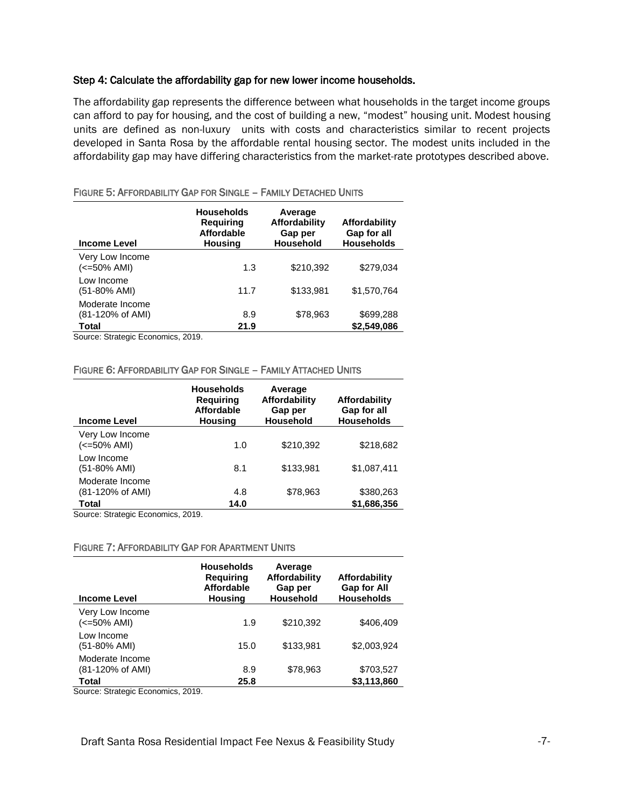#### Step 4: Calculate the affordability gap for new lower income households.

The affordability gap represents the difference between what households in the target income groups can afford to pay for housing, and the cost of building a new, "modest" housing unit. Modest housing units are defined as non-luxury units with costs and characteristics similar to recent projects developed in Santa Rosa by the affordable rental housing sector. The modest units included in the affordability gap may have differing characteristics from the market-rate prototypes described above.

| <b>Income Level</b>                 | <b>Households</b><br><b>Requiring</b><br><b>Affordable</b><br>Housing | Average<br>Affordability<br>Gap per<br><b>Household</b> | Affordability<br>Gap for all<br><b>Households</b> |
|-------------------------------------|-----------------------------------------------------------------------|---------------------------------------------------------|---------------------------------------------------|
| Very Low Income<br>(<=50% AMI)      | 1.3                                                                   | \$210,392                                               | \$279,034                                         |
| Low Income<br>(51-80% AMI)          | 11.7                                                                  | \$133,981                                               | \$1,570,764                                       |
| Moderate Income<br>(81-120% of AMI) | 8.9                                                                   | \$78,963                                                | \$699,288                                         |
| Total<br>$\sim$ $\sim$              | 21.9<br>$\sim$ $\sim$ $\sim$                                          |                                                         | \$2,549,086                                       |

#### FIGURE 5: AFFORDABILITY GAP FOR SINGLE – FAMILY DETACHED UNITS

Source: Strategic Economics, 2019.

#### FIGURE 6: AFFORDABILITY GAP FOR SINGLE – FAMILY ATTACHED UNITS

| <b>Income Level</b>                          | <b>Households</b><br><b>Requiring</b><br><b>Affordable</b><br><b>Housing</b> | Average<br>Affordability<br>Gap per<br><b>Household</b> | Affordability<br>Gap for all<br><b>Households</b> |
|----------------------------------------------|------------------------------------------------------------------------------|---------------------------------------------------------|---------------------------------------------------|
| Very Low Income<br>(<=50% AMI)               | 1.0                                                                          | \$210,392                                               | \$218,682                                         |
| Low Income<br>(51-80% AMI)                   | 8.1                                                                          | \$133.981                                               | \$1,087,411                                       |
| Moderate Income<br>(81-120% of AMI)<br>Total | 4.8<br>14.0                                                                  | \$78,963                                                | \$380,263<br>\$1,686,356                          |

Source: Strategic Economics, 2019.

#### FIGURE 7: AFFORDABILITY GAP FOR APARTMENT UNITS

| <b>Income Level</b>                 | <b>Households</b><br><b>Requiring</b><br><b>Affordable</b><br><b>Housing</b> | Average<br>Affordability<br>Gap per<br><b>Household</b> | Affordability<br><b>Gap for All</b><br><b>Households</b> |
|-------------------------------------|------------------------------------------------------------------------------|---------------------------------------------------------|----------------------------------------------------------|
| Very Low Income<br>(<=50% AMI)      | 1.9                                                                          | \$210,392                                               | \$406.409                                                |
| Low Income<br>(51-80% AMI)          | 15.0                                                                         | \$133.981                                               | \$2,003,924                                              |
| Moderate Income<br>(81-120% of AMI) | 8.9                                                                          | \$78,963                                                | \$703,527                                                |
| Total                               | 25.8                                                                         |                                                         | \$3.113.860                                              |

Source: Strategic Economics, 2019.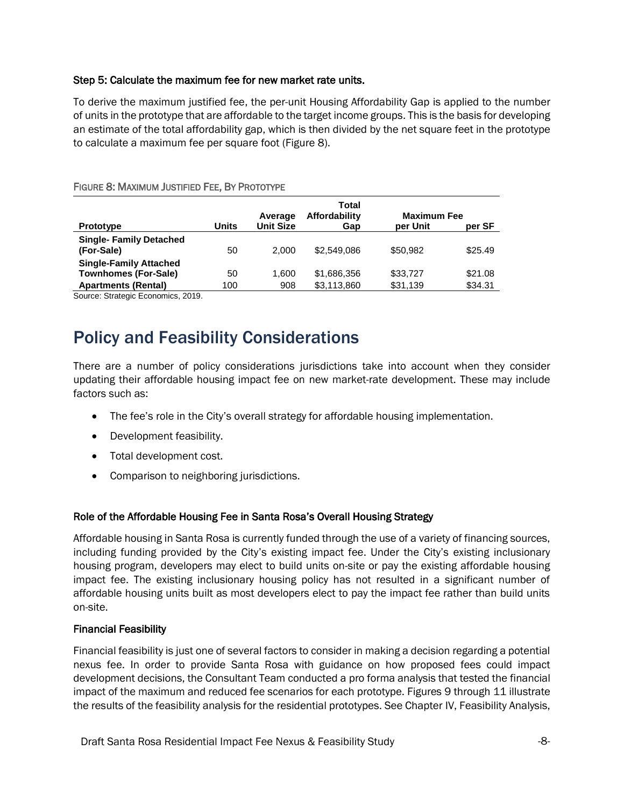#### Step 5: Calculate the maximum fee for new market rate units.

To derive the maximum justified fee, the per-unit Housing Affordability Gap is applied to the number of units in the prototype that are affordable to the target income groups. This is the basis for developing an estimate of the total affordability gap, which is then divided by the net square feet in the prototype to calculate a maximum fee per square foot (Figure 8).

| <b>Prototype</b>                                             | <b>Units</b> | Average<br><b>Unit Size</b> | Total<br>Affordability<br>Gap | <b>Maximum Fee</b><br>per Unit | per SF  |
|--------------------------------------------------------------|--------------|-----------------------------|-------------------------------|--------------------------------|---------|
| <b>Single- Family Detached</b><br>(For-Sale)                 | 50           | 2.000                       | \$2,549,086                   | \$50.982                       | \$25.49 |
| <b>Single-Family Attached</b><br><b>Townhomes (For-Sale)</b> | 50           | 1.600                       | \$1,686,356                   | \$33,727                       | \$21.08 |
| <b>Apartments (Rental)</b>                                   | 100          | 908                         | \$3,113,860                   | \$31,139                       | \$34.31 |

FIGURE 8: MAXIMUM JUSTIFIED FEE, BY PROTOTYPE

Source: Strategic Economics, 2019.

### <span id="page-7-0"></span>Policy and Feasibility Considerations

There are a number of policy considerations jurisdictions take into account when they consider updating their affordable housing impact fee on new market-rate development. These may include factors such as:

- The fee's role in the City's overall strategy for affordable housing implementation.
- Development feasibility.
- Total development cost.
- Comparison to neighboring jurisdictions.

#### Role of the Affordable Housing Fee in Santa Rosa's Overall Housing Strategy

Affordable housing in Santa Rosa is currently funded through the use of a variety of financing sources, including funding provided by the City's existing impact fee. Under the City's existing inclusionary housing program, developers may elect to build units on-site or pay the existing affordable housing impact fee. The existing inclusionary housing policy has not resulted in a significant number of affordable housing units built as most developers elect to pay the impact fee rather than build units on-site.

#### Financial Feasibility

Financial feasibility is just one of several factors to consider in making a decision regarding a potential nexus fee. In order to provide Santa Rosa with guidance on how proposed fees could impact development decisions, the Consultant Team conducted a pro forma analysis that tested the financial impact of the maximum and reduced fee scenarios for each prototype. Figures 9 through 11 illustrate the results of the feasibility analysis for the residential prototypes. See Chapter IV, Feasibility Analysis,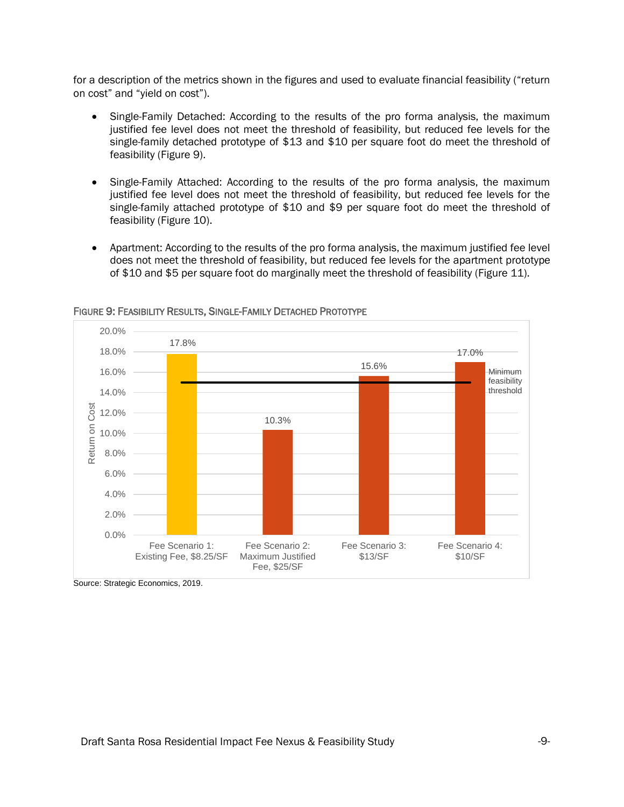for a description of the metrics shown in the figures and used to evaluate financial feasibility ("return on cost" and "yield on cost").

- Single-Family Detached: According to the results of the pro forma analysis, the maximum justified fee level does not meet the threshold of feasibility, but reduced fee levels for the single-family detached prototype of \$13 and \$10 per square foot do meet the threshold of feasibility (Figure 9).
- Single-Family Attached: According to the results of the pro forma analysis, the maximum justified fee level does not meet the threshold of feasibility, but reduced fee levels for the single-family attached prototype of \$10 and \$9 per square foot do meet the threshold of feasibility (Figure 10).
- Apartment: According to the results of the pro forma analysis, the maximum justified fee level does not meet the threshold of feasibility, but reduced fee levels for the apartment prototype of \$10 and \$5 per square foot do marginally meet the threshold of feasibility (Figure 11).



FIGURE 9: FEASIBILITY RESULTS, SINGLE-FAMILY DETACHED PROTOTYPE

Source: Strategic Economics, 2019.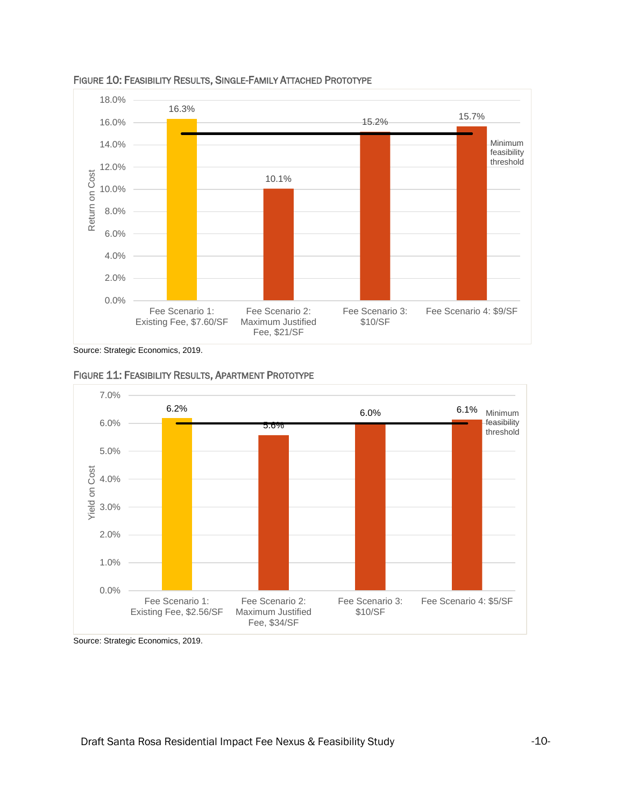

FIGURE 10: FEASIBILITY RESULTS, SINGLE-FAMILY ATTACHED PROTOTYPE

Source: Strategic Economics, 2019.





Source: Strategic Economics, 2019.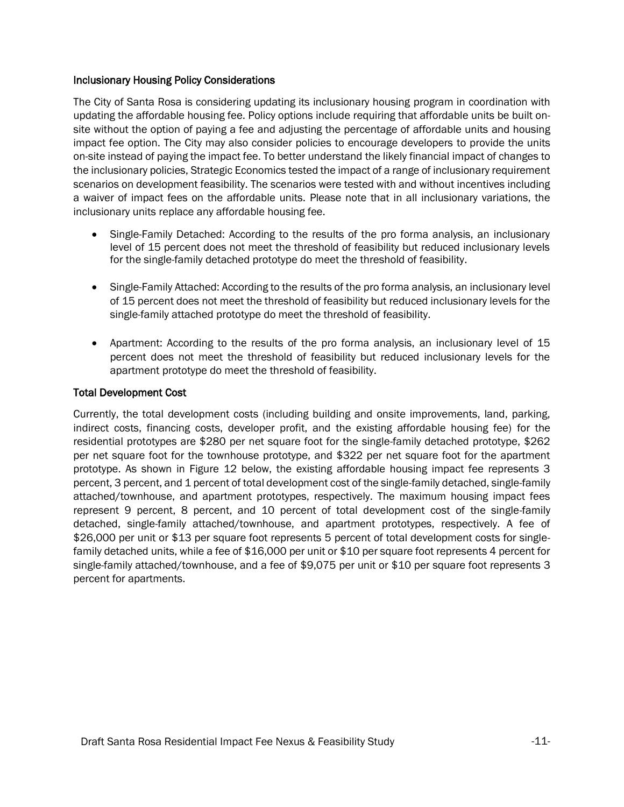#### Inclusionary Housing Policy Considerations

The City of Santa Rosa is considering updating its inclusionary housing program in coordination with updating the affordable housing fee. Policy options include requiring that affordable units be built onsite without the option of paying a fee and adjusting the percentage of affordable units and housing impact fee option. The City may also consider policies to encourage developers to provide the units on-site instead of paying the impact fee. To better understand the likely financial impact of changes to the inclusionary policies, Strategic Economics tested the impact of a range of inclusionary requirement scenarios on development feasibility. The scenarios were tested with and without incentives including a waiver of impact fees on the affordable units. Please note that in all inclusionary variations, the inclusionary units replace any affordable housing fee.

- Single-Family Detached: According to the results of the pro forma analysis, an inclusionary level of 15 percent does not meet the threshold of feasibility but reduced inclusionary levels for the single-family detached prototype do meet the threshold of feasibility.
- Single-Family Attached: According to the results of the pro forma analysis, an inclusionary level of 15 percent does not meet the threshold of feasibility but reduced inclusionary levels for the single-family attached prototype do meet the threshold of feasibility.
- Apartment: According to the results of the pro forma analysis, an inclusionary level of 15 percent does not meet the threshold of feasibility but reduced inclusionary levels for the apartment prototype do meet the threshold of feasibility.

#### Total Development Cost

Currently, the total development costs (including building and onsite improvements, land, parking, indirect costs, financing costs, developer profit, and the existing affordable housing fee) for the residential prototypes are \$280 per net square foot for the single-family detached prototype, \$262 per net square foot for the townhouse prototype, and \$322 per net square foot for the apartment prototype. As shown in Figure 12 below, the existing affordable housing impact fee represents 3 percent, 3 percent, and 1 percent of total development cost of the single-family detached, single-family attached/townhouse, and apartment prototypes, respectively. The maximum housing impact fees represent 9 percent, 8 percent, and 10 percent of total development cost of the single-family detached, single-family attached/townhouse, and apartment prototypes, respectively. A fee of \$26,000 per unit or \$13 per square foot represents 5 percent of total development costs for singlefamily detached units, while a fee of \$16,000 per unit or \$10 per square foot represents 4 percent for single-family attached/townhouse, and a fee of \$9,075 per unit or \$10 per square foot represents 3 percent for apartments.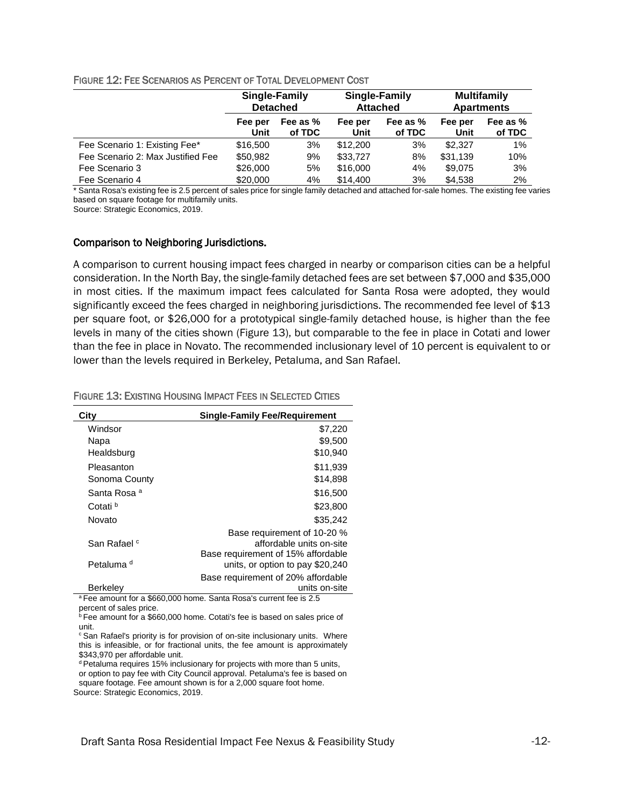#### FIGURE 12: FEE SCENARIOS AS PERCENT OF TOTAL DEVELOPMENT COST

|                                   | Single-Family<br><b>Detached</b> |                    | Single-Family<br><b>Attached</b> |                    | <b>Multifamily</b><br><b>Apartments</b> |                    |
|-----------------------------------|----------------------------------|--------------------|----------------------------------|--------------------|-----------------------------------------|--------------------|
|                                   | Fee per<br>Unit                  | Fee as %<br>of TDC | Fee per<br>Unit                  | Fee as %<br>of TDC | Fee per<br>Unit                         | Fee as %<br>of TDC |
| Fee Scenario 1: Existing Fee*     | \$16,500                         | 3%                 | \$12,200                         | 3%                 | \$2,327                                 | 1%                 |
| Fee Scenario 2: Max Justified Fee | \$50,982                         | 9%                 | \$33,727                         | 8%                 | \$31,139                                | 10%                |
| Fee Scenario 3                    | \$26,000                         | 5%                 | \$16,000                         | 4%                 | \$9,075                                 | 3%                 |
| Fee Scenario 4                    | \$20,000                         | 4%                 | \$14,400                         | 3%                 | \$4.538                                 | 2%                 |

\* Santa Rosa's existing fee is 2.5 percent of sales price for single family detached and attached for-sale homes. The existing fee varies based on square footage for multifamily units.

Source: Strategic Economics, 2019.

#### Comparison to Neighboring Jurisdictions.

A comparison to current housing impact fees charged in nearby or comparison cities can be a helpful consideration. In the North Bay, the single-family detached fees are set between \$7,000 and \$35,000 in most cities. If the maximum impact fees calculated for Santa Rosa were adopted, they would significantly exceed the fees charged in neighboring jurisdictions. The recommended fee level of \$13 per square foot, or \$26,000 for a prototypical single-family detached house, is higher than the fee levels in many of the cities shown (Figure 13), but comparable to the fee in place in Cotati and lower than the fee in place in Novato. The recommended inclusionary level of 10 percent is equivalent to or lower than the levels required in Berkeley, Petaluma, and San Rafael.

| City                    | <b>Single-Family Fee/Requirement</b> |
|-------------------------|--------------------------------------|
| Windsor                 | \$7,220                              |
| Napa                    | \$9,500                              |
| Healdsburg              | \$10,940                             |
| Pleasanton              | \$11,939                             |
| Sonoma County           | \$14,898                             |
| Santa Rosa <sup>a</sup> | \$16,500                             |
| Cotati <sup>b</sup>     | \$23,800                             |
| Novato                  | \$35.242                             |
|                         | Base requirement of 10-20 %          |
| San Rafael <sup>c</sup> | affordable units on-site             |
|                         | Base requirement of 15% affordable   |
| Petaluma <sup>d</sup>   | units, or option to pay \$20,240     |
|                         | Base requirement of 20% affordable   |
| <b>Berkeley</b>         | units on-site                        |

#### FIGURE 13: EXISTING HOUSING IMPACT FEES IN SELECTED CITIES

<sup>a</sup>Fee amount for a \$660,000 home. Santa Rosa's current fee is 2.5 percent of sales price.

<sup>b</sup> Fee amount for a \$660,000 home. Cotati's fee is based on sales price of unit.

<sup>c</sup> San Rafael's priority is for provision of on-site inclusionary units. Where this is infeasible, or for fractional units, the fee amount is approximately \$343,970 per affordable unit.

<sup>d</sup> Petaluma requires 15% inclusionary for projects with more than 5 units, or option to pay fee with City Council approval. Petaluma's fee is based on square footage. Fee amount shown is for a 2,000 square foot home. Source: Strategic Economics, 2019.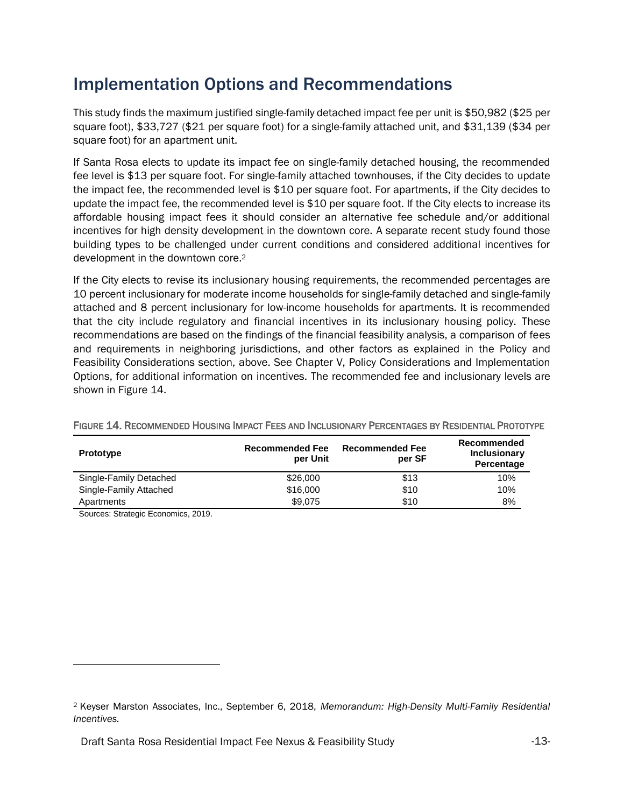### <span id="page-12-0"></span>Implementation Options and Recommendations

This study finds the maximum justified single-family detached impact fee per unit is \$50,982 (\$25 per square foot), \$33,727 (\$21 per square foot) for a single-family attached unit, and \$31,139 (\$34 per square foot) for an apartment unit.

If Santa Rosa elects to update its impact fee on single-family detached housing, the recommended fee level is \$13 per square foot. For single-family attached townhouses, if the City decides to update the impact fee, the recommended level is \$10 per square foot. For apartments, if the City decides to update the impact fee, the recommended level is \$10 per square foot. If the City elects to increase its affordable housing impact fees it should consider an alternative fee schedule and/or additional incentives for high density development in the downtown core. A separate recent study found those building types to be challenged under current conditions and considered additional incentives for development in the downtown core.<sup>2</sup>

If the City elects to revise its inclusionary housing requirements, the recommended percentages are 10 percent inclusionary for moderate income households for single-family detached and single-family attached and 8 percent inclusionary for low-income households for apartments. It is recommended that the city include regulatory and financial incentives in its inclusionary housing policy. These recommendations are based on the findings of the financial feasibility analysis, a comparison of fees and requirements in neighboring jurisdictions, and other factors as explained in the Policy and Feasibility Considerations section, above. See Chapter V, Policy Considerations and Implementation Options, for additional information on incentives. The recommended fee and inclusionary levels are shown in Figure 14.

| <b>Prototype</b>       | <b>Recommended Fee</b><br>per Unit | <b>Recommended Fee</b><br>per SF | Recommended<br>Inclusionary<br>Percentage |
|------------------------|------------------------------------|----------------------------------|-------------------------------------------|
| Single-Family Detached | \$26,000                           | \$13                             | 10%                                       |
| Single-Family Attached | \$16,000                           | \$10                             | 10%                                       |
| Apartments             | \$9,075                            | \$10                             | 8%                                        |

#### FIGURE 14. RECOMMENDED HOUSING IMPACT FEES AND INCLUSIONARY PERCENTAGES BY RESIDENTIAL PROTOTYPE

Sources: Strategic Economics, 2019.

 $\overline{a}$ 

<sup>2</sup> Keyser Marston Associates, Inc., September 6, 2018, *Memorandum: High-Density Multi-Family Residential Incentives.*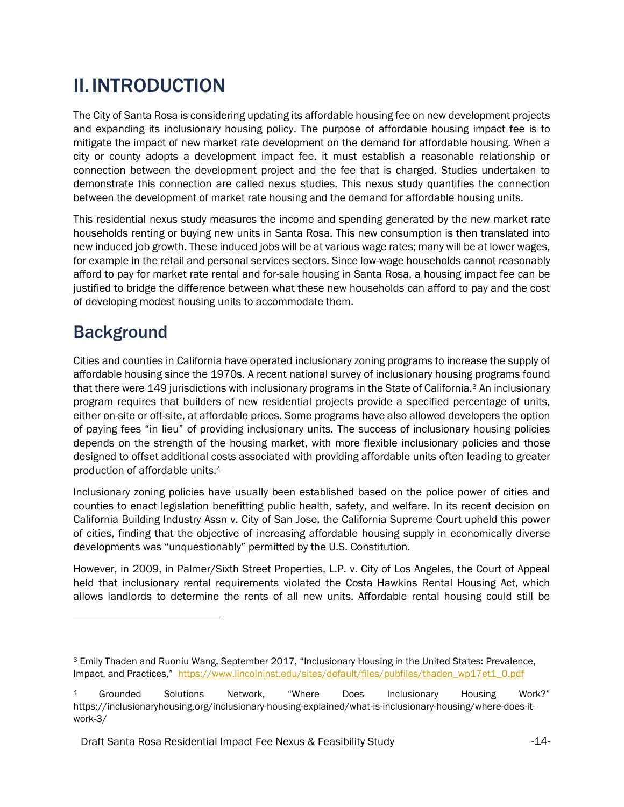# <span id="page-13-0"></span>II.INTRODUCTION

The City of Santa Rosa is considering updating its affordable housing fee on new development projects and expanding its inclusionary housing policy. The purpose of affordable housing impact fee is to mitigate the impact of new market rate development on the demand for affordable housing. When a city or county adopts a development impact fee, it must establish a reasonable relationship or connection between the development project and the fee that is charged. Studies undertaken to demonstrate this connection are called nexus studies. This nexus study quantifies the connection between the development of market rate housing and the demand for affordable housing units.

This residential nexus study measures the income and spending generated by the new market rate households renting or buying new units in Santa Rosa. This new consumption is then translated into new induced job growth. These induced jobs will be at various wage rates; many will be at lower wages, for example in the retail and personal services sectors. Since low-wage households cannot reasonably afford to pay for market rate rental and for-sale housing in Santa Rosa, a housing impact fee can be justified to bridge the difference between what these new households can afford to pay and the cost of developing modest housing units to accommodate them.

### <span id="page-13-1"></span>**Background**

Cities and counties in California have operated inclusionary zoning programs to increase the supply of affordable housing since the 1970s. A recent national survey of inclusionary housing programs found that there were 149 jurisdictions with inclusionary programs in the State of California.<sup>3</sup> An inclusionary program requires that builders of new residential projects provide a specified percentage of units, either on-site or off-site, at affordable prices. Some programs have also allowed developers the option of paying fees "in lieu" of providing inclusionary units. The success of inclusionary housing policies depends on the strength of the housing market, with more flexible inclusionary policies and those designed to offset additional costs associated with providing affordable units often leading to greater production of affordable units.<sup>4</sup>

Inclusionary zoning policies have usually been established based on the police power of cities and counties to enact legislation benefitting public health, safety, and welfare. In its recent decision on California Building Industry Assn v. City of San Jose, the California Supreme Court upheld this power of cities, finding that the objective of increasing affordable housing supply in economically diverse developments was "unquestionably" permitted by the U.S. Constitution.

However, in 2009, in Palmer/Sixth Street Properties, L.P. v. City of Los Angeles, the Court of Appeal held that inclusionary rental requirements violated the Costa Hawkins Rental Housing Act, which allows landlords to determine the rents of all new units. Affordable rental housing could still be

<sup>3</sup> Emily Thaden and Ruoniu Wang, September 2017, "Inclusionary Housing in the United States: Prevalence, Impact, and Practices," [https://www.lincolninst.edu/sites/default/files/pubfiles/thaden\\_wp17et1\\_0.pdf](https://www.lincolninst.edu/sites/default/files/pubfiles/thaden_wp17et1_0.pdf)

Grounded Solutions Network, "Where Does Inclusionary Housing Work?" https://inclusionaryhousing.org/inclusionary-housing-explained/what-is-inclusionary-housing/where-does-itwork-3/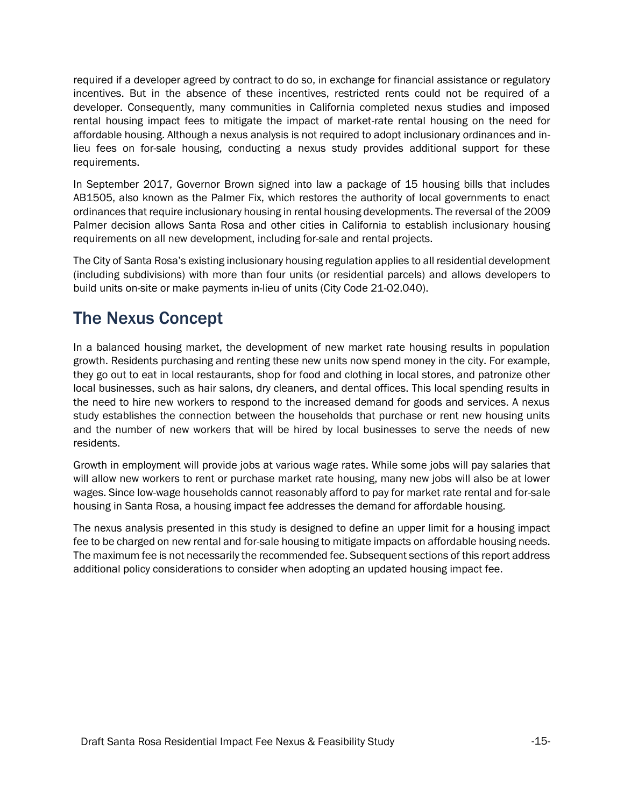required if a developer agreed by contract to do so, in exchange for financial assistance or regulatory incentives. But in the absence of these incentives, restricted rents could not be required of a developer. Consequently, many communities in California completed nexus studies and imposed rental housing impact fees to mitigate the impact of market-rate rental housing on the need for affordable housing. Although a nexus analysis is not required to adopt inclusionary ordinances and inlieu fees on for-sale housing, conducting a nexus study provides additional support for these requirements.

In September 2017, Governor Brown signed into law a package of 15 housing bills that includes AB1505, also known as the Palmer Fix, which restores the authority of local governments to enact ordinances that require inclusionary housing in rental housing developments. The reversal of the 2009 Palmer decision allows Santa Rosa and other cities in California to establish inclusionary housing requirements on all new development, including for-sale and rental projects.

The City of Santa Rosa's existing inclusionary housing regulation applies to all residential development (including subdivisions) with more than four units (or residential parcels) and allows developers to build units on-site or make payments in-lieu of units (City Code 21-02.040).

### <span id="page-14-0"></span>The Nexus Concept

In a balanced housing market, the development of new market rate housing results in population growth. Residents purchasing and renting these new units now spend money in the city. For example, they go out to eat in local restaurants, shop for food and clothing in local stores, and patronize other local businesses, such as hair salons, dry cleaners, and dental offices. This local spending results in the need to hire new workers to respond to the increased demand for goods and services. A nexus study establishes the connection between the households that purchase or rent new housing units and the number of new workers that will be hired by local businesses to serve the needs of new residents.

Growth in employment will provide jobs at various wage rates. While some jobs will pay salaries that will allow new workers to rent or purchase market rate housing, many new jobs will also be at lower wages. Since low-wage households cannot reasonably afford to pay for market rate rental and for-sale housing in Santa Rosa, a housing impact fee addresses the demand for affordable housing.

The nexus analysis presented in this study is designed to define an upper limit for a housing impact fee to be charged on new rental and for-sale housing to mitigate impacts on affordable housing needs. The maximum fee is not necessarily the recommended fee. Subsequent sections of this report address additional policy considerations to consider when adopting an updated housing impact fee.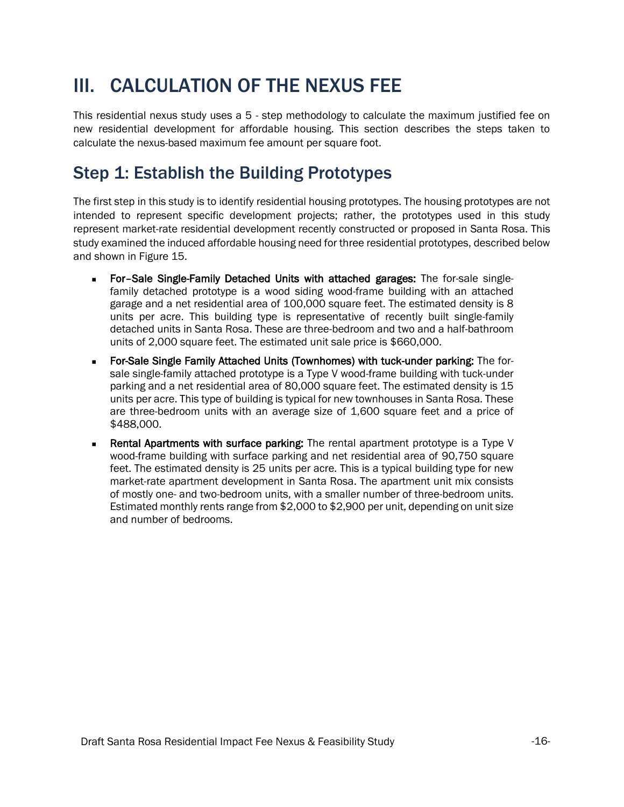# <span id="page-15-0"></span>III. CALCULATION OF THE NEXUS FEE

This residential nexus study uses a 5 - step methodology to calculate the maximum justified fee on new residential development for affordable housing. This section describes the steps taken to calculate the nexus-based maximum fee amount per square foot.

### <span id="page-15-1"></span>Step 1: Establish the Building Prototypes

The first step in this study is to identify residential housing prototypes. The housing prototypes are not intended to represent specific development projects; rather, the prototypes used in this study represent market-rate residential development recently constructed or proposed in Santa Rosa. This study examined the induced affordable housing need for three residential prototypes, described below and shown in Figure 15.

- For-Sale Single-Family Detached Units with attached garages: The for-sale singlefamily detached prototype is a wood siding wood-frame building with an attached garage and a net residential area of 100,000 square feet. The estimated density is 8 units per acre. This building type is representative of recently built single-family detached units in Santa Rosa. These are three-bedroom and two and a half-bathroom units of 2,000 square feet. The estimated unit sale price is \$660,000.
- For-Sale Single Family Attached Units (Townhomes) with tuck-under parking: The forsale single-family attached prototype is a Type V wood-frame building with tuck-under parking and a net residential area of 80,000 square feet. The estimated density is 15 units per acre. This type of building is typical for new townhouses in Santa Rosa. These are three-bedroom units with an average size of 1,600 square feet and a price of \$488,000.
- Rental Apartments with surface parking: The rental apartment prototype is a Type V wood-frame building with surface parking and net residential area of 90,750 square feet. The estimated density is 25 units per acre. This is a typical building type for new market-rate apartment development in Santa Rosa. The apartment unit mix consists of mostly one- and two-bedroom units, with a smaller number of three-bedroom units. Estimated monthly rents range from \$2,000 to \$2,900 per unit, depending on unit size and number of bedrooms.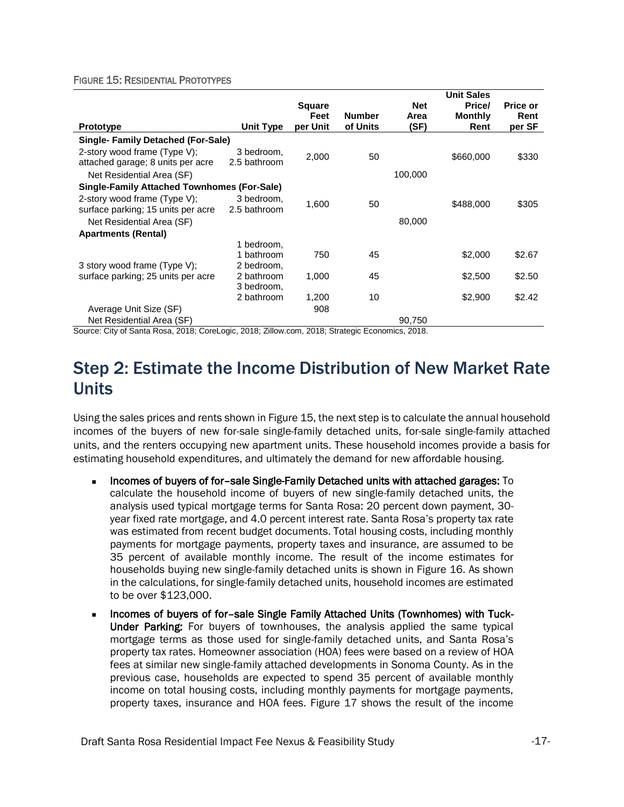#### FIGURE 15: RESIDENTIAL PROTOTYPES

|                                                    |                  |               |               |            | <b>Unit Sales</b> |                 |
|----------------------------------------------------|------------------|---------------|---------------|------------|-------------------|-----------------|
|                                                    |                  | <b>Square</b> |               | <b>Net</b> | Price/            | <b>Price or</b> |
|                                                    |                  | Feet          | <b>Number</b> | Area       | <b>Monthly</b>    | Rent            |
| <b>Prototype</b>                                   | <b>Unit Type</b> | per Unit      | of Units      | (SF)       | Rent              | per SF          |
| <b>Single-Family Detached (For-Sale)</b>           |                  |               |               |            |                   |                 |
| 2-story wood frame (Type V);                       | 3 bedroom,       | 2,000         | 50            |            | \$660,000         | \$330           |
| attached garage; 8 units per acre                  | 2.5 bathroom     |               |               |            |                   |                 |
| Net Residential Area (SF)                          |                  |               |               | 100,000    |                   |                 |
| <b>Single-Family Attached Townhomes (For-Sale)</b> |                  |               |               |            |                   |                 |
| 2-story wood frame (Type V);                       | 3 bedroom,       | 1.600         | 50            |            | \$488,000         | \$305           |
| surface parking; 15 units per acre                 | 2.5 bathroom     |               |               |            |                   |                 |
| Net Residential Area (SF)                          |                  |               |               | 80,000     |                   |                 |
| <b>Apartments (Rental)</b>                         |                  |               |               |            |                   |                 |
|                                                    | 1 bedroom.       |               |               |            |                   |                 |
|                                                    | 1 bathroom       | 750           | 45            |            | \$2,000           | \$2.67          |
| 3 story wood frame (Type V);                       | 2 bedroom,       |               |               |            |                   |                 |
| surface parking; 25 units per acre                 | 2 bathroom       | 1,000         | 45            |            | \$2,500           | \$2.50          |
|                                                    | 3 bedroom,       |               |               |            |                   |                 |
|                                                    | 2 bathroom       | 1,200         | 10            |            | \$2,900           | \$2.42          |
| Average Unit Size (SF)                             |                  | 908           |               |            |                   |                 |
| Net Residential Area (SF)                          |                  |               |               | 90,750     |                   |                 |

Source: City of Santa Rosa, 2018; CoreLogic, 2018; Zillow.com, 2018; Strategic Economics, 2018.

### <span id="page-16-0"></span>Step 2: Estimate the Income Distribution of New Market Rate Units

Using the sales prices and rents shown in Figure 15, the next step is to calculate the annual household incomes of the buyers of new for-sale single-family detached units, for-sale single-family attached units, and the renters occupying new apartment units. These household incomes provide a basis for estimating household expenditures, and ultimately the demand for new affordable housing.

- <sup>◼</sup> Incomes of buyers of for–sale Single-Family Detached units with attached garages: To calculate the household income of buyers of new single-family detached units, the analysis used typical mortgage terms for Santa Rosa: 20 percent down payment, 30 year fixed rate mortgage, and 4.0 percent interest rate. Santa Rosa's property tax rate was estimated from recent budget documents. Total housing costs, including monthly payments for mortgage payments, property taxes and insurance, are assumed to be 35 percent of available monthly income. The result of the income estimates for households buying new single-family detached units is shown in Figure 16. As shown in the calculations, for single-family detached units, household incomes are estimated to be over \$123,000.
- Incomes of buyers of for-sale Single Family Attached Units (Townhomes) with Tuck-Under Parking: For buyers of townhouses, the analysis applied the same typical mortgage terms as those used for single-family detached units, and Santa Rosa's property tax rates. Homeowner association (HOA) fees were based on a review of HOA fees at similar new single-family attached developments in Sonoma County. As in the previous case, households are expected to spend 35 percent of available monthly income on total housing costs, including monthly payments for mortgage payments, property taxes, insurance and HOA fees. Figure 17 shows the result of the income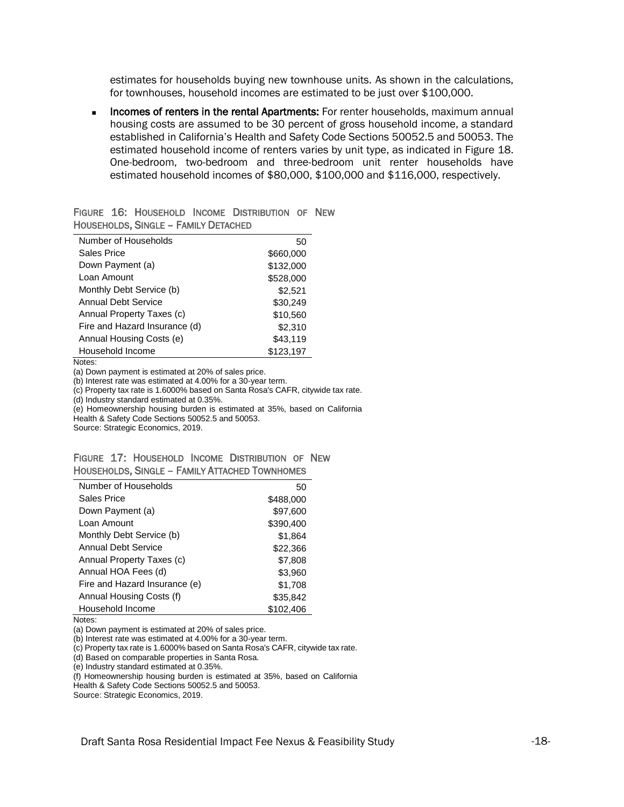estimates for households buying new townhouse units. As shown in the calculations, for townhouses, household incomes are estimated to be just over \$100,000.

**EXEDER** Incomes of renters in the rental Apartments: For renter households, maximum annual housing costs are assumed to be 30 percent of gross household income, a standard established in California's Health and Safety Code Sections 50052.5 and 50053. The estimated household income of renters varies by unit type, as indicated in Figure 18. One-bedroom, two-bedroom and three-bedroom unit renter households have estimated household incomes of \$80,000, \$100,000 and \$116,000, respectively.

|  |                                             | FIGURE 16: HOUSEHOLD INCOME DISTRIBUTION OF NEW |  |
|--|---------------------------------------------|-------------------------------------------------|--|
|  | <b>HOUSEHOLDS, SINGLE - FAMILY DETACHED</b> |                                                 |  |

| Number of Households          | 50        |
|-------------------------------|-----------|
| Sales Price                   | \$660,000 |
| Down Payment (a)              | \$132,000 |
| Loan Amount                   | \$528,000 |
| Monthly Debt Service (b)      | \$2.521   |
| Annual Debt Service           | \$30,249  |
| Annual Property Taxes (c)     | \$10,560  |
| Fire and Hazard Insurance (d) | \$2.310   |
| Annual Housing Costs (e)      | \$43,119  |
| Household Income              | \$123.197 |

Notes:

(a) Down payment is estimated at 20% of sales price.

(b) Interest rate was estimated at 4.00% for a 30-year term.

 $(c)$  Property tax rate is 1.6000% based on Santa Rosa's CAFR, citywide tax rate.

(d) Industry standard estimated at 0.35%.

(e) Homeownership housing burden is estimated at 35%, based on California

Health & Safety Code Sections 50052.5 and 50053.

Source: Strategic Economics, 2019.

|  |  | FIGURE 17: HOUSEHOLD INCOME DISTRIBUTION OF NEW       |  |
|--|--|-------------------------------------------------------|--|
|  |  | <b>HOUSEHOLDS, SINGLE - FAMILY ATTACHED TOWNHOMES</b> |  |

| Number of Households          | 50        |
|-------------------------------|-----------|
| Sales Price                   | \$488,000 |
| Down Payment (a)              | \$97,600  |
| Loan Amount                   | \$390,400 |
| Monthly Debt Service (b)      | \$1,864   |
| Annual Debt Service           | \$22,366  |
| Annual Property Taxes (c)     | \$7,808   |
| Annual HOA Fees (d)           | \$3,960   |
| Fire and Hazard Insurance (e) | \$1,708   |
| Annual Housing Costs (f)      | \$35,842  |
| Household Income              | \$102,406 |

Notes:

(a) Down payment is estimated at 20% of sales price.

(b) Interest rate was estimated at 4.00% for a 30-year term.

(c) Property tax rate is 1.6000% based on Santa Rosa's CAFR, citywide tax rate.

(d) Based on comparable properties in Santa Rosa.

(e) Industry standard estimated at 0.35%.

(f) Homeownership housing burden is estimated at 35%, based on California

Health & Safety Code Sections 50052.5 and 50053.

Source: Strategic Economics, 2019.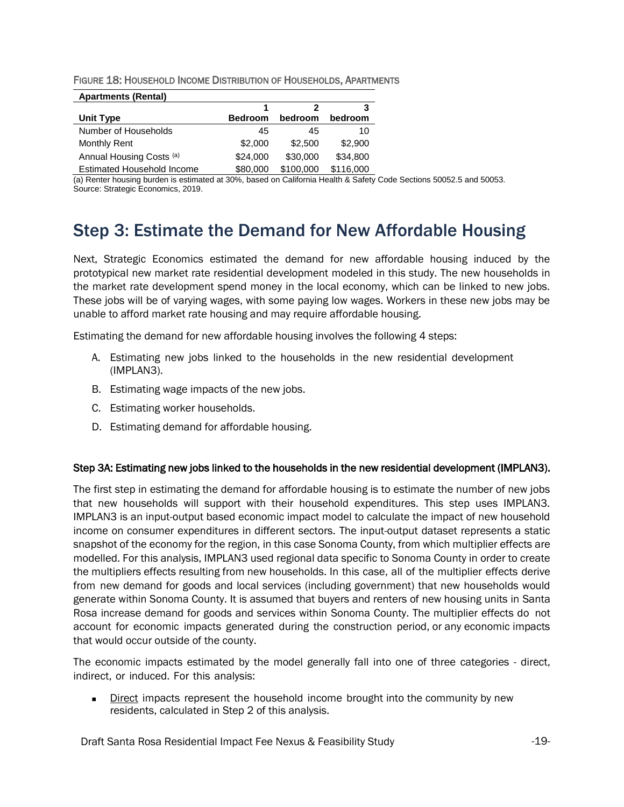| FIGURE 18: HOUSEHOLD INCOME DISTRIBUTION OF HOUSEHOLDS, APARTMENTS |
|--------------------------------------------------------------------|
|--------------------------------------------------------------------|

| <b>Apartments (Rental)</b>        |                |           |           |
|-----------------------------------|----------------|-----------|-----------|
|                                   |                |           | 3         |
| Unit Type                         | <b>Bedroom</b> | bedroom   | bedroom   |
| Number of Households              | 45             | 45        | 10        |
| Monthly Rent                      | \$2,000        | \$2.500   | \$2,900   |
| Annual Housing Costs (a)          | \$24,000       | \$30,000  | \$34,800  |
| <b>Estimated Household Income</b> | \$80,000       | \$100,000 | \$116,000 |

(a) Renter housing burden is estimated at 30%, based on California Health & Safety Code Sections 50052.5 and 50053. Source: Strategic Economics, 2019.

### <span id="page-18-0"></span>Step 3: Estimate the Demand for New Affordable Housing

Next, Strategic Economics estimated the demand for new affordable housing induced by the prototypical new market rate residential development modeled in this study. The new households in the market rate development spend money in the local economy, which can be linked to new jobs. These jobs will be of varying wages, with some paying low wages. Workers in these new jobs may be unable to afford market rate housing and may require affordable housing.

Estimating the demand for new affordable housing involves the following 4 steps:

- A. Estimating new jobs linked to the households in the new residential development (IMPLAN3).
- B. Estimating wage impacts of the new jobs.
- C. Estimating worker households.
- D. Estimating demand for affordable housing.

#### Step 3A: Estimating new jobs linked to the households in the new residential development (IMPLAN3).

The first step in estimating the demand for affordable housing is to estimate the number of new jobs that new households will support with their household expenditures. This step uses IMPLAN3. IMPLAN3 is an input-output based economic impact model to calculate the impact of new household income on consumer expenditures in different sectors. The input-output dataset represents a static snapshot of the economy for the region, in this case Sonoma County, from which multiplier effects are modelled. For this analysis, IMPLAN3 used regional data specific to Sonoma County in order to create the multipliers effects resulting from new households. In this case, all of the multiplier effects derive from new demand for goods and local services (including government) that new households would generate within Sonoma County. It is assumed that buyers and renters of new housing units in Santa Rosa increase demand for goods and services within Sonoma County. The multiplier effects do not account for economic impacts generated during the construction period, or any economic impacts that would occur outside of the county.

The economic impacts estimated by the model generally fall into one of three categories - direct, indirect, or induced. For this analysis:

**■** Direct impacts represent the household income brought into the community by new residents, calculated in Step 2 of this analysis.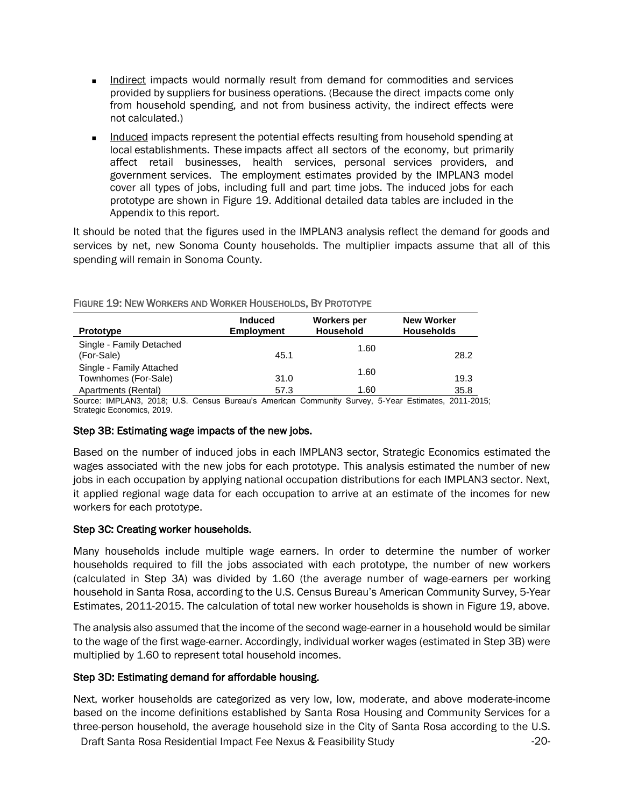- Indirect impacts would normally result from demand for commodities and services provided by suppliers for business operations. (Because the direct impacts come only from household spending, and not from business activity, the indirect effects were not calculated.)
- Induced impacts represent the potential effects resulting from household spending at local establishments. These impacts affect all sectors of the economy, but primarily affect retail businesses, health services, personal services providers, and government services. The employment estimates provided by the IMPLAN3 model cover all types of jobs, including full and part time jobs. The induced jobs for each prototype are shown in Figure 19. Additional detailed data tables are included in the Appendix to this report.

It should be noted that the figures used in the IMPLAN3 analysis reflect the demand for goods and services by net, new Sonoma County households. The multiplier impacts assume that all of this spending will remain in Sonoma County.

| <b>Prototype</b>                                                                                 | <b>Induced</b><br><b>Employment</b> | Workers per<br><b>Household</b> | <b>New Worker</b><br><b>Households</b> |
|--------------------------------------------------------------------------------------------------|-------------------------------------|---------------------------------|----------------------------------------|
| Single - Family Detached<br>(For-Sale)                                                           | 45.1                                | 1.60                            | 28.2                                   |
| Single - Family Attached<br>Townhomes (For-Sale)                                                 | 31.0                                | 1.60                            | 19.3                                   |
| Apartments (Rental)                                                                              | 57.3                                | 1.60                            | 35.8                                   |
| Course IMPLANS, 2019, LLC, Concus Pursou's American Community Curvey 5 Veer Estimates, 2011, 201 |                                     |                                 |                                        |

#### FIGURE 19: NEW WORKERS AND WORKER HOUSEHOLDS, BY PROTOTYPE

Source: IMPLAN3, 2018; U.S. Census Bureau's American Community Survey, 5-Year Estimates, 2011-2015; Strategic Economics, 2019.

#### Step 3B: Estimating wage impacts of the new jobs.

Based on the number of induced jobs in each IMPLAN3 sector, Strategic Economics estimated the wages associated with the new jobs for each prototype. This analysis estimated the number of new jobs in each occupation by applying national occupation distributions for each IMPLAN3 sector. Next, it applied regional wage data for each occupation to arrive at an estimate of the incomes for new workers for each prototype.

#### Step 3C: Creating worker households.

Many households include multiple wage earners. In order to determine the number of worker households required to fill the jobs associated with each prototype, the number of new workers (calculated in Step 3A) was divided by 1.60 (the average number of wage-earners per working household in Santa Rosa, according to the U.S. Census Bureau's American Community Survey, 5-Year Estimates, 2011-2015. The calculation of total new worker households is shown in Figure 19, above.

The analysis also assumed that the income of the second wage-earner in a household would be similar to the wage of the first wage-earner. Accordingly, individual worker wages (estimated in Step 3B) were multiplied by 1.60 to represent total household incomes.

#### Step 3D: Estimating demand for affordable housing.

Next, worker households are categorized as very low, low, moderate, and above moderate-income based on the income definitions established by Santa Rosa Housing and Community Services for a three-person household, the average household size in the City of Santa Rosa according to the U.S.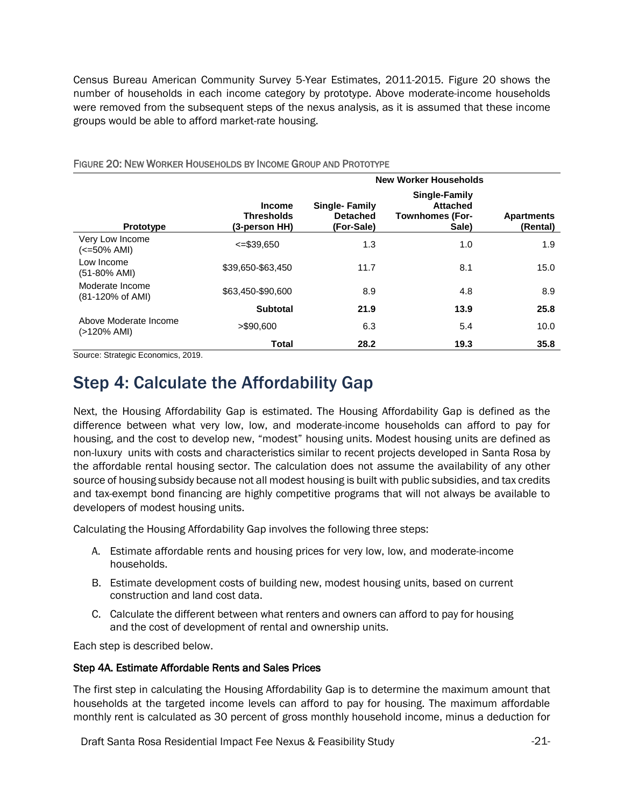Census Bureau American Community Survey 5-Year Estimates, 2011-2015. Figure 20 shows the number of households in each income category by prototype. Above moderate-income households were removed from the subsequent steps of the nexus analysis, as it is assumed that these income groups would be able to afford market-rate housing.

|                                      |                                                     | <b>New Worker Households</b>                          |                                                                     |                               |  |  |
|--------------------------------------|-----------------------------------------------------|-------------------------------------------------------|---------------------------------------------------------------------|-------------------------------|--|--|
| <b>Prototype</b>                     | <b>Income</b><br><b>Thresholds</b><br>(3-person HH) | <b>Single-Family</b><br><b>Detached</b><br>(For-Sale) | Single-Family<br><b>Attached</b><br><b>Townhomes (For-</b><br>Sale) | <b>Apartments</b><br>(Rental) |  |  |
| Very Low Income<br>(<=50% AMI)       | $\leq$ =\$39.650                                    | 1.3                                                   | 1.0                                                                 | 1.9                           |  |  |
| Low Income<br>$(51-80\%$ AMI)        | \$39,650-\$63,450                                   | 11.7                                                  | 8.1                                                                 | 15.0                          |  |  |
| Moderate Income<br>(81-120% of AMI)  | \$63.450-\$90.600                                   | 8.9                                                   | 4.8                                                                 | 8.9                           |  |  |
|                                      | <b>Subtotal</b>                                     | 21.9                                                  | 13.9                                                                | 25.8                          |  |  |
| Above Moderate Income<br>(>120% AMI) | $>$ \$90.600                                        | 6.3                                                   | 5.4                                                                 | 10.0                          |  |  |
|                                      | Total                                               | 28.2                                                  | 19.3                                                                | 35.8                          |  |  |

#### FIGURE 20: NEW WORKER HOUSEHOLDS BY INCOME GROUP AND PROTOTYPE

<span id="page-20-0"></span>Source: Strategic Economics, 2019.

### Step 4: Calculate the Affordability Gap

Next, the Housing Affordability Gap is estimated. The Housing Affordability Gap is defined as the difference between what very low, low, and moderate-income households can afford to pay for housing, and the cost to develop new, "modest" housing units. Modest housing units are defined as non-luxury units with costs and characteristics similar to recent projects developed in Santa Rosa by the affordable rental housing sector. The calculation does not assume the availability of any other source of housing subsidy because not all modest housing is built with public subsidies, and tax credits and tax-exempt bond financing are highly competitive programs that will not always be available to developers of modest housing units.

Calculating the Housing Affordability Gap involves the following three steps:

- A. Estimate affordable rents and housing prices for very low, low, and moderate-income households.
- B. Estimate development costs of building new, modest housing units, based on current construction and land cost data.
- C. Calculate the different between what renters and owners can afford to pay for housing and the cost of development of rental and ownership units.

Each step is described below.

#### Step 4A. Estimate Affordable Rents and Sales Prices

The first step in calculating the Housing Affordability Gap is to determine the maximum amount that households at the targeted income levels can afford to pay for housing. The maximum affordable monthly rent is calculated as 30 percent of gross monthly household income, minus a deduction for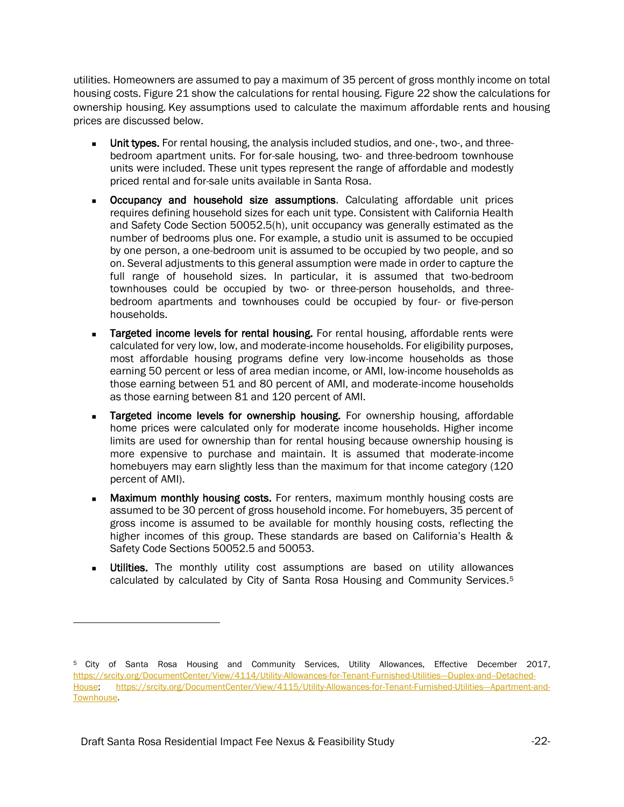utilities. Homeowners are assumed to pay a maximum of 35 percent of gross monthly income on total housing costs. Figure 21 show the calculations for rental housing. Figure 22 show the calculations for ownership housing. Key assumptions used to calculate the maximum affordable rents and housing prices are discussed below.

- **■** Unit types. For rental housing, the analysis included studios, and one-, two-, and threebedroom apartment units. For for-sale housing, two- and three-bedroom townhouse units were included. These unit types represent the range of affordable and modestly priced rental and for-sale units available in Santa Rosa.
- **■** Occupancy and household size assumptions. Calculating affordable unit prices requires defining household sizes for each unit type. Consistent with California Health and Safety Code Section 50052.5(h), unit occupancy was generally estimated as the number of bedrooms plus one. For example, a studio unit is assumed to be occupied by one person, a one-bedroom unit is assumed to be occupied by two people, and so on. Several adjustments to this general assumption were made in order to capture the full range of household sizes. In particular, it is assumed that two-bedroom townhouses could be occupied by two- or three-person households, and threebedroom apartments and townhouses could be occupied by four- or five-person households.
- **Targeted income levels for rental housing.** For rental housing, affordable rents were calculated for very low, low, and moderate-income households. For eligibility purposes, most affordable housing programs define very low-income households as those earning 50 percent or less of area median income, or AMI, low-income households as those earning between 51 and 80 percent of AMI, and moderate-income households as those earning between 81 and 120 percent of AMI.
- Targeted income levels for ownership housing. For ownership housing, affordable home prices were calculated only for moderate income households. Higher income limits are used for ownership than for rental housing because ownership housing is more expensive to purchase and maintain. It is assumed that moderate-income homebuyers may earn slightly less than the maximum for that income category (120 percent of AMI).
- **Maximum monthly housing costs.** For renters, maximum monthly housing costs are assumed to be 30 percent of gross household income. For homebuyers, 35 percent of gross income is assumed to be available for monthly housing costs, reflecting the higher incomes of this group. These standards are based on California's Health & Safety Code Sections 50052.5 and 50053.
- **Utilities.** The monthly utility cost assumptions are based on utility allowances calculated by calculated by City of Santa Rosa Housing and Community Services. 5

<sup>5</sup> City of Santa Rosa Housing and Community Services, Utility Allowances, Effective December 2017, [https://srcity.org/DocumentCenter/View/4114/Utility-Allowances-for-Tenant-Furnished-Utilities---Duplex-and--Detached-](https://srcity.org/DocumentCenter/View/4114/Utility-Allowances-for-Tenant-Furnished-Utilities---Duplex-and--Detached-House)[House;](https://srcity.org/DocumentCenter/View/4114/Utility-Allowances-for-Tenant-Furnished-Utilities---Duplex-and--Detached-House) [https://srcity.org/DocumentCenter/View/4115/Utility-Allowances-for-Tenant-Furnished-Utilities---Apartment-and-](https://srcity.org/DocumentCenter/View/4115/Utility-Allowances-for-Tenant-Furnished-Utilities---Apartment-and-Townhouse)[Townhouse.](https://srcity.org/DocumentCenter/View/4115/Utility-Allowances-for-Tenant-Furnished-Utilities---Apartment-and-Townhouse)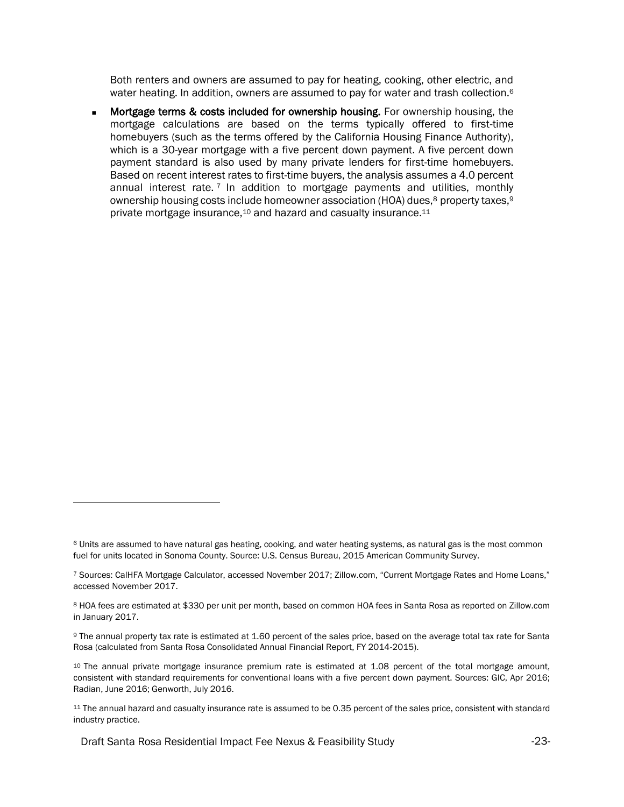Both renters and owners are assumed to pay for heating, cooking, other electric, and water heating. In addition, owners are assumed to pay for water and trash collection.<sup>6</sup>

Mortgage terms & costs included for ownership housing. For ownership housing, the mortgage calculations are based on the terms typically offered to first-time homebuyers (such as the terms offered by the California Housing Finance Authority), which is a 30-year mortgage with a five percent down payment. A five percent down payment standard is also used by many private lenders for first-time homebuyers. Based on recent interest rates to first-time buyers, the analysis assumes a 4.0 percent annual interest rate. <sup>7</sup> In addition to mortgage payments and utilities, monthly ownership housing costs include homeowner association (HOA) dues,<sup>8</sup> property taxes,<sup>9</sup> private mortgage insurance,<sup>10</sup> and hazard and casualty insurance.<sup>11</sup>

<sup>&</sup>lt;sup>6</sup> Units are assumed to have natural gas heating, cooking, and water heating systems, as natural gas is the most common fuel for units located in Sonoma County. Source: U.S. Census Bureau, 2015 American Community Survey.

<sup>7</sup> Sources: CalHFA Mortgage Calculator, accessed November 2017; Zillow.com, "Current Mortgage Rates and Home Loans," accessed November 2017.

<sup>8</sup> HOA fees are estimated at \$330 per unit per month, based on common HOA fees in Santa Rosa as reported on Zillow.com in January 2017.

<sup>9</sup> The annual property tax rate is estimated at 1.60 percent of the sales price, based on the average total tax rate for Santa Rosa (calculated from Santa Rosa Consolidated Annual Financial Report, FY 2014-2015).

<sup>&</sup>lt;sup>10</sup> The annual private mortgage insurance premium rate is estimated at 1.08 percent of the total mortgage amount, consistent with standard requirements for conventional loans with a five percent down payment. Sources: GIC, Apr 2016; Radian, June 2016; Genworth, July 2016.

<sup>11</sup> The annual hazard and casualty insurance rate is assumed to be 0.35 percent of the sales price, consistent with standard industry practice.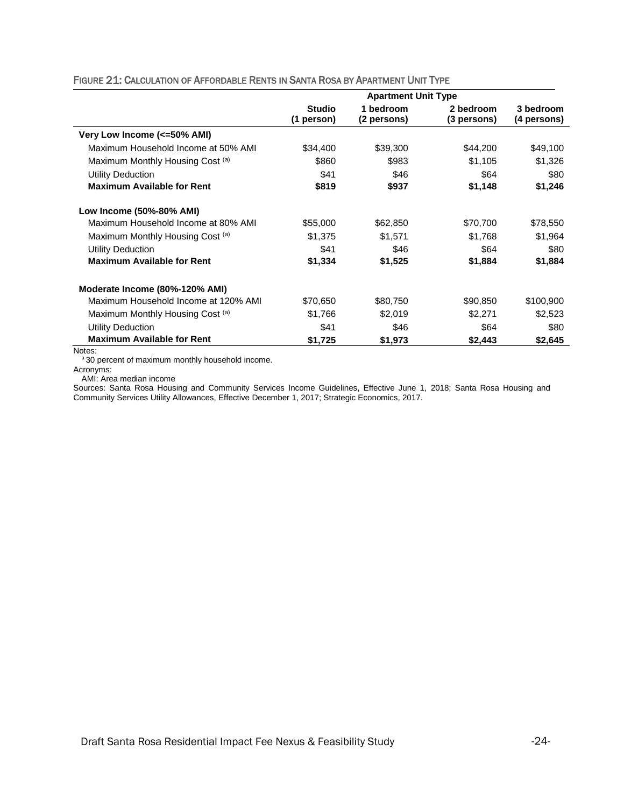|                                      | <b>Apartment Unit Type</b> |                          |                          |                          |  |
|--------------------------------------|----------------------------|--------------------------|--------------------------|--------------------------|--|
|                                      | Studio<br>(1 person)       | 1 bedroom<br>(2 persons) | 2 bedroom<br>(3 persons) | 3 bedroom<br>(4 persons) |  |
| Very Low Income (<=50% AMI)          |                            |                          |                          |                          |  |
| Maximum Household Income at 50% AMI  | \$34,400                   | \$39,300                 | \$44,200                 | \$49,100                 |  |
| Maximum Monthly Housing Cost (a)     | \$860                      | \$983                    | \$1,105                  | \$1,326                  |  |
| <b>Utility Deduction</b>             | \$41                       | \$46                     | \$64                     | \$80                     |  |
| <b>Maximum Available for Rent</b>    | \$819                      | \$937                    | \$1,148                  | \$1,246                  |  |
| Low Income (50%-80% AMI)             |                            |                          |                          |                          |  |
| Maximum Household Income at 80% AMI  | \$55,000                   | \$62,850                 | \$70,700                 | \$78,550                 |  |
| Maximum Monthly Housing Cost (a)     | \$1,375                    | \$1,571                  | \$1,768                  | \$1,964                  |  |
| <b>Utility Deduction</b>             | \$41                       | \$46                     | \$64                     | \$80                     |  |
| <b>Maximum Available for Rent</b>    | \$1,334                    | \$1,525                  | \$1,884                  | \$1,884                  |  |
| Moderate Income (80%-120% AMI)       |                            |                          |                          |                          |  |
| Maximum Household Income at 120% AMI | \$70,650                   | \$80,750                 | \$90,850                 | \$100,900                |  |
| Maximum Monthly Housing Cost (a)     | \$1,766                    | \$2,019                  | \$2,271                  | \$2,523                  |  |
| <b>Utility Deduction</b>             | \$41                       | \$46                     | \$64                     | \$80                     |  |
| <b>Maximum Available for Rent</b>    | \$1,725                    | \$1,973                  | \$2,443                  | \$2,645                  |  |

#### FIGURE 21: CALCULATION OF AFFORDABLE RENTS IN SANTA ROSA BY APARTMENT UNIT TYPE

Notes:

a 30 percent of maximum monthly household income.

Acronyms:

AMI: Area median income

Sources: Santa Rosa Housing and Community Services Income Guidelines, Effective June 1, 2018; Santa Rosa Housing and Community Services Utility Allowances, Effective December 1, 2017; Strategic Economics, 2017.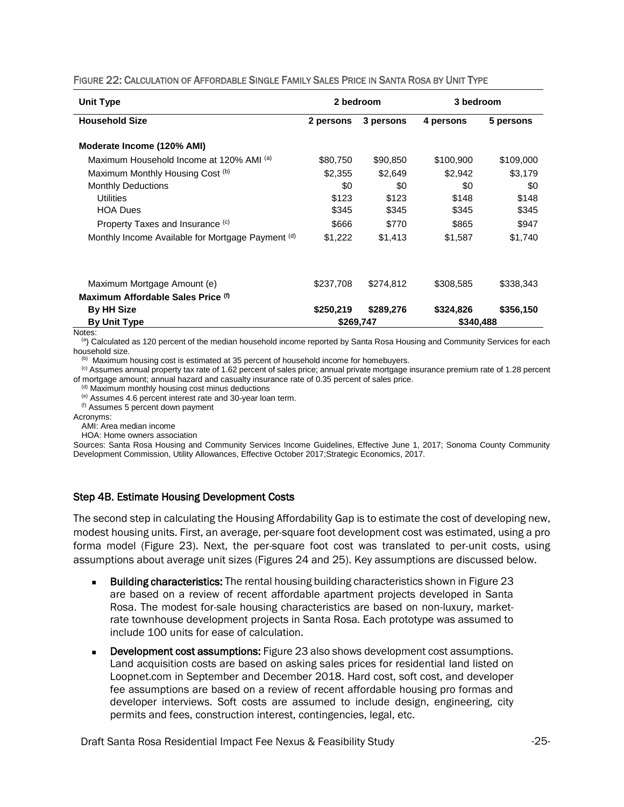| Unit Type                                         |           | 2 bedroom | 3 bedroom |           |
|---------------------------------------------------|-----------|-----------|-----------|-----------|
| <b>Household Size</b>                             | 2 persons | 3 persons | 4 persons | 5 persons |
| Moderate Income (120% AMI)                        |           |           |           |           |
| Maximum Household Income at 120% AMI (a)          | \$80,750  | \$90,850  | \$100,900 | \$109,000 |
| Maximum Monthly Housing Cost (b)                  | \$2,355   | \$2.649   | \$2.942   | \$3,179   |
| <b>Monthly Deductions</b>                         | \$0       | \$0       | \$0       | \$0       |
| Utilities                                         | \$123     | \$123     | \$148     | \$148     |
| <b>HOA Dues</b>                                   | \$345     | \$345     | \$345     | \$345     |
| Property Taxes and Insurance (c)                  | \$666     | \$770     | \$865     | \$947     |
| Monthly Income Available for Mortgage Payment (d) | \$1,222   | \$1,413   | \$1,587   | \$1,740   |
|                                                   |           |           |           |           |
| Maximum Mortgage Amount (e)                       | \$237,708 | \$274,812 | \$308,585 | \$338,343 |
| Maximum Affordable Sales Price (f)                |           |           |           |           |
| <b>By HH Size</b>                                 | \$250,219 | \$289,276 | \$324,826 | \$356,150 |
| <b>By Unit Type</b>                               | \$269,747 |           | \$340,488 |           |

#### FIGURE 22: CALCULATION OF AFFORDABLE SINGLE FAMILY SALES PRICE IN SANTA ROSA BY UNIT TYPE

Notes:

 $<sup>(a)</sup>$  Calculated as 120 percent of the median household income reported by Santa Rosa Housing and Community Services for each</sup> household size.

<sup>(b)</sup> Maximum housing cost is estimated at 35 percent of household income for homebuyers.

(c) Assumes annual property tax rate of 1.62 percent of sales price; annual private mortgage insurance premium rate of 1.28 percent of mortgage amount; annual hazard and casualty insurance rate of 0.35 percent of sales price.

(d) Maximum monthly housing cost minus deductions

(e) Assumes 4.6 percent interest rate and 30-year loan term.

(f) Assumes 5 percent down payment

Acronyms:

AMI: Area median income

HOA: Home owners association

Sources: Santa Rosa Housing and Community Services Income Guidelines, Effective June 1, 2017; Sonoma County Community Development Commission, Utility Allowances, Effective October 2017;Strategic Economics, 2017.

#### Step 4B. Estimate Housing Development Costs

The second step in calculating the Housing Affordability Gap is to estimate the cost of developing new, modest housing units. First, an average, per-square foot development cost was estimated, using a pro forma model (Figure 23). Next, the per-square foot cost was translated to per-unit costs, using assumptions about average unit sizes (Figures 24 and 25). Key assumptions are discussed below.

- **■** Building characteristics: The rental housing building characteristics shown in Figure 23 are based on a review of recent affordable apartment projects developed in Santa Rosa. The modest for-sale housing characteristics are based on non-luxury, marketrate townhouse development projects in Santa Rosa. Each prototype was assumed to include 100 units for ease of calculation.
- **■** Development cost assumptions: Figure 23 also shows development cost assumptions. Land acquisition costs are based on asking sales prices for residential land listed on Loopnet.com in September and December 2018. Hard cost, soft cost, and developer fee assumptions are based on a review of recent affordable housing pro formas and developer interviews. Soft costs are assumed to include design, engineering, city permits and fees, construction interest, contingencies, legal, etc.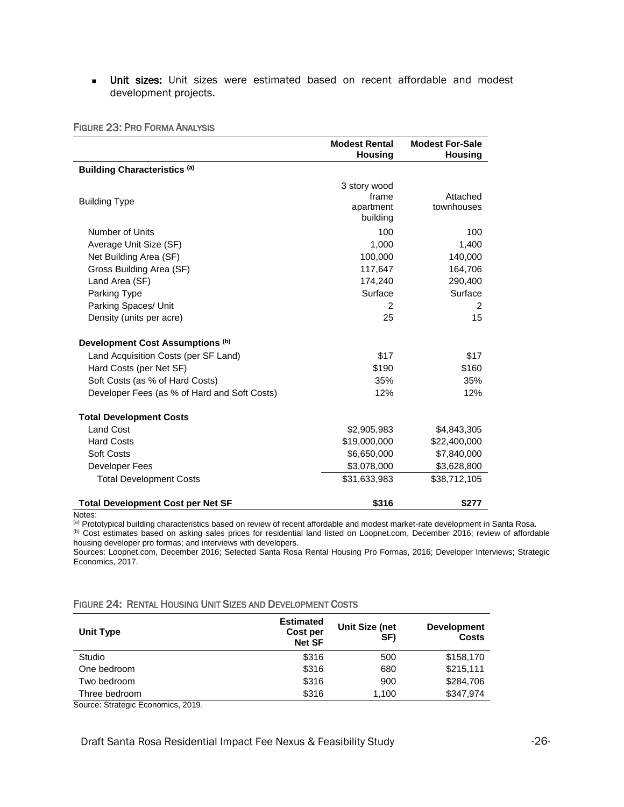**■** Unit sizes: Unit sizes were estimated based on recent affordable and modest development projects.

|                                              | <b>Modest Rental</b><br><b>Housing</b>         | <b>Modest For-Sale</b><br><b>Housing</b> |
|----------------------------------------------|------------------------------------------------|------------------------------------------|
| <b>Building Characteristics (a)</b>          |                                                |                                          |
| <b>Building Type</b>                         | 3 story wood<br>frame<br>apartment<br>building | Attached<br>townhouses                   |
| Number of Units                              | 100                                            | 100                                      |
| Average Unit Size (SF)                       | 1.000                                          | 1,400                                    |
| Net Building Area (SF)                       | 100,000                                        | 140,000                                  |
| Gross Building Area (SF)                     | 117,647                                        | 164,706                                  |
| Land Area (SF)                               | 174,240                                        | 290,400                                  |
| Parking Type                                 | Surface                                        | Surface                                  |
| Parking Spaces/ Unit                         | $\mathcal{P}$                                  | 2                                        |
| Density (units per acre)                     | 25                                             | 15                                       |
| Development Cost Assumptions (b)             |                                                |                                          |
| Land Acquisition Costs (per SF Land)         | \$17                                           | \$17                                     |
| Hard Costs (per Net SF)                      | \$190                                          | \$160                                    |
| Soft Costs (as % of Hard Costs)              | 35%                                            | 35%                                      |
| Developer Fees (as % of Hard and Soft Costs) | 12%                                            | 12%                                      |
| <b>Total Development Costs</b>               |                                                |                                          |
| <b>Land Cost</b>                             | \$2,905,983                                    | \$4,843,305                              |
| <b>Hard Costs</b>                            | \$19,000,000                                   | \$22,400,000                             |
| <b>Soft Costs</b>                            | \$6,650,000                                    | \$7,840,000                              |
| Developer Fees                               | \$3,078,000                                    | \$3,628,800                              |
| <b>Total Development Costs</b>               | \$31,633,983                                   | \$38,712,105                             |
| <b>Total Development Cost per Net SF</b>     | \$316                                          | \$277                                    |

Notes:

(a) Prototypical building characteristics based on review of recent affordable and modest market-rate development in Santa Rosa. (b) Cost estimates based on asking sales prices for residential land listed on Loopnet.com, December 2016; review of affordable housing developer pro formas; and interviews with developers.

Sources: Loopnet.com, December 2016; Selected Santa Rosa Rental Housing Pro Formas, 2016; Developer Interviews; Strategic Economics, 2017.

#### FIGURE 24: RENTAL HOUSING UNIT SIZES AND DEVELOPMENT COSTS

| Unit Type     | <b>Estimated</b><br>Cost per<br><b>Net SF</b> | Unit Size (net<br>SF) | <b>Development</b><br><b>Costs</b> |
|---------------|-----------------------------------------------|-----------------------|------------------------------------|
| Studio        | \$316                                         | 500                   | \$158,170                          |
| One bedroom   | \$316                                         | 680                   | \$215,111                          |
| Two bedroom   | \$316                                         | 900                   | \$284,706                          |
| Three bedroom | \$316                                         | 1.100                 | \$347,974                          |

Source: Strategic Economics, 2019.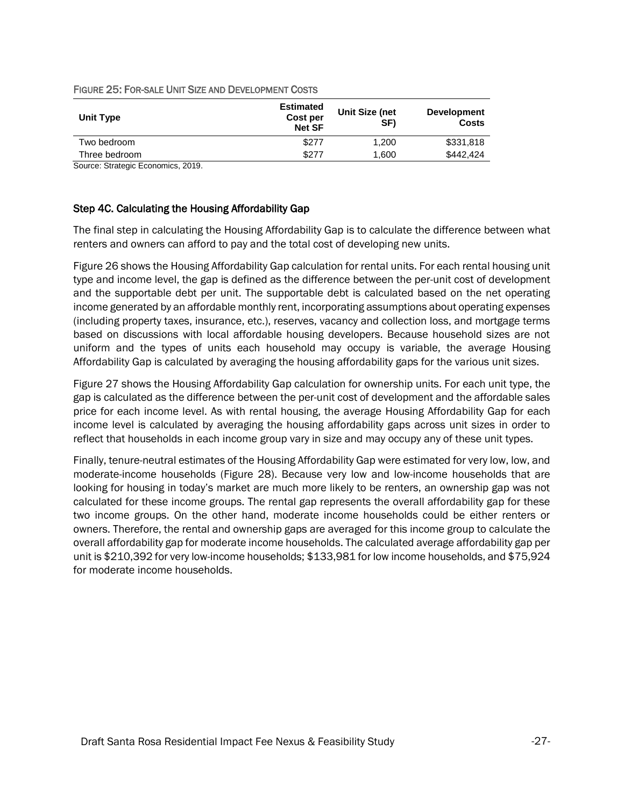| <b>Estimated</b><br><b>Cost per</b><br><b>Net SF</b> | Unit Size (net<br>SF) | <b>Development</b><br><b>Costs</b> |
|------------------------------------------------------|-----------------------|------------------------------------|
| \$277                                                | 1.200                 | \$331,818                          |
| \$277                                                | 1.600                 | \$442,424                          |
|                                                      |                       |                                    |

#### FIGURE 25: FOR-SALE UNIT SIZE AND DEVELOPMENT COSTS

Source: Strategic Economics, 2019.

#### Step 4C. Calculating the Housing Affordability Gap

The final step in calculating the Housing Affordability Gap is to calculate the difference between what renters and owners can afford to pay and the total cost of developing new units.

Figure 26 shows the Housing Affordability Gap calculation for rental units. For each rental housing unit type and income level, the gap is defined as the difference between the per-unit cost of development and the supportable debt per unit. The supportable debt is calculated based on the net operating income generated by an affordable monthly rent, incorporating assumptions about operating expenses (including property taxes, insurance, etc.), reserves, vacancy and collection loss, and mortgage terms based on discussions with local affordable housing developers. Because household sizes are not uniform and the types of units each household may occupy is variable, the average Housing Affordability Gap is calculated by averaging the housing affordability gaps for the various unit sizes.

Figure 27 shows the Housing Affordability Gap calculation for ownership units. For each unit type, the gap is calculated as the difference between the per-unit cost of development and the affordable sales price for each income level. As with rental housing, the average Housing Affordability Gap for each income level is calculated by averaging the housing affordability gaps across unit sizes in order to reflect that households in each income group vary in size and may occupy any of these unit types.

Finally, tenure-neutral estimates of the Housing Affordability Gap were estimated for very low, low, and moderate-income households (Figure 28). Because very low and low-income households that are looking for housing in today's market are much more likely to be renters, an ownership gap was not calculated for these income groups. The rental gap represents the overall affordability gap for these two income groups. On the other hand, moderate income households could be either renters or owners. Therefore, the rental and ownership gaps are averaged for this income group to calculate the overall affordability gap for moderate income households. The calculated average affordability gap per unit is \$210,392 for very low-income households; \$133,981 for low income households, and \$75,924 for moderate income households.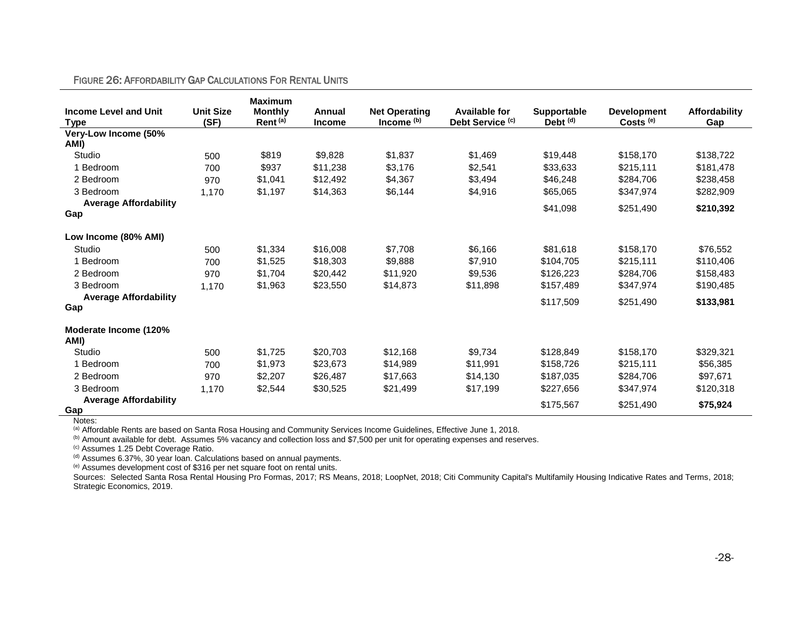#### FIGURE 26: AFFORDABILITY GAP CALCULATIONS FOR RENTAL UNITS

| <b>Income Level and Unit</b>        | <b>Unit Size</b> | <b>Maximum</b><br><b>Monthly</b> | Annual        | <b>Net Operating</b> | <b>Available for</b>        | Supportable         | <b>Development</b> | Affordability |
|-------------------------------------|------------------|----------------------------------|---------------|----------------------|-----------------------------|---------------------|--------------------|---------------|
| <b>Type</b>                         | (SF)             | Rent <sup>(a)</sup>              | <b>Income</b> | Income (b)           | Debt Service <sup>(c)</sup> | Debt <sup>(d)</sup> | $Costs^{(e)}$      | Gap           |
| Very-Low Income (50%<br>AMI)        |                  |                                  |               |                      |                             |                     |                    |               |
| Studio                              | 500              | \$819                            | \$9,828       | \$1,837              | \$1,469                     | \$19,448            | \$158,170          | \$138,722     |
| 1 Bedroom                           | 700              | \$937                            | \$11,238      | \$3,176              | \$2,541                     | \$33,633            | \$215,111          | \$181,478     |
| 2 Bedroom                           | 970              | \$1,041                          | \$12,492      | \$4,367              | \$3,494                     | \$46,248            | \$284,706          | \$238,458     |
| 3 Bedroom                           | 1,170            | \$1,197                          | \$14,363      | \$6,144              | \$4,916                     | \$65,065            | \$347,974          | \$282,909     |
| <b>Average Affordability</b><br>Gap |                  |                                  |               |                      |                             | \$41,098            | \$251,490          | \$210,392     |
| Low Income (80% AMI)                |                  |                                  |               |                      |                             |                     |                    |               |
| Studio                              | 500              | \$1,334                          | \$16,008      | \$7,708              | \$6,166                     | \$81,618            | \$158,170          | \$76,552      |
| 1 Bedroom                           | 700              | \$1,525                          | \$18,303      | \$9,888              | \$7,910                     | \$104,705           | \$215,111          | \$110,406     |
| 2 Bedroom                           | 970              | \$1,704                          | \$20,442      | \$11,920             | \$9,536                     | \$126,223           | \$284,706          | \$158,483     |
| 3 Bedroom                           | 1,170            | \$1,963                          | \$23,550      | \$14,873             | \$11,898                    | \$157,489           | \$347,974          | \$190,485     |
| <b>Average Affordability</b><br>Gap |                  |                                  |               |                      |                             | \$117,509           | \$251,490          | \$133,981     |
| Moderate Income (120%<br>AMI)       |                  |                                  |               |                      |                             |                     |                    |               |
| Studio                              | 500              | \$1,725                          | \$20.703      | \$12,168             | \$9,734                     | \$128,849           | \$158,170          | \$329,321     |
| 1 Bedroom                           | 700              | \$1,973                          | \$23,673      | \$14,989             | \$11,991                    | \$158,726           | \$215,111          | \$56,385      |
| 2 Bedroom                           | 970              | \$2,207                          | \$26,487      | \$17,663             | \$14,130                    | \$187,035           | \$284,706          | \$97,671      |
| 3 Bedroom                           | 1,170            | \$2,544                          | \$30,525      | \$21,499             | \$17,199                    | \$227,656           | \$347,974          | \$120,318     |
| <b>Average Affordability</b>        |                  |                                  |               |                      |                             | \$175,567           | \$251,490          | \$75,924      |
| Gap                                 |                  |                                  |               |                      |                             |                     |                    |               |

Notes:

(a) Affordable Rents are based on Santa Rosa Housing and Community Services Income Guidelines, Effective June 1, 2018.

(b) Amount available for debt. Assumes 5% vacancy and collection loss and \$7,500 per unit for operating expenses and reserves.

(c) Assumes 1.25 Debt Coverage Ratio.

 $<sup>(d)</sup>$  Assumes 6.37%, 30 year loan. Calculations based on annual payments.</sup>

(e) Assumes development cost of \$316 per net square foot on rental units.

Sources: Selected Santa Rosa Rental Housing Pro Formas, 2017; RS Means, 2018; LoopNet, 2018; Citi Community Capital's Multifamily Housing Indicative Rates and Terms, 2018; Strategic Economics, 2019.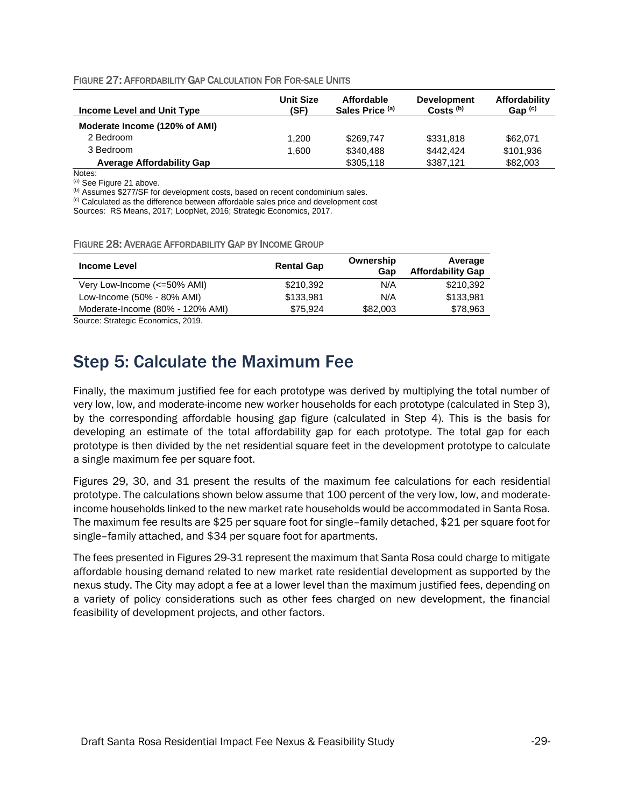| FIGURE 27: AFFORDABILITY GAP CALCULATION FOR FOR-SALE UNITS |  |
|-------------------------------------------------------------|--|
|-------------------------------------------------------------|--|

| Income Level and Unit Type       | <b>Unit Size</b><br>(SF) | <b>Affordable</b><br>Sales Price (a) | <b>Development</b><br>$Costs^{(b)}$ | Affordability<br>Gap $(c)$ |
|----------------------------------|--------------------------|--------------------------------------|-------------------------------------|----------------------------|
| Moderate Income (120% of AMI)    |                          |                                      |                                     |                            |
| 2 Bedroom                        | 1.200                    | \$269.747                            | \$331,818                           | \$62,071                   |
| 3 Bedroom                        | 1.600                    | \$340.488                            | \$442,424                           | \$101,936                  |
| <b>Average Affordability Gap</b> |                          | \$305,118                            | \$387,121                           | \$82,003                   |

Notes:

(a) See Figure 21 above.

(b) Assumes \$277/SF for development costs, based on recent condominium sales.

(c) Calculated as the difference between affordable sales price and development cost

Sources: RS Means, 2017; LoopNet, 2016; Strategic Economics, 2017.

| FIGURE 28: AVERAGE AFFORDABILITY GAP BY INCOME GROUP |  |
|------------------------------------------------------|--|
|------------------------------------------------------|--|

| <b>Income Level</b>              | <b>Rental Gap</b> | Ownership<br>Gan | Average<br><b>Affordability Gap</b> |
|----------------------------------|-------------------|------------------|-------------------------------------|
| Very Low-Income (<=50% AMI)      | \$210,392         | N/A              | \$210,392                           |
| Low-Income (50% - 80% AMI)       | \$133,981         | N/A              | \$133.981                           |
| Moderate-Income (80% - 120% AMI) | \$75.924          | \$82,003         | \$78,963                            |

Source: Strategic Economics, 2019.

### <span id="page-28-0"></span>Step 5: Calculate the Maximum Fee

Finally, the maximum justified fee for each prototype was derived by multiplying the total number of very low, low, and moderate-income new worker households for each prototype (calculated in Step 3), by the corresponding affordable housing gap figure (calculated in Step 4). This is the basis for developing an estimate of the total affordability gap for each prototype. The total gap for each prototype is then divided by the net residential square feet in the development prototype to calculate a single maximum fee per square foot.

Figures 29, 30, and 31 present the results of the maximum fee calculations for each residential prototype. The calculations shown below assume that 100 percent of the very low, low, and moderateincome households linked to the new market rate households would be accommodated in Santa Rosa. The maximum fee results are \$25 per square foot for single–family detached, \$21 per square foot for single–family attached, and \$34 per square foot for apartments.

The fees presented in Figures 29-31 represent the maximum that Santa Rosa could charge to mitigate affordable housing demand related to new market rate residential development as supported by the nexus study. The City may adopt a fee at a lower level than the maximum justified fees, depending on a variety of policy considerations such as other fees charged on new development, the financial feasibility of development projects, and other factors.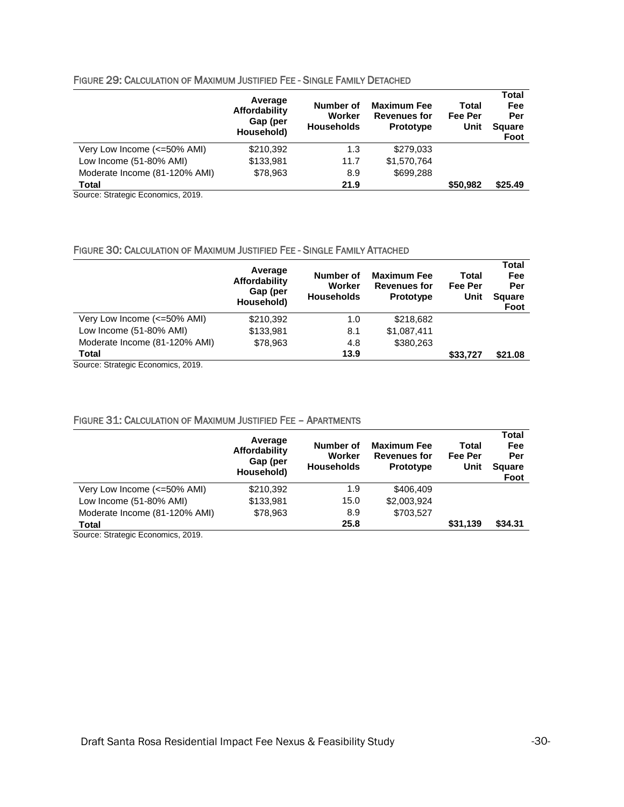#### FIGURE 29: CALCULATION OF MAXIMUM JUSTIFIED FEE - SINGLE FAMILY DETACHED

|                               | Average<br>Affordability<br>Gap (per<br>Household) | Number of<br>Worker<br><b>Households</b> | <b>Maximum Fee</b><br><b>Revenues for</b><br>Prototype | Total<br>Fee Per<br>Unit | <b>Total</b><br>Fee<br>Per<br><b>Square</b><br>Foot |
|-------------------------------|----------------------------------------------------|------------------------------------------|--------------------------------------------------------|--------------------------|-----------------------------------------------------|
| Very Low Income (<=50% AMI)   | \$210,392                                          | 1.3                                      | \$279,033                                              |                          |                                                     |
| Low Income (51-80% AMI)       | \$133,981                                          | 11.7                                     | \$1,570,764                                            |                          |                                                     |
| Moderate Income (81-120% AMI) | \$78,963                                           | 8.9                                      | \$699,288                                              |                          |                                                     |
| <b>Total</b>                  |                                                    | 21.9                                     |                                                        | \$50,982                 | \$25.49                                             |

Source: Strategic Economics, 2019.

#### FIGURE 30: CALCULATION OF MAXIMUM JUSTIFIED FEE - SINGLE FAMILY ATTACHED

|                               | Average<br>Affordability<br>Gap (per<br>Household) | Number of<br>Worker<br><b>Households</b> | <b>Maximum Fee</b><br><b>Revenues for</b><br>Prototype | Total<br>Fee Per<br>Unit | <b>Total</b><br>Fee<br>Per<br><b>Square</b><br>Foot |
|-------------------------------|----------------------------------------------------|------------------------------------------|--------------------------------------------------------|--------------------------|-----------------------------------------------------|
| Very Low Income (<=50% AMI)   | \$210,392                                          | 1.0                                      | \$218,682                                              |                          |                                                     |
| Low Income (51-80% AMI)       | \$133,981                                          | 8.1                                      | \$1,087,411                                            |                          |                                                     |
| Moderate Income (81-120% AMI) | \$78.963                                           | 4.8                                      | \$380.263                                              |                          |                                                     |
| Total                         |                                                    | 13.9                                     |                                                        | \$33,727                 | \$21.08                                             |

Source: Strategic Economics, 2019.

#### FIGURE 31: CALCULATION OF MAXIMUM JUSTIFIED FEE – APARTMENTS

|                               | Average<br>Affordability<br>Gap (per<br>Household) | Number of<br>Worker<br><b>Households</b> | <b>Maximum Fee</b><br><b>Revenues for</b><br>Prototype | Total<br>Fee Per<br>Unit | <b>Total</b><br>Fee<br>Per<br><b>Square</b><br>Foot |
|-------------------------------|----------------------------------------------------|------------------------------------------|--------------------------------------------------------|--------------------------|-----------------------------------------------------|
| Very Low Income (<=50% AMI)   | \$210,392                                          | 1.9                                      | \$406.409                                              |                          |                                                     |
| Low Income (51-80% AMI)       | \$133,981                                          | 15.0                                     | \$2,003,924                                            |                          |                                                     |
| Moderate Income (81-120% AMI) | \$78,963                                           | 8.9                                      | \$703,527                                              |                          |                                                     |
| <b>Total</b><br>______        |                                                    | 25.8                                     |                                                        | \$31,139                 | \$34.31                                             |

Source: Strategic Economics, 2019.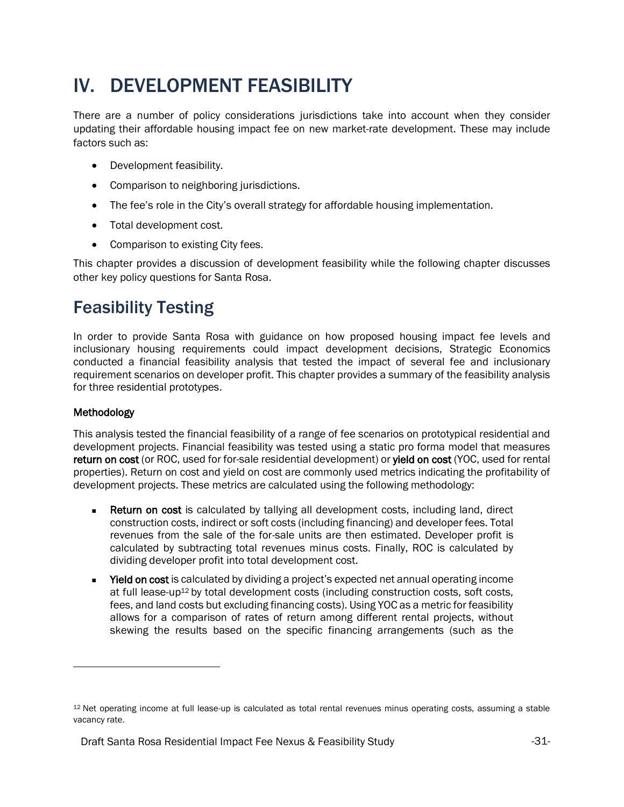# <span id="page-30-0"></span>IV. DEVELOPMENT FEASIBILITY

There are a number of policy considerations jurisdictions take into account when they consider updating their affordable housing impact fee on new market-rate development. These may include factors such as:

- Development feasibility.
- Comparison to neighboring jurisdictions.
- The fee's role in the City's overall strategy for affordable housing implementation.
- Total development cost.
- Comparison to existing City fees.

This chapter provides a discussion of development feasibility while the following chapter discusses other key policy questions for Santa Rosa.

### <span id="page-30-1"></span>Feasibility Testing

In order to provide Santa Rosa with guidance on how proposed housing impact fee levels and inclusionary housing requirements could impact development decisions, Strategic Economics conducted a financial feasibility analysis that tested the impact of several fee and inclusionary requirement scenarios on developer profit. This chapter provides a summary of the feasibility analysis for three residential prototypes.

#### Methodology

This analysis tested the financial feasibility of a range of fee scenarios on prototypical residential and development projects. Financial feasibility was tested using a static pro forma model that measures return on cost (or ROC, used for for-sale residential development) or yield on cost (YOC, used for rental properties). Return on cost and yield on cost are commonly used metrics indicating the profitability of development projects. These metrics are calculated using the following methodology:

- Return on cost is calculated by tallying all development costs, including land, direct construction costs, indirect or soft costs (including financing) and developer fees. Total revenues from the sale of the for-sale units are then estimated. Developer profit is calculated by subtracting total revenues minus costs. Finally, ROC is calculated by dividing developer profit into total development cost.
- **■** Yield on cost is calculated by dividing a project's expected net annual operating income at full lease-up<sup>12</sup> by total development costs (including construction costs, soft costs, fees, and land costs but excluding financing costs). Using YOC as a metric for feasibility allows for a comparison of rates of return among different rental projects, without skewing the results based on the specific financing arrangements (such as the

<sup>12</sup> Net operating income at full lease-up is calculated as total rental revenues minus operating costs, assuming a stable vacancy rate.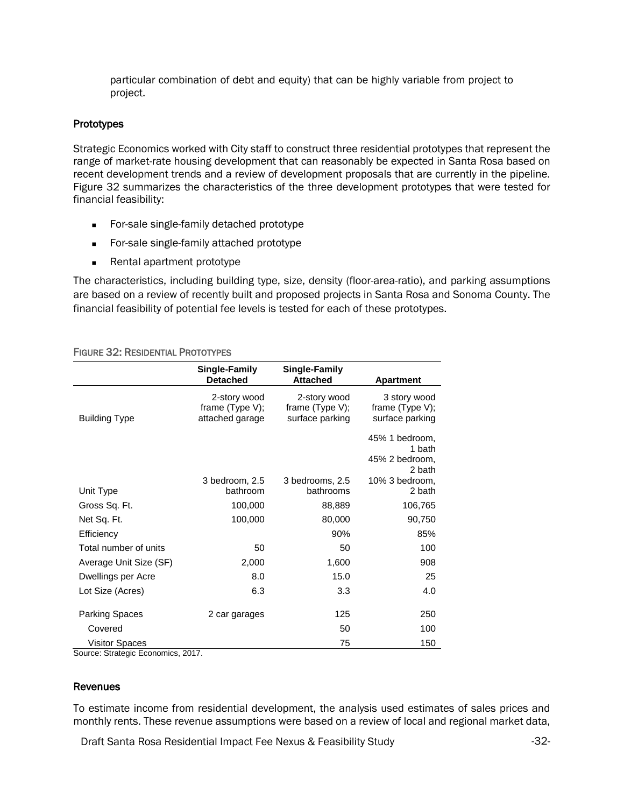particular combination of debt and equity) that can be highly variable from project to project.

#### **Prototypes**

Strategic Economics worked with City staff to construct three residential prototypes that represent the range of market-rate housing development that can reasonably be expected in Santa Rosa based on recent development trends and a review of development proposals that are currently in the pipeline. Figure 32 summarizes the characteristics of the three development prototypes that were tested for financial feasibility:

- For-sale single-family detached prototype
- For-sale single-family attached prototype
- Rental apartment prototype

The characteristics, including building type, size, density (floor-area-ratio), and parking assumptions are based on a review of recently built and proposed projects in Santa Rosa and Sonoma County. The financial feasibility of potential fee levels is tested for each of these prototypes.

|                                                            | Single-Family<br><b>Detached</b>                      | Single-Family<br><b>Attached</b>                      | <b>Apartment</b>                                     |
|------------------------------------------------------------|-------------------------------------------------------|-------------------------------------------------------|------------------------------------------------------|
| <b>Building Type</b>                                       | 2-story wood<br>frame $(Type V)$ ;<br>attached garage | 2-story wood<br>frame $(Type V)$ ;<br>surface parking | 3 story wood<br>frame (Type V);<br>surface parking   |
|                                                            |                                                       |                                                       | 45% 1 bedroom,<br>1 bath<br>45% 2 bedroom,<br>2 bath |
| Unit Type                                                  | 3 bedroom, 2.5<br>bathroom                            | 3 bedrooms, 2.5<br>bathrooms                          | 10% 3 bedroom,<br>2 bath                             |
| Gross Sq. Ft.                                              | 100,000                                               | 88,889                                                | 106,765                                              |
| Net Sq. Ft.                                                | 100,000                                               | 80,000                                                | 90,750                                               |
| Efficiency                                                 |                                                       | 90%                                                   | 85%                                                  |
| Total number of units                                      | 50                                                    | 50                                                    | 100                                                  |
| Average Unit Size (SF)                                     | 2,000                                                 | 1,600                                                 | 908                                                  |
| Dwellings per Acre                                         | 8.0                                                   | 15.0                                                  | 25                                                   |
| Lot Size (Acres)                                           | 6.3                                                   | 3.3                                                   | 4.0                                                  |
| Parking Spaces                                             | 2 car garages                                         | 125                                                   | 250                                                  |
| Covered                                                    |                                                       | 50                                                    | 100                                                  |
| <b>Visitor Spaces</b><br>Source: Strategic Fronomics, 2017 |                                                       | 75                                                    | 150                                                  |

#### FIGURE 32: RESIDENTIAL PROTOTYPES

Source: Strategic Economics, 2017.

#### Revenues

To estimate income from residential development, the analysis used estimates of sales prices and monthly rents. These revenue assumptions were based on a review of local and regional market data,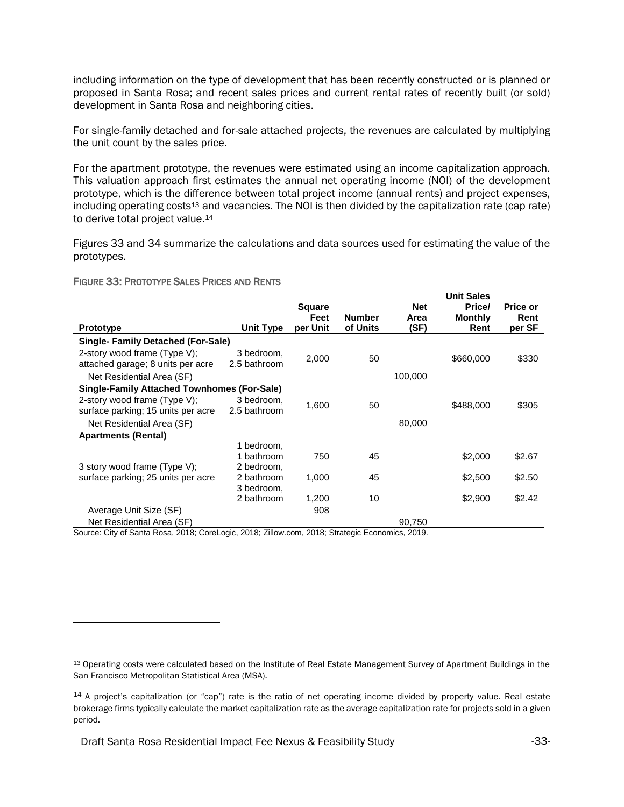including information on the type of development that has been recently constructed or is planned or proposed in Santa Rosa; and recent sales prices and current rental rates of recently built (or sold) development in Santa Rosa and neighboring cities.

For single-family detached and for-sale attached projects, the revenues are calculated by multiplying the unit count by the sales price.

For the apartment prototype, the revenues were estimated using an income capitalization approach. This valuation approach first estimates the annual net operating income (NOI) of the development prototype, which is the difference between total project income (annual rents) and project expenses, including operating costs<sup>13</sup> and vacancies. The NOI is then divided by the capitalization rate (cap rate) to derive total project value.<sup>14</sup>

Figures 33 and 34 summarize the calculations and data sources used for estimating the value of the prototypes.

#### FIGURE 33: PROTOTYPE SALES PRICES AND RENTS

|                                                                    |                            | <b>Square</b> |                                              | <b>Net</b> | <b>Unit Sales</b><br>Price/ | Price or |
|--------------------------------------------------------------------|----------------------------|---------------|----------------------------------------------|------------|-----------------------------|----------|
|                                                                    |                            | Feet          | <b>Number</b>                                | Area       | <b>Monthly</b>              | Rent     |
| <b>Prototype</b>                                                   | Unit Type                  | per Unit      | of Units                                     | (SF)       | Rent                        | per SF   |
| <b>Single-Family Detached (For-Sale)</b>                           |                            |               |                                              |            |                             |          |
| 2-story wood frame (Type V);<br>attached garage; 8 units per acre  | 3 bedroom,<br>2.5 bathroom | 2,000         | 50                                           |            | \$660,000                   | \$330    |
| Net Residential Area (SF)                                          |                            |               |                                              | 100,000    |                             |          |
| <b>Single-Family Attached Townhomes (For-Sale)</b>                 |                            |               |                                              |            |                             |          |
| 2-story wood frame (Type V);<br>surface parking; 15 units per acre | 3 bedroom,<br>2.5 bathroom | 1,600         | 50                                           |            | \$488,000                   | \$305    |
| Net Residential Area (SF)                                          |                            |               |                                              | 80,000     |                             |          |
| <b>Apartments (Rental)</b>                                         |                            |               |                                              |            |                             |          |
|                                                                    | 1 bedroom,                 |               |                                              |            |                             |          |
|                                                                    | 1 bathroom                 | 750           | 45                                           |            | \$2,000                     | \$2.67   |
| 3 story wood frame (Type V);                                       | 2 bedroom,                 |               |                                              |            |                             |          |
| surface parking; 25 units per acre                                 | 2 bathroom                 | 1,000         | 45                                           |            | \$2,500                     | \$2.50   |
|                                                                    | 3 bedroom,                 |               |                                              |            |                             |          |
|                                                                    | 2 bathroom                 | 1,200         | 10                                           |            | \$2,900                     | \$2.42   |
| Average Unit Size (SF)                                             |                            | 908           |                                              |            |                             |          |
| Net Residential Area (SF)                                          |                            |               | $0.040$ , $0.0001$ , $0.0001$ , $F_{\alpha}$ | 90,750     |                             |          |

Source: City of Santa Rosa, 2018; CoreLogic, 2018; Zillow.com, 2018; Strategic Economics, 2019.

<sup>13</sup> Operating costs were calculated based on the Institute of Real Estate Management Survey of Apartment Buildings in the San Francisco Metropolitan Statistical Area (MSA).

<sup>14</sup> A project's capitalization (or "cap") rate is the ratio of net operating income divided by property value. Real estate brokerage firms typically calculate the market capitalization rate as the average capitalization rate for projects sold in a given period.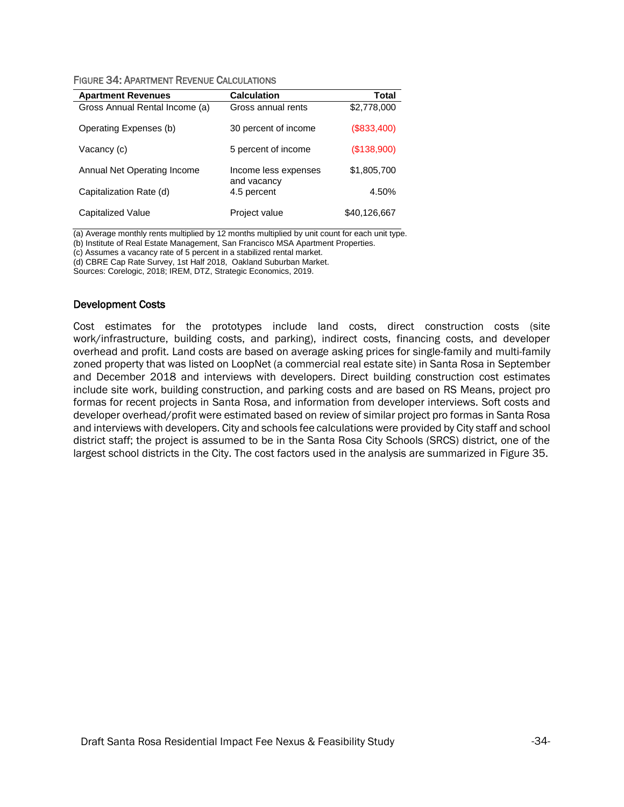| <b>Apartment Revenues</b>      | <b>Calculation</b>                  | Total        |
|--------------------------------|-------------------------------------|--------------|
| Gross Annual Rental Income (a) | Gross annual rents                  | \$2,778,000  |
| Operating Expenses (b)         | 30 percent of income                | (S833,400)   |
| Vacancy (c)                    | 5 percent of income                 | (\$138,900)  |
| Annual Net Operating Income    | Income less expenses<br>and vacancy | \$1,805,700  |
| Capitalization Rate (d)        | 4.5 percent                         | 4.50%        |
| Capitalized Value              | Project value                       | \$40,126,667 |

(a) Average monthly rents multiplied by 12 months multiplied by unit count for each unit type.

(b) Institute of Real Estate Management, San Francisco MSA Apartment Properties.

(c) Assumes a vacancy rate of 5 percent in a stabilized rental market.

(d) CBRE Cap Rate Survey, 1st Half 2018, Oakland Suburban Market.

Sources: Corelogic, 2018; IREM, DTZ, Strategic Economics, 2019.

#### Development Costs

Cost estimates for the prototypes include land costs, direct construction costs (site work/infrastructure, building costs, and parking), indirect costs, financing costs, and developer overhead and profit. Land costs are based on average asking prices for single-family and multi-family zoned property that was listed on LoopNet (a commercial real estate site) in Santa Rosa in September and December 2018 and interviews with developers. Direct building construction cost estimates include site work, building construction, and parking costs and are based on RS Means, project pro formas for recent projects in Santa Rosa, and information from developer interviews. Soft costs and developer overhead/profit were estimated based on review of similar project pro formas in Santa Rosa and interviews with developers. City and schools fee calculations were provided by City staff and school district staff; the project is assumed to be in the Santa Rosa City Schools (SRCS) district, one of the largest school districts in the City. The cost factors used in the analysis are summarized in Figure 35.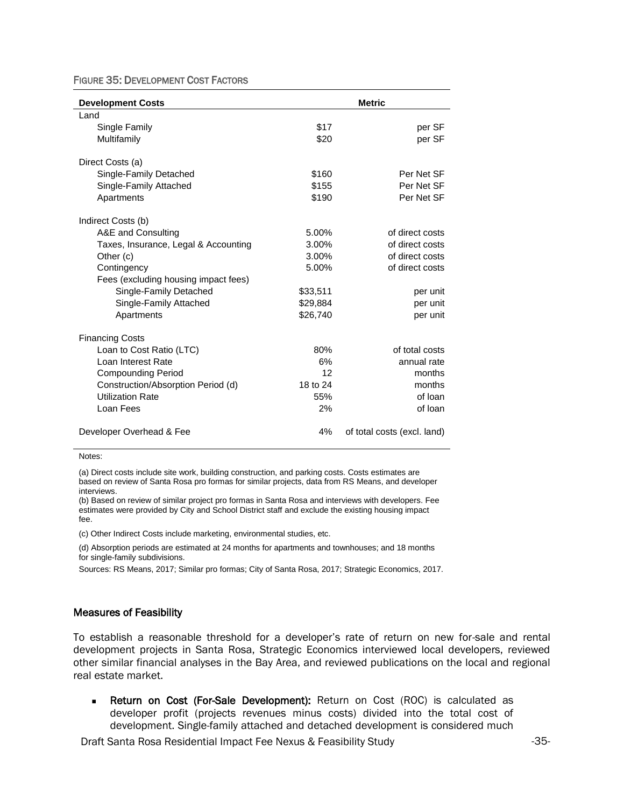FIGURE 35: DEVELOPMENT COST FACTORS

| <b>Development Costs</b>             |          | <b>Metric</b>               |
|--------------------------------------|----------|-----------------------------|
| Land                                 |          |                             |
| Single Family                        | \$17     | per SF                      |
| Multifamily                          | \$20     | per SF                      |
| Direct Costs (a)                     |          |                             |
| Single-Family Detached               | \$160    | Per Net SF                  |
| Single-Family Attached               | \$155    | Per Net SF                  |
| Apartments                           | \$190    | Per Net SF                  |
| Indirect Costs (b)                   |          |                             |
| A&E and Consulting                   | 5.00%    | of direct costs             |
| Taxes, Insurance, Legal & Accounting | 3.00%    | of direct costs             |
| Other (c)                            | 3.00%    | of direct costs             |
| Contingency                          | 5.00%    | of direct costs             |
| Fees (excluding housing impact fees) |          |                             |
| Single-Family Detached               | \$33,511 | per unit                    |
| Single-Family Attached               | \$29,884 | per unit                    |
| Apartments                           | \$26,740 | per unit                    |
| <b>Financing Costs</b>               |          |                             |
| Loan to Cost Ratio (LTC)             | 80%      | of total costs              |
| Loan Interest Rate                   | 6%       | annual rate                 |
| <b>Compounding Period</b>            | 12       | months                      |
| Construction/Absorption Period (d)   | 18 to 24 | months                      |
| <b>Utilization Rate</b>              | 55%      | of loan                     |
| Loan Fees                            | 2%       | of loan                     |
| Developer Overhead & Fee             | 4%       | of total costs (excl. land) |

Notes:

(a) Direct costs include site work, building construction, and parking costs. Costs estimates are based on review of Santa Rosa pro formas for similar projects, data from RS Means, and developer interviews.

(b) Based on review of similar project pro formas in Santa Rosa and interviews with developers. Fee estimates were provided by City and School District staff and exclude the existing housing impact fee.

(c) Other Indirect Costs include marketing, environmental studies, etc.

(d) Absorption periods are estimated at 24 months for apartments and townhouses; and 18 months for single-family subdivisions.

Sources: RS Means, 2017; Similar pro formas; City of Santa Rosa, 2017; Strategic Economics, 2017.

#### Measures of Feasibility

To establish a reasonable threshold for a developer's rate of return on new for-sale and rental development projects in Santa Rosa, Strategic Economics interviewed local developers, reviewed other similar financial analyses in the Bay Area, and reviewed publications on the local and regional real estate market.

■ Return on Cost (For-Sale Development): Return on Cost (ROC) is calculated as developer profit (projects revenues minus costs) divided into the total cost of development. Single-family attached and detached development is considered much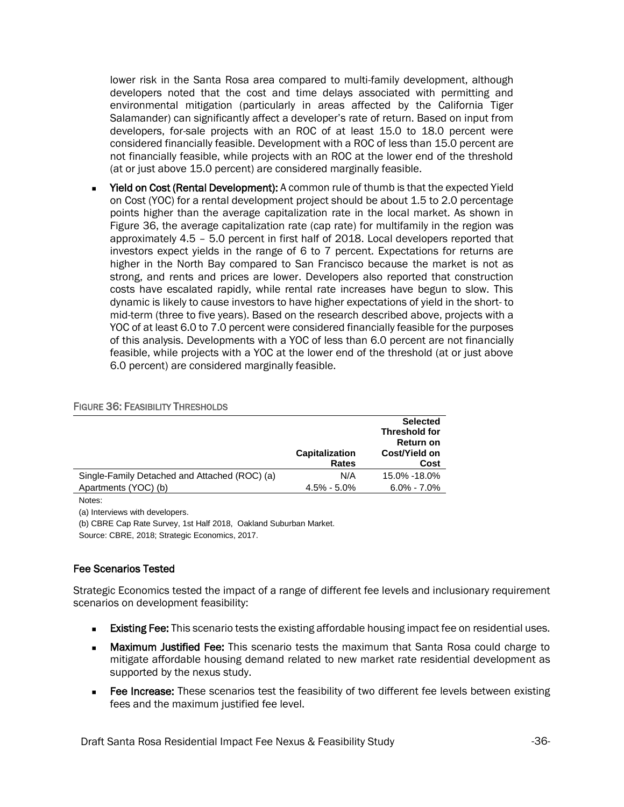lower risk in the Santa Rosa area compared to multi-family development, although developers noted that the cost and time delays associated with permitting and environmental mitigation (particularly in areas affected by the California Tiger Salamander) can significantly affect a developer's rate of return. Based on input from developers, for-sale projects with an ROC of at least 15.0 to 18.0 percent were considered financially feasible. Development with a ROC of less than 15.0 percent are not financially feasible, while projects with an ROC at the lower end of the threshold (at or just above 15.0 percent) are considered marginally feasible.

■ Yield on Cost (Rental Development): A common rule of thumb is that the expected Yield on Cost (YOC) for a rental development project should be about 1.5 to 2.0 percentage points higher than the average capitalization rate in the local market. As shown in Figure 36, the average capitalization rate (cap rate) for multifamily in the region was approximately 4.5 – 5.0 percent in first half of 2018. Local developers reported that investors expect yields in the range of 6 to 7 percent. Expectations for returns are higher in the North Bay compared to San Francisco because the market is not as strong, and rents and prices are lower. Developers also reported that construction costs have escalated rapidly, while rental rate increases have begun to slow. This dynamic is likely to cause investors to have higher expectations of yield in the short- to mid-term (three to five years). Based on the research described above, projects with a YOC of at least 6.0 to 7.0 percent were considered financially feasible for the purposes of this analysis. Developments with a YOC of less than 6.0 percent are not financially feasible, while projects with a YOC at the lower end of the threshold (at or just above 6.0 percent) are considered marginally feasible.

|                                               | <b>Capitalization</b><br><b>Rates</b> | <b>Selected</b><br><b>Threshold for</b><br><b>Return on</b><br>Cost/Yield on<br>Cost |
|-----------------------------------------------|---------------------------------------|--------------------------------------------------------------------------------------|
| Single-Family Detached and Attached (ROC) (a) | N/A                                   | 15.0% -18.0%                                                                         |
| Apartments (YOC) (b)                          | $4.5\%$ - $5.0\%$                     | $6.0\% - 7.0\%$                                                                      |

#### FIGURE 36: FEASIBILITY THRESHOLDS

Notes:

(a) Interviews with developers.

(b) CBRE Cap Rate Survey, 1st Half 2018, Oakland Suburban Market.

Source: CBRE, 2018; Strategic Economics, 2017.

#### Fee Scenarios Tested

Strategic Economics tested the impact of a range of different fee levels and inclusionary requirement scenarios on development feasibility:

- **Existing Fee:** This scenario tests the existing affordable housing impact fee on residential uses.
- **Maximum Justified Fee:** This scenario tests the maximum that Santa Rosa could charge to mitigate affordable housing demand related to new market rate residential development as supported by the nexus study.
- Fee Increase: These scenarios test the feasibility of two different fee levels between existing fees and the maximum justified fee level.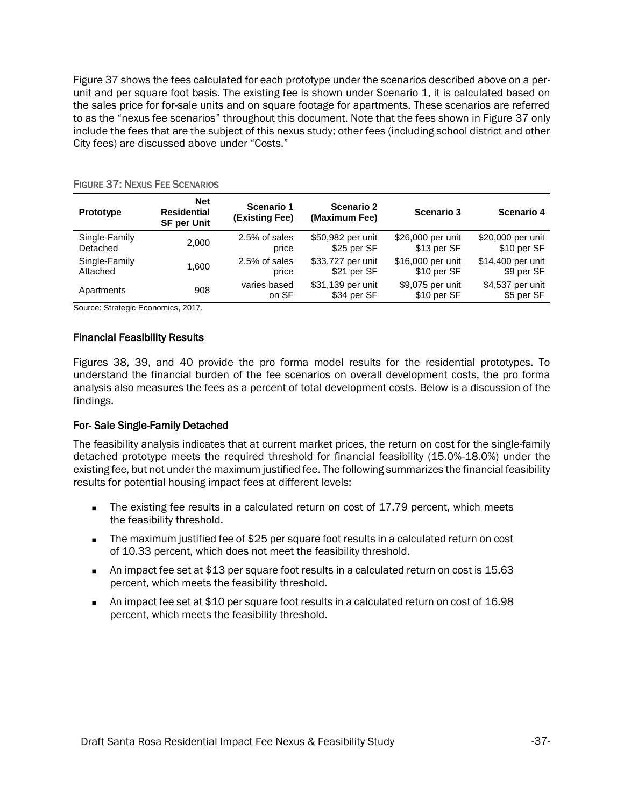Figure 37 shows the fees calculated for each prototype under the scenarios described above on a perunit and per square foot basis. The existing fee is shown under Scenario 1, it is calculated based on the sales price for for-sale units and on square footage for apartments. These scenarios are referred to as the "nexus fee scenarios" throughout this document. Note that the fees shown in Figure 37 only include the fees that are the subject of this nexus study; other fees (including school district and other City fees) are discussed above under "Costs."

| <b>Prototype</b> | <b>Net</b><br><b>Residential</b><br><b>SF per Unit</b> | Scenario 1<br>(Existing Fee) | <b>Scenario 2</b><br>(Maximum Fee) | <b>Scenario 3</b>               | Scenario 4                     |
|------------------|--------------------------------------------------------|------------------------------|------------------------------------|---------------------------------|--------------------------------|
| Single-Family    | 2,000                                                  | 2.5% of sales                | \$50,982 per unit                  | \$26,000 per unit               | \$20,000 per unit              |
| Detached         |                                                        | price                        | \$25 per SF                        | \$13 per SF                     | \$10 per SF                    |
| Single-Family    | 1.600                                                  | 2.5% of sales                | \$33,727 per unit                  | \$16,000 per unit               | \$14,400 per unit              |
| Attached         |                                                        | price                        | \$21 per SF                        | \$10 per SF                     | \$9 per SF                     |
| Apartments       | 908                                                    | varies based<br>on SF        | \$31,139 per unit<br>\$34 per SF   | \$9,075 per unit<br>\$10 per SF | \$4,537 per unit<br>\$5 per SF |

#### FIGURE 37: NEXUS FEE SCENARIOS

Source: Strategic Economics, 2017.

#### Financial Feasibility Results

Figures 38, 39, and 40 provide the pro forma model results for the residential prototypes. To understand the financial burden of the fee scenarios on overall development costs, the pro forma analysis also measures the fees as a percent of total development costs. Below is a discussion of the findings.

#### For- Sale Single-Family Detached

The feasibility analysis indicates that at current market prices, the return on cost for the single-family detached prototype meets the required threshold for financial feasibility (15.0%-18.0%) under the existing fee, but not under the maximum justified fee. The following summarizes the financial feasibility results for potential housing impact fees at different levels:

- The existing fee results in a calculated return on cost of 17.79 percent, which meets the feasibility threshold.
- The maximum justified fee of \$25 per square foot results in a calculated return on cost of 10.33 percent, which does not meet the feasibility threshold.
- An impact fee set at \$13 per square foot results in a calculated return on cost is 15.63 percent, which meets the feasibility threshold.
- An impact fee set at \$10 per square foot results in a calculated return on cost of 16.98 percent, which meets the feasibility threshold.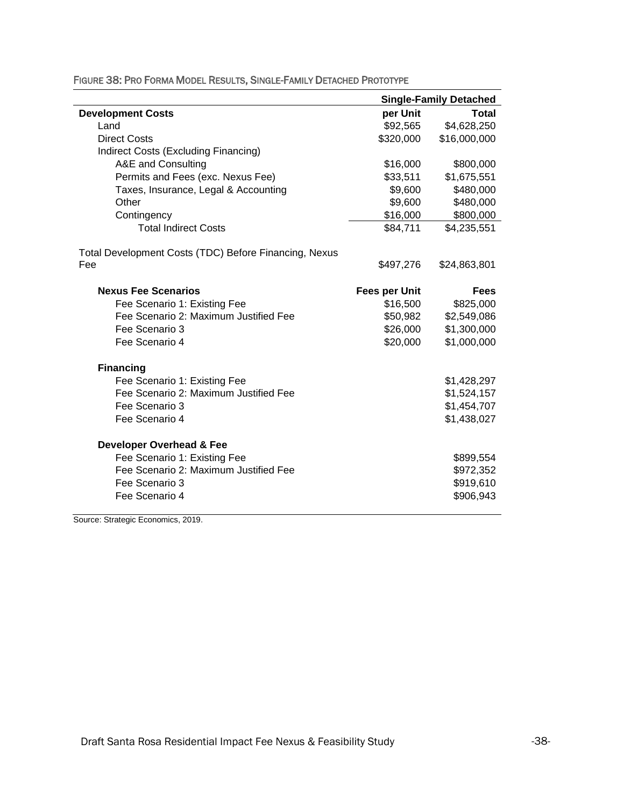|                                                       |                      | <b>Single-Family Detached</b> |
|-------------------------------------------------------|----------------------|-------------------------------|
| <b>Development Costs</b>                              | per Unit             | <b>Total</b>                  |
| Land                                                  | \$92,565             | \$4,628,250                   |
| <b>Direct Costs</b>                                   | \$320,000            | \$16,000,000                  |
| Indirect Costs (Excluding Financing)                  |                      |                               |
| A&E and Consulting                                    | \$16,000             | \$800,000                     |
| Permits and Fees (exc. Nexus Fee)                     | \$33,511             | \$1,675,551                   |
| Taxes, Insurance, Legal & Accounting                  | \$9,600              | \$480,000                     |
| Other                                                 | \$9,600              | \$480,000                     |
| Contingency                                           | \$16,000             | \$800,000                     |
| <b>Total Indirect Costs</b>                           | \$84,711             | \$4,235,551                   |
| Total Development Costs (TDC) Before Financing, Nexus |                      |                               |
| Fee                                                   | \$497,276            | \$24,863,801                  |
| <b>Nexus Fee Scenarios</b>                            | <b>Fees per Unit</b> | <b>Fees</b>                   |
| Fee Scenario 1: Existing Fee                          | \$16,500             | \$825,000                     |
| Fee Scenario 2: Maximum Justified Fee                 | \$50,982             | \$2,549,086                   |
| Fee Scenario 3                                        | \$26,000             | \$1,300,000                   |
| Fee Scenario 4                                        | \$20,000             | \$1,000,000                   |
| <b>Financing</b>                                      |                      |                               |
| Fee Scenario 1: Existing Fee                          |                      | \$1,428,297                   |
| Fee Scenario 2: Maximum Justified Fee                 |                      | \$1,524,157                   |
| Fee Scenario 3                                        |                      | \$1,454,707                   |
| Fee Scenario 4                                        |                      | \$1,438,027                   |
| <b>Developer Overhead &amp; Fee</b>                   |                      |                               |
| Fee Scenario 1: Existing Fee                          |                      | \$899,554                     |
| Fee Scenario 2: Maximum Justified Fee                 |                      | \$972,352                     |
| Fee Scenario 3                                        |                      | \$919,610                     |
| Fee Scenario 4                                        |                      | \$906,943                     |

FIGURE 38: PRO FORMA MODEL RESULTS, SINGLE-FAMILY DETACHED PROTOTYPE

Source: Strategic Economics, 2019.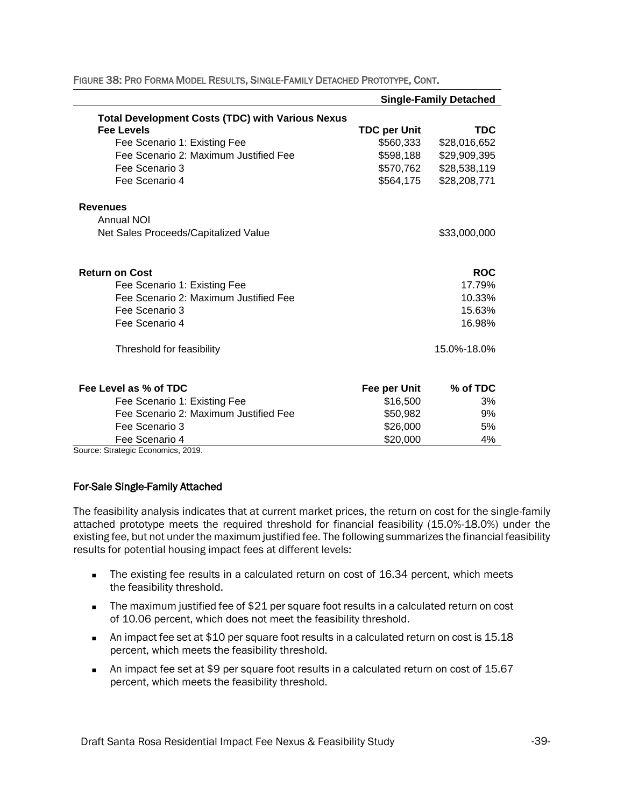|                                                         |                     | <b>Single-Family Detached</b> |
|---------------------------------------------------------|---------------------|-------------------------------|
| <b>Total Development Costs (TDC) with Various Nexus</b> |                     |                               |
| <b>Fee Levels</b>                                       | <b>TDC per Unit</b> | <b>TDC</b>                    |
| Fee Scenario 1: Existing Fee                            | \$560,333           | \$28,016,652                  |
| Fee Scenario 2: Maximum Justified Fee                   | \$598,188           | \$29,909,395                  |
| Fee Scenario 3                                          | \$570,762           | \$28,538,119                  |
| Fee Scenario 4                                          | \$564,175           | \$28,208,771                  |
| <b>Revenues</b>                                         |                     |                               |
| Annual NOI                                              |                     |                               |
| Net Sales Proceeds/Capitalized Value                    |                     | \$33,000,000                  |
| <b>Return on Cost</b>                                   |                     | <b>ROC</b>                    |
| Fee Scenario 1: Existing Fee                            |                     | 17.79%                        |
| Fee Scenario 2: Maximum Justified Fee                   |                     | 10.33%                        |
| Fee Scenario 3                                          |                     | 15.63%                        |
| Fee Scenario 4                                          |                     | 16.98%                        |
| Threshold for feasibility                               |                     | 15.0%-18.0%                   |
| Fee Level as % of TDC                                   | Fee per Unit        | % of TDC                      |
| Fee Scenario 1: Existing Fee                            | \$16,500            | 3%                            |
| Fee Scenario 2: Maximum Justified Fee                   | \$50,982            | 9%                            |
| Fee Scenario 3                                          | \$26,000            | 5%                            |
| Fee Scenario 4                                          | \$20,000            | 4%                            |
| Source: Strategic Economics, 2019.                      |                     |                               |

FIGURE 38: PRO FORMA MODEL RESULTS, SINGLE-FAMILY DETACHED PROTOTYPE, CONT.

#### For-Sale Single-Family Attached

The feasibility analysis indicates that at current market prices, the return on cost for the single-family attached prototype meets the required threshold for financial feasibility (15.0%-18.0%) under the existing fee, but not under the maximum justified fee. The following summarizes the financial feasibility results for potential housing impact fees at different levels:

- The existing fee results in a calculated return on cost of 16.34 percent, which meets the feasibility threshold.
- The maximum justified fee of \$21 per square foot results in a calculated return on cost of 10.06 percent, which does not meet the feasibility threshold.
- An impact fee set at \$10 per square foot results in a calculated return on cost is 15.18 percent, which meets the feasibility threshold.
- An impact fee set at \$9 per square foot results in a calculated return on cost of 15.67 percent, which meets the feasibility threshold.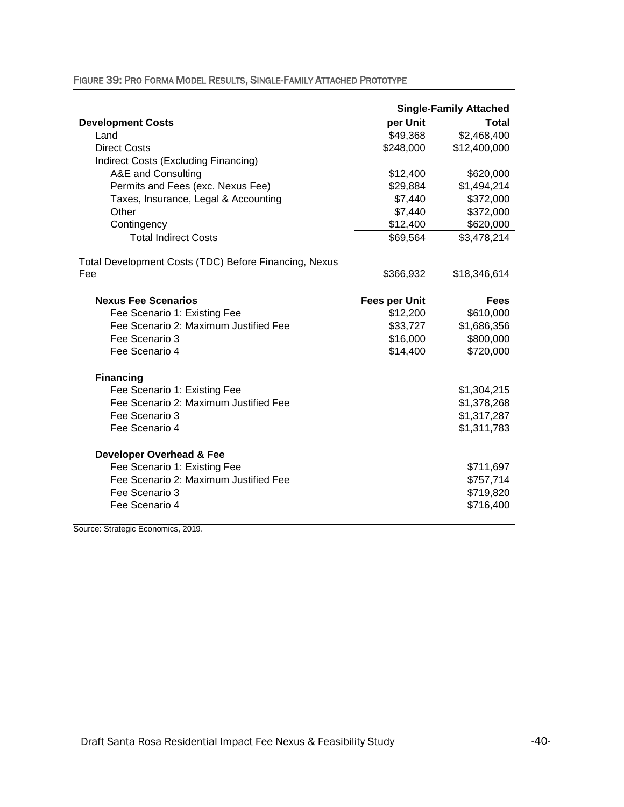|                                                       | <b>Single-Family Attached</b> |              |
|-------------------------------------------------------|-------------------------------|--------------|
| <b>Development Costs</b>                              | per Unit                      | <b>Total</b> |
| Land                                                  | \$49,368                      | \$2,468,400  |
| <b>Direct Costs</b>                                   | \$248,000                     | \$12,400,000 |
| Indirect Costs (Excluding Financing)                  |                               |              |
| A&E and Consulting                                    | \$12,400                      | \$620,000    |
| Permits and Fees (exc. Nexus Fee)                     | \$29,884                      | \$1,494,214  |
| Taxes, Insurance, Legal & Accounting                  | \$7,440                       | \$372,000    |
| Other                                                 | \$7,440                       | \$372,000    |
| Contingency                                           | \$12,400                      | \$620,000    |
| <b>Total Indirect Costs</b>                           | \$69,564                      | \$3,478,214  |
| Total Development Costs (TDC) Before Financing, Nexus |                               |              |
| Fee                                                   | \$366,932                     | \$18,346,614 |
| <b>Nexus Fee Scenarios</b>                            | <b>Fees per Unit</b>          | <b>Fees</b>  |
| Fee Scenario 1: Existing Fee                          | \$12,200                      | \$610,000    |
| Fee Scenario 2: Maximum Justified Fee                 | \$33,727                      | \$1,686,356  |
| Fee Scenario 3                                        | \$16,000                      | \$800,000    |
| Fee Scenario 4                                        | \$14,400                      | \$720,000    |
| <b>Financing</b>                                      |                               |              |
| Fee Scenario 1: Existing Fee                          |                               | \$1,304,215  |
| Fee Scenario 2: Maximum Justified Fee                 |                               | \$1,378,268  |
| Fee Scenario 3                                        |                               | \$1,317,287  |
| Fee Scenario 4                                        |                               | \$1,311,783  |
| <b>Developer Overhead &amp; Fee</b>                   |                               |              |
| Fee Scenario 1: Existing Fee                          |                               | \$711,697    |
| Fee Scenario 2: Maximum Justified Fee                 |                               | \$757,714    |
| Fee Scenario 3                                        |                               | \$719,820    |
| Fee Scenario 4                                        |                               | \$716,400    |

#### FIGURE 39: PRO FORMA MODEL RESULTS, SINGLE-FAMILY ATTACHED PROTOTYPE

Source: Strategic Economics, 2019.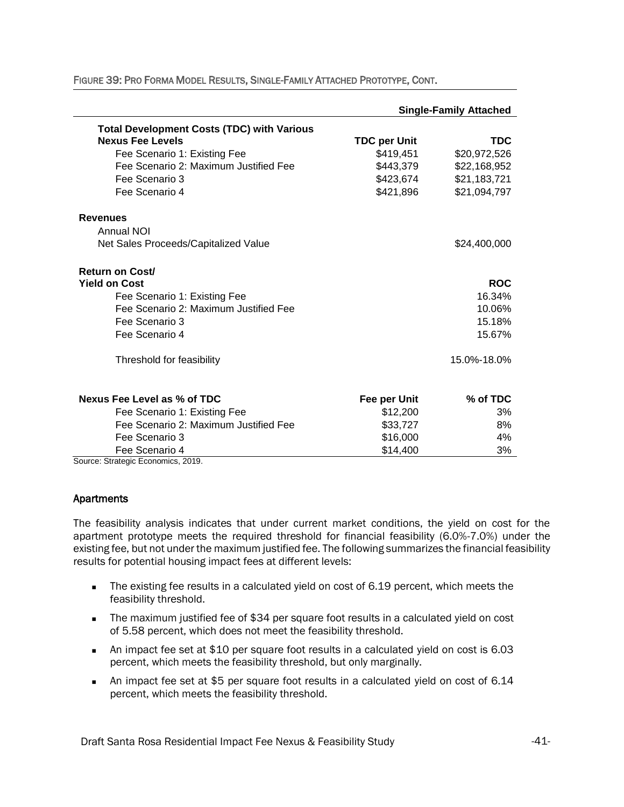|                                                     | <b>Single-Family Attached</b> |              |  |
|-----------------------------------------------------|-------------------------------|--------------|--|
| <b>Total Development Costs (TDC) with Various</b>   |                               |              |  |
| <b>Nexus Fee Levels</b>                             | <b>TDC per Unit</b>           | <b>TDC</b>   |  |
| Fee Scenario 1: Existing Fee                        | \$419,451                     | \$20,972,526 |  |
| Fee Scenario 2: Maximum Justified Fee               | \$443,379                     | \$22,168,952 |  |
| Fee Scenario 3                                      | \$423,674                     | \$21,183,721 |  |
| Fee Scenario 4                                      | \$421,896                     | \$21,094,797 |  |
| <b>Revenues</b>                                     |                               |              |  |
| <b>Annual NOI</b>                                   |                               |              |  |
| Net Sales Proceeds/Capitalized Value                |                               | \$24,400,000 |  |
| <b>Return on Cost/</b>                              |                               |              |  |
| <b>Yield on Cost</b>                                |                               | <b>ROC</b>   |  |
| Fee Scenario 1: Existing Fee                        |                               | 16.34%       |  |
| Fee Scenario 2: Maximum Justified Fee               |                               | 10.06%       |  |
| Fee Scenario 3                                      |                               | 15.18%       |  |
| Fee Scenario 4                                      |                               | 15.67%       |  |
| Threshold for feasibility                           |                               | 15.0%-18.0%  |  |
| Nexus Fee Level as % of TDC                         | Fee per Unit                  | % of TDC     |  |
| Fee Scenario 1: Existing Fee                        | \$12,200                      | 3%           |  |
| Fee Scenario 2: Maximum Justified Fee               | \$33,727                      | 8%           |  |
| Fee Scenario 3                                      | \$16,000                      | 4%           |  |
| Fee Scenario 4<br>Source: Strategic Economics, 2019 | \$14,400                      | 3%           |  |

FIGURE 39: PRO FORMA MODEL RESULTS, SINGLE-FAMILY ATTACHED PROTOTYPE, CONT.

Source: Strategic Economics, 2019.

#### Apartments

The feasibility analysis indicates that under current market conditions, the yield on cost for the apartment prototype meets the required threshold for financial feasibility (6.0%-7.0%) under the existing fee, but not under the maximum justified fee. The following summarizes the financial feasibility results for potential housing impact fees at different levels:

- The existing fee results in a calculated yield on cost of 6.19 percent, which meets the feasibility threshold.
- The maximum justified fee of \$34 per square foot results in a calculated yield on cost of 5.58 percent, which does not meet the feasibility threshold.
- An impact fee set at \$10 per square foot results in a calculated yield on cost is 6.03 percent, which meets the feasibility threshold, but only marginally.
- An impact fee set at \$5 per square foot results in a calculated yield on cost of 6.14 percent, which meets the feasibility threshold.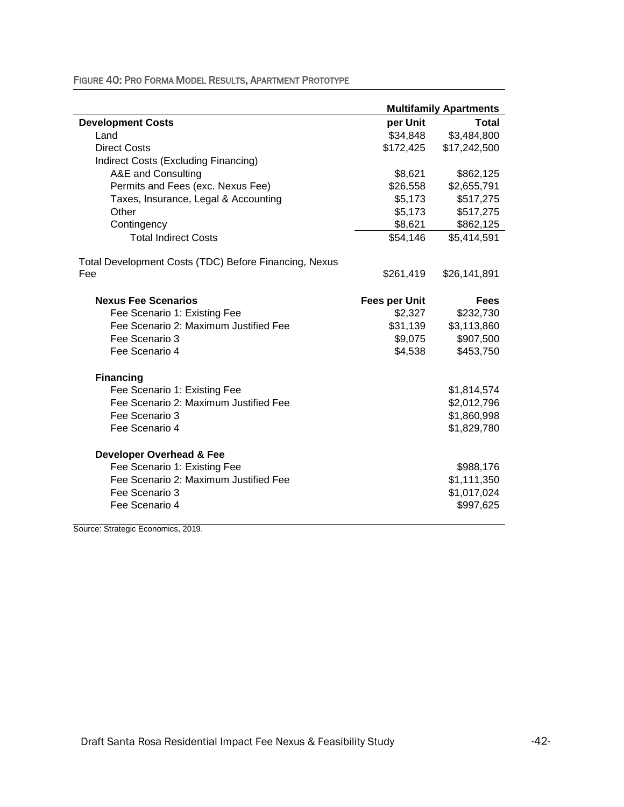|                                                       |                      | <b>Multifamily Apartments</b> |
|-------------------------------------------------------|----------------------|-------------------------------|
| <b>Development Costs</b>                              | per Unit             | Total                         |
| Land                                                  | \$34,848             | \$3,484,800                   |
| <b>Direct Costs</b>                                   | \$172,425            | \$17,242,500                  |
| Indirect Costs (Excluding Financing)                  |                      |                               |
| A&E and Consulting                                    | \$8,621              | \$862,125                     |
| Permits and Fees (exc. Nexus Fee)                     | \$26,558             | \$2,655,791                   |
| Taxes, Insurance, Legal & Accounting                  | \$5,173              | \$517,275                     |
| Other                                                 | \$5,173              | \$517,275                     |
| Contingency                                           | \$8,621              | \$862,125                     |
| <b>Total Indirect Costs</b>                           | \$54,146             | \$5,414,591                   |
| Total Development Costs (TDC) Before Financing, Nexus |                      |                               |
| Fee                                                   | \$261,419            | \$26,141,891                  |
| <b>Nexus Fee Scenarios</b>                            | <b>Fees per Unit</b> | <b>Fees</b>                   |
| Fee Scenario 1: Existing Fee                          | \$2,327              | \$232,730                     |
| Fee Scenario 2: Maximum Justified Fee                 | \$31,139             | \$3,113,860                   |
| Fee Scenario 3                                        | \$9,075              | \$907,500                     |
| Fee Scenario 4                                        | \$4,538              | \$453,750                     |
| <b>Financing</b>                                      |                      |                               |
| Fee Scenario 1: Existing Fee                          |                      | \$1,814,574                   |
| Fee Scenario 2: Maximum Justified Fee                 |                      | \$2,012,796                   |
| Fee Scenario 3                                        |                      | \$1,860,998                   |
| Fee Scenario 4                                        |                      | \$1,829,780                   |
| <b>Developer Overhead &amp; Fee</b>                   |                      |                               |
| Fee Scenario 1: Existing Fee                          |                      | \$988,176                     |
| Fee Scenario 2: Maximum Justified Fee                 |                      | \$1,111,350                   |
| Fee Scenario 3                                        |                      | \$1,017,024                   |
| Fee Scenario 4                                        |                      | \$997,625                     |

FIGURE 40: PRO FORMA MODEL RESULTS, APARTMENT PROTOTYPE

Source: Strategic Economics, 2019.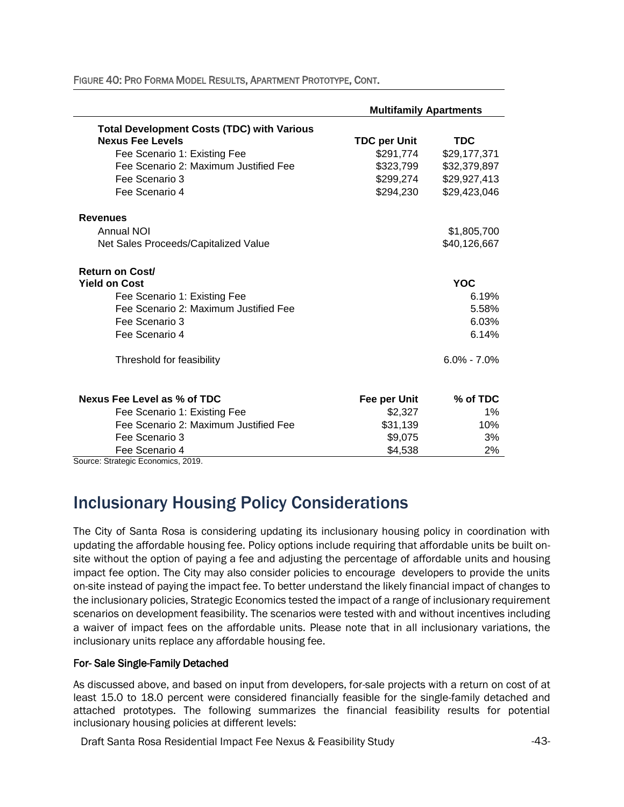|                                                   | <b>Multifamily Apartments</b> |                 |
|---------------------------------------------------|-------------------------------|-----------------|
| <b>Total Development Costs (TDC) with Various</b> |                               |                 |
| <b>Nexus Fee Levels</b>                           | <b>TDC per Unit</b>           | <b>TDC</b>      |
| Fee Scenario 1: Existing Fee                      | \$291,774                     | \$29,177,371    |
| Fee Scenario 2: Maximum Justified Fee             | \$323,799                     | \$32,379,897    |
| Fee Scenario 3                                    | \$299,274                     | \$29,927,413    |
| Fee Scenario 4                                    | \$294,230                     | \$29,423,046    |
| <b>Revenues</b>                                   |                               |                 |
| Annual NOI                                        |                               | \$1,805,700     |
| Net Sales Proceeds/Capitalized Value              |                               | \$40,126,667    |
| <b>Return on Cost/</b>                            |                               |                 |
| <b>Yield on Cost</b>                              |                               | <b>YOC</b>      |
| Fee Scenario 1: Existing Fee                      |                               | 6.19%           |
| Fee Scenario 2: Maximum Justified Fee             |                               | 5.58%           |
| Fee Scenario 3                                    |                               | 6.03%           |
| Fee Scenario 4                                    |                               | 6.14%           |
| Threshold for feasibility                         |                               | $6.0\% - 7.0\%$ |
| Nexus Fee Level as % of TDC                       | Fee per Unit                  | % of TDC        |
| Fee Scenario 1: Existing Fee                      | \$2,327                       | 1%              |
| Fee Scenario 2: Maximum Justified Fee             | \$31,139                      | 10%             |
| Fee Scenario 3                                    | \$9,075                       | 3%              |
| Fee Scenario 4<br>Course Christia Essession 0010  | \$4,538                       | 2%              |

FIGURE 40: PRO FORMA MODEL RESULTS, APARTMENT PROTOTYPE, CONT.

Source: Strategic Economics, 2019.

### Inclusionary Housing Policy Considerations

The City of Santa Rosa is considering updating its inclusionary housing policy in coordination with updating the affordable housing fee. Policy options include requiring that affordable units be built onsite without the option of paying a fee and adjusting the percentage of affordable units and housing impact fee option. The City may also consider policies to encourage developers to provide the units on-site instead of paying the impact fee. To better understand the likely financial impact of changes to the inclusionary policies, Strategic Economics tested the impact of a range of inclusionary requirement scenarios on development feasibility. The scenarios were tested with and without incentives including a waiver of impact fees on the affordable units. Please note that in all inclusionary variations, the inclusionary units replace any affordable housing fee.

#### For- Sale Single-Family Detached

As discussed above, and based on input from developers, for-sale projects with a return on cost of at least 15.0 to 18.0 percent were considered financially feasible for the single-family detached and attached prototypes. The following summarizes the financial feasibility results for potential inclusionary housing policies at different levels: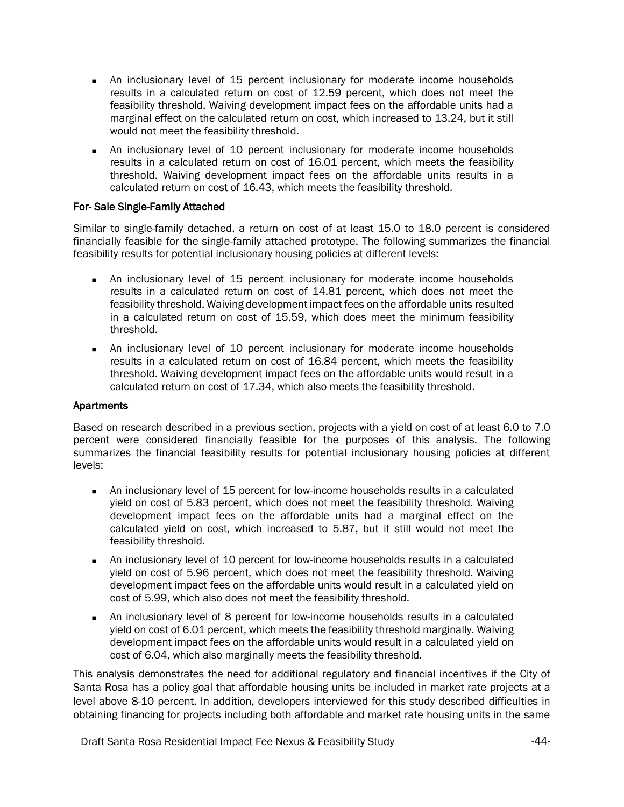- An inclusionary level of 15 percent inclusionary for moderate income households results in a calculated return on cost of 12.59 percent, which does not meet the feasibility threshold. Waiving development impact fees on the affordable units had a marginal effect on the calculated return on cost, which increased to 13.24, but it still would not meet the feasibility threshold.
- An inclusionary level of 10 percent inclusionary for moderate income households results in a calculated return on cost of 16.01 percent, which meets the feasibility threshold. Waiving development impact fees on the affordable units results in a calculated return on cost of 16.43, which meets the feasibility threshold.

#### For- Sale Single-Family Attached

Similar to single-family detached, a return on cost of at least 15.0 to 18.0 percent is considered financially feasible for the single-family attached prototype. The following summarizes the financial feasibility results for potential inclusionary housing policies at different levels:

- <sup>◼</sup> An inclusionary level of 15 percent inclusionary for moderate income households results in a calculated return on cost of 14.81 percent, which does not meet the feasibility threshold. Waiving development impact fees on the affordable units resulted in a calculated return on cost of 15.59, which does meet the minimum feasibility threshold.
- An inclusionary level of 10 percent inclusionary for moderate income households results in a calculated return on cost of 16.84 percent, which meets the feasibility threshold. Waiving development impact fees on the affordable units would result in a calculated return on cost of 17.34, which also meets the feasibility threshold.

#### Apartments

Based on research described in a previous section, projects with a yield on cost of at least 6.0 to 7.0 percent were considered financially feasible for the purposes of this analysis. The following summarizes the financial feasibility results for potential inclusionary housing policies at different levels:

- An inclusionary level of 15 percent for low-income households results in a calculated yield on cost of 5.83 percent, which does not meet the feasibility threshold. Waiving development impact fees on the affordable units had a marginal effect on the calculated yield on cost, which increased to 5.87, but it still would not meet the feasibility threshold.
- An inclusionary level of 10 percent for low-income households results in a calculated yield on cost of 5.96 percent, which does not meet the feasibility threshold. Waiving development impact fees on the affordable units would result in a calculated yield on cost of 5.99, which also does not meet the feasibility threshold.
- An inclusionary level of 8 percent for low-income households results in a calculated yield on cost of 6.01 percent, which meets the feasibility threshold marginally. Waiving development impact fees on the affordable units would result in a calculated yield on cost of 6.04, which also marginally meets the feasibility threshold.

This analysis demonstrates the need for additional regulatory and financial incentives if the City of Santa Rosa has a policy goal that affordable housing units be included in market rate projects at a level above 8-10 percent. In addition, developers interviewed for this study described difficulties in obtaining financing for projects including both affordable and market rate housing units in the same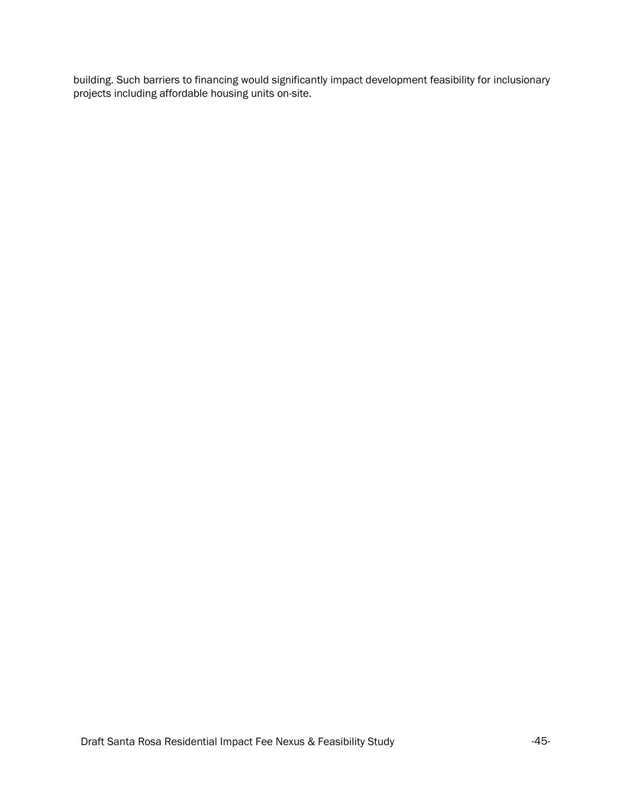building. Such barriers to financing would significantly impact development feasibility for inclusionary projects including affordable housing units on-site.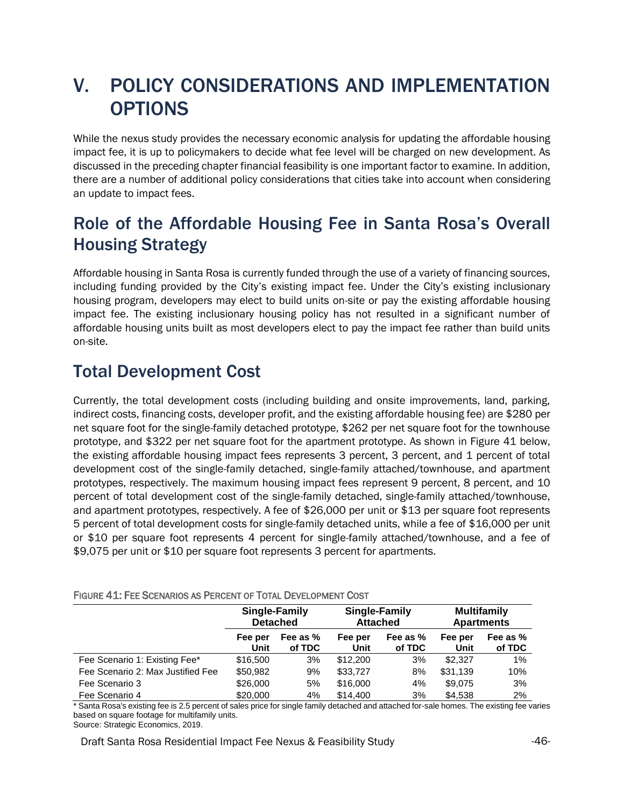## <span id="page-45-0"></span>V. POLICY CONSIDERATIONS AND IMPLEMENTATION OPTIONS

While the nexus study provides the necessary economic analysis for updating the affordable housing impact fee, it is up to policymakers to decide what fee level will be charged on new development. As discussed in the preceding chapter financial feasibility is one important factor to examine. In addition, there are a number of additional policy considerations that cities take into account when considering an update to impact fees.

### <span id="page-45-1"></span>Role of the Affordable Housing Fee in Santa Rosa's Overall Housing Strategy

Affordable housing in Santa Rosa is currently funded through the use of a variety of financing sources, including funding provided by the City's existing impact fee. Under the City's existing inclusionary housing program, developers may elect to build units on-site or pay the existing affordable housing impact fee. The existing inclusionary housing policy has not resulted in a significant number of affordable housing units built as most developers elect to pay the impact fee rather than build units on-site.

### <span id="page-45-2"></span>Total Development Cost

<span id="page-45-3"></span>Currently, the total development costs (including building and onsite improvements, land, parking, indirect costs, financing costs, developer profit, and the existing affordable housing fee) are \$280 per net square foot for the single-family detached prototype, \$262 per net square foot for the townhouse prototype, and \$322 per net square foot for the apartment prototype. As shown in Figure 41 below, the existing affordable housing impact fees represents 3 percent, 3 percent, and 1 percent of total development cost of the single-family detached, single-family attached/townhouse, and apartment prototypes, respectively. The maximum housing impact fees represent 9 percent, 8 percent, and 10 percent of total development cost of the single-family detached, single-family attached/townhouse, and apartment prototypes, respectively. A fee of \$26,000 per unit or \$13 per square foot represents 5 percent of total development costs for single-family detached units, while a fee of \$16,000 per unit or \$10 per square foot represents 4 percent for single-family attached/townhouse, and a fee of \$9,075 per unit or \$10 per square foot represents 3 percent for apartments.

|                                   | Single-Family<br><b>Detached</b> |                    | Single-Family<br><b>Attached</b> |                    | <b>Multifamily</b><br><b>Apartments</b> |                    |
|-----------------------------------|----------------------------------|--------------------|----------------------------------|--------------------|-----------------------------------------|--------------------|
|                                   | Fee per<br>Unit                  | Fee as %<br>of TDC | Fee per<br>Unit                  | Fee as %<br>of TDC | Fee per<br>Unit                         | Fee as %<br>of TDC |
| Fee Scenario 1: Existing Fee*     | \$16,500                         | 3%                 | \$12,200                         | 3%                 | \$2.327                                 | 1%                 |
| Fee Scenario 2: Max Justified Fee | \$50,982                         | 9%                 | \$33,727                         | 8%                 | \$31,139                                | 10%                |
| Fee Scenario 3                    | \$26,000                         | 5%                 | \$16,000                         | 4%                 | \$9,075                                 | 3%                 |
| Fee Scenario 4                    | \$20,000                         | 4%                 | \$14,400                         | 3%                 | \$4,538                                 | 2%                 |

FIGURE 41: FEE SCENARIOS AS PERCENT OF TOTAL DEVELOPMENT COST

\* Santa Rosa's existing fee is 2.5 percent of sales price for single family detached and attached for-sale homes. The existing fee varies based on square footage for multifamily units.

Source: Strategic Economics, 2019.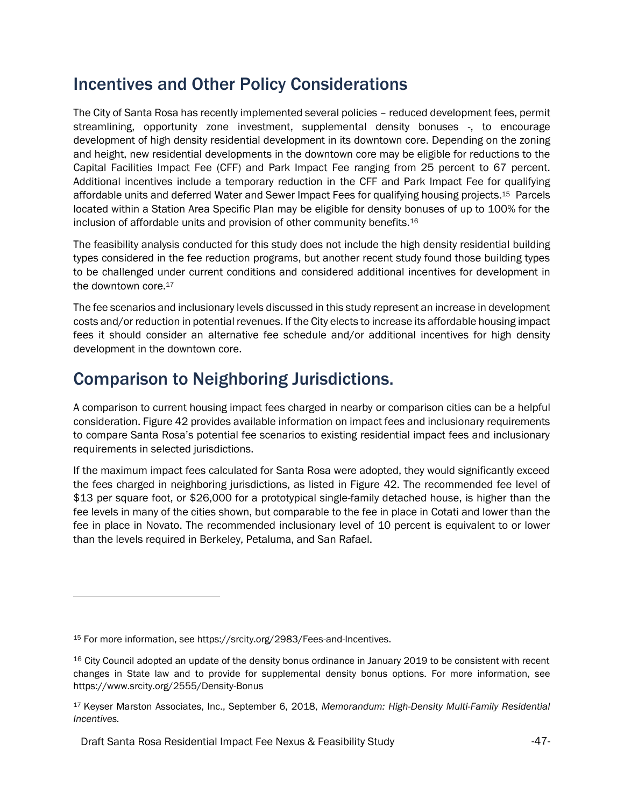### Incentives and Other Policy Considerations

The City of Santa Rosa has recently implemented several policies – reduced development fees, permit streamlining, opportunity zone investment, supplemental density bonuses -, to encourage development of high density residential development in its downtown core. Depending on the zoning and height, new residential developments in the downtown core may be eligible for reductions to the Capital Facilities Impact Fee (CFF) and Park Impact Fee ranging from 25 percent to 67 percent. Additional incentives include a temporary reduction in the CFF and Park Impact Fee for qualifying affordable units and deferred Water and Sewer Impact Fees for qualifying housing projects.15 Parcels located within a Station Area Specific Plan may be eligible for density bonuses of up to 100% for the inclusion of affordable units and provision of other community benefits.<sup>16</sup>

The feasibility analysis conducted for this study does not include the high density residential building types considered in the fee reduction programs, but another recent study found those building types to be challenged under current conditions and considered additional incentives for development in the downtown core.<sup>17</sup>

The fee scenarios and inclusionary levels discussed in this study represent an increase in development costs and/or reduction in potential revenues. If the City elects to increase its affordable housing impact fees it should consider an alternative fee schedule and/or additional incentives for high density development in the downtown core.

### Comparison to Neighboring Jurisdictions.

A comparison to current housing impact fees charged in nearby or comparison cities can be a helpful consideration. Figure 42 provides available information on impact fees and inclusionary requirements to compare Santa Rosa's potential fee scenarios to existing residential impact fees and inclusionary requirements in selected jurisdictions.

If the maximum impact fees calculated for Santa Rosa were adopted, they would significantly exceed the fees charged in neighboring jurisdictions, as listed in Figure 42. The recommended fee level of \$13 per square foot, or \$26,000 for a prototypical single-family detached house, is higher than the fee levels in many of the cities shown, but comparable to the fee in place in Cotati and lower than the fee in place in Novato. The recommended inclusionary level of 10 percent is equivalent to or lower than the levels required in Berkeley, Petaluma, and San Rafael.

<sup>15</sup> For more information, see https://srcity.org/2983/Fees-and-Incentives.

<sup>&</sup>lt;sup>16</sup> City Council adopted an update of the density bonus ordinance in January 2019 to be consistent with recent changes in State law and to provide for supplemental density bonus options. For more information, see <https://www.srcity.org/2555/Density-Bonus>

<sup>17</sup> Keyser Marston Associates, Inc., September 6, 2018, *Memorandum: High-Density Multi-Family Residential Incentives.*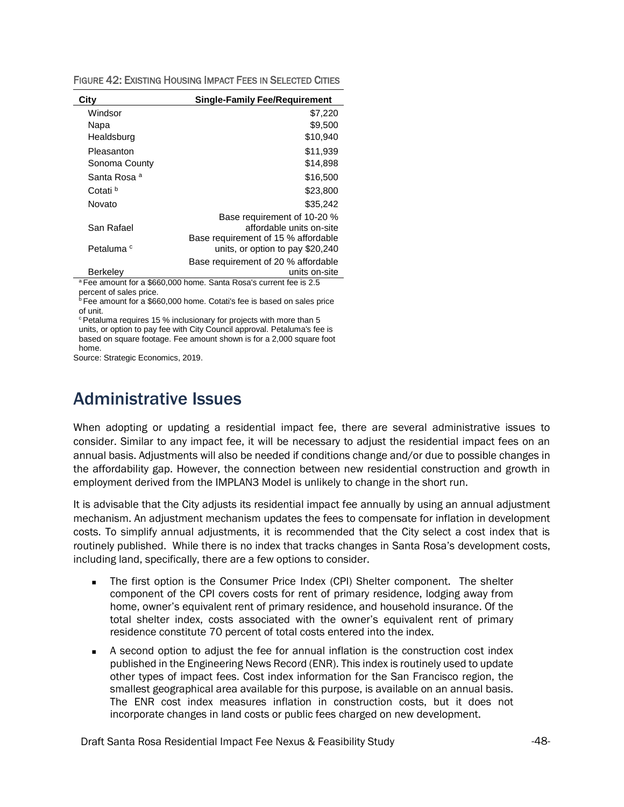FIGURE 42: EXISTING HOUSING IMPACT FEES IN SELECTED CITIES

| City                                  | <b>Single-Family Fee/Requirement</b>                            |
|---------------------------------------|-----------------------------------------------------------------|
| Windsor                               | \$7,220                                                         |
| Napa                                  | \$9,500                                                         |
| Healdsburg                            | \$10,940                                                        |
| Pleasanton                            | \$11,939                                                        |
| Sonoma County                         | \$14,898                                                        |
| Santa Rosa <sup>a</sup>               | \$16,500                                                        |
| Cotati <sup>b</sup>                   | \$23,800                                                        |
| Novato                                | \$35.242                                                        |
|                                       | Base requirement of 10-20 %                                     |
| San Rafael                            | affordable units on-site                                        |
|                                       | Base requirement of 15 % affordable                             |
| Petaluma <sup>c</sup>                 | units, or option to pay \$20,240                                |
|                                       | Base requirement of 20 % affordable                             |
| Berkeley<br>0.000000000<br>$\sim$ $-$ | units on-site<br>$\sim$ $\sim$ $\sim$ $\sim$<br>$\cdot$ $\cdot$ |

<sup>a</sup>Fee amount for a \$660,000 home. Santa Rosa's current fee is 2.5 percent of sales price.

<sup>b</sup> Fee amount for a \$660,000 home. Cotati's fee is based on sales price of unit.

<sup>c</sup> Petaluma requires 15 % inclusionary for projects with more than 5

units, or option to pay fee with City Council approval. Petaluma's fee is based on square footage. Fee amount shown is for a 2,000 square foot home.

Source: Strategic Economics, 2019.

### <span id="page-47-0"></span>Administrative Issues

When adopting or updating a residential impact fee, there are several administrative issues to consider. Similar to any impact fee, it will be necessary to adjust the residential impact fees on an annual basis. Adjustments will also be needed if conditions change and/or due to possible changes in the affordability gap. However, the connection between new residential construction and growth in employment derived from the IMPLAN3 Model is unlikely to change in the short run.

It is advisable that the City adjusts its residential impact fee annually by using an annual adjustment mechanism. An adjustment mechanism updates the fees to compensate for inflation in development costs. To simplify annual adjustments, it is recommended that the City select a cost index that is routinely published. While there is no index that tracks changes in Santa Rosa's development costs, including land, specifically, there are a few options to consider.

- The first option is the Consumer Price Index (CPI) Shelter component. The shelter component of the CPI covers costs for rent of primary residence, lodging away from home, owner's equivalent rent of primary residence, and household insurance. Of the total shelter index, costs associated with the owner's equivalent rent of primary residence constitute 70 percent of total costs entered into the index.
- A second option to adjust the fee for annual inflation is the construction cost index published in the Engineering News Record (ENR). This index is routinely used to update other types of impact fees. Cost index information for the San Francisco region, the smallest geographical area available for this purpose, is available on an annual basis. The ENR cost index measures inflation in construction costs, but it does not incorporate changes in land costs or public fees charged on new development.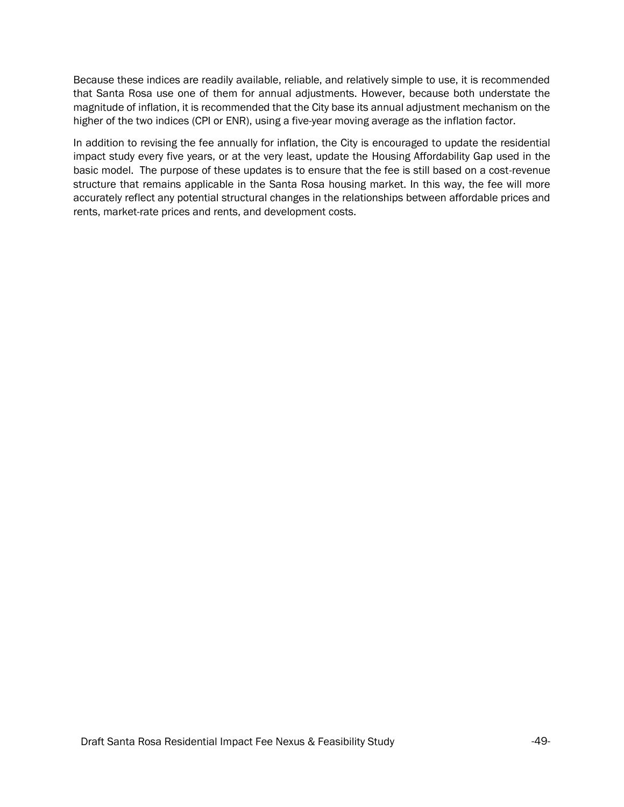Because these indices are readily available, reliable, and relatively simple to use, it is recommended that Santa Rosa use one of them for annual adjustments. However, because both understate the magnitude of inflation, it is recommended that the City base its annual adjustment mechanism on the higher of the two indices (CPI or ENR), using a five-year moving average as the inflation factor.

In addition to revising the fee annually for inflation, the City is encouraged to update the residential impact study every five years, or at the very least, update the Housing Affordability Gap used in the basic model. The purpose of these updates is to ensure that the fee is still based on a cost-revenue structure that remains applicable in the Santa Rosa housing market. In this way, the fee will more accurately reflect any potential structural changes in the relationships between affordable prices and rents, market-rate prices and rents, and development costs.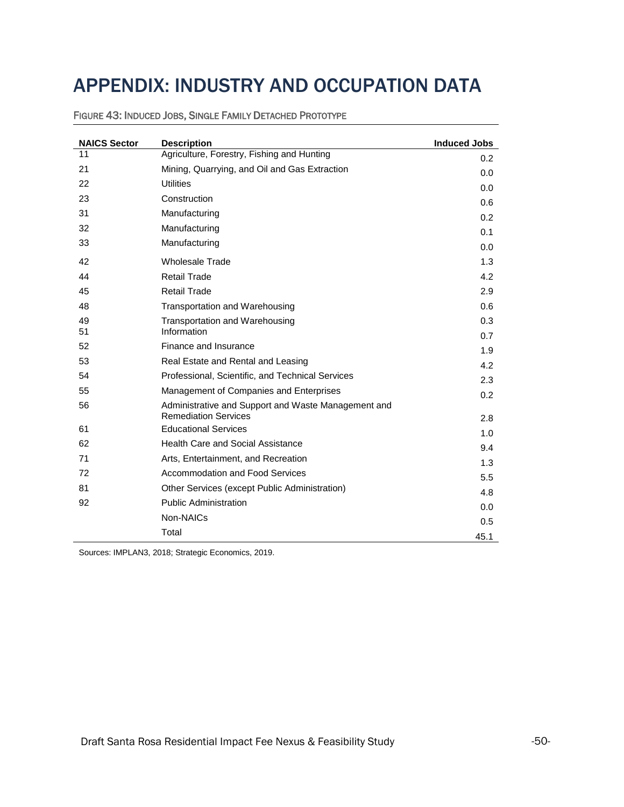# <span id="page-49-0"></span>APPENDIX: INDUSTRY AND OCCUPATION DATA

| <b>NAICS Sector</b> | <b>Description</b>                                                                 | <b>Induced Jobs</b> |
|---------------------|------------------------------------------------------------------------------------|---------------------|
| 11                  | Agriculture, Forestry, Fishing and Hunting                                         | 0.2                 |
| 21                  | Mining, Quarrying, and Oil and Gas Extraction                                      | 0.0                 |
| 22                  | <b>Utilities</b>                                                                   | 0.0                 |
| 23                  | Construction                                                                       | 0.6                 |
| 31                  | Manufacturing                                                                      | 0.2                 |
| 32                  | Manufacturing                                                                      | 0.1                 |
| 33                  | Manufacturing                                                                      | 0.0                 |
| 42                  | <b>Wholesale Trade</b>                                                             | 1.3                 |
| 44                  | <b>Retail Trade</b>                                                                | 4.2                 |
| 45                  | <b>Retail Trade</b>                                                                | 2.9                 |
| 48                  | Transportation and Warehousing                                                     | 0.6                 |
| 49                  | Transportation and Warehousing                                                     | 0.3                 |
| 51                  | Information                                                                        | 0.7                 |
| 52                  | Finance and Insurance                                                              | 1.9                 |
| 53                  | Real Estate and Rental and Leasing                                                 | 4.2                 |
| 54                  | Professional, Scientific, and Technical Services                                   | 2.3                 |
| 55                  | Management of Companies and Enterprises                                            | 0.2                 |
| 56                  | Administrative and Support and Waste Management and<br><b>Remediation Services</b> |                     |
| 61                  | <b>Educational Services</b>                                                        | 2.8                 |
| 62                  | Health Care and Social Assistance                                                  | 1.0                 |
| 71                  | Arts, Entertainment, and Recreation                                                | 9.4                 |
| 72                  | <b>Accommodation and Food Services</b>                                             | 1.3                 |
| 81                  |                                                                                    | 5.5                 |
|                     | Other Services (except Public Administration)                                      | 4.8                 |
| 92                  | <b>Public Administration</b>                                                       | 0.0                 |
|                     | Non-NAICs                                                                          | 0.5                 |
|                     | Total                                                                              | 45.1                |

FIGURE 43: INDUCED JOBS, SINGLE FAMILY DETACHED PROTOTYPE

Sources: IMPLAN3, 2018; Strategic Economics, 2019.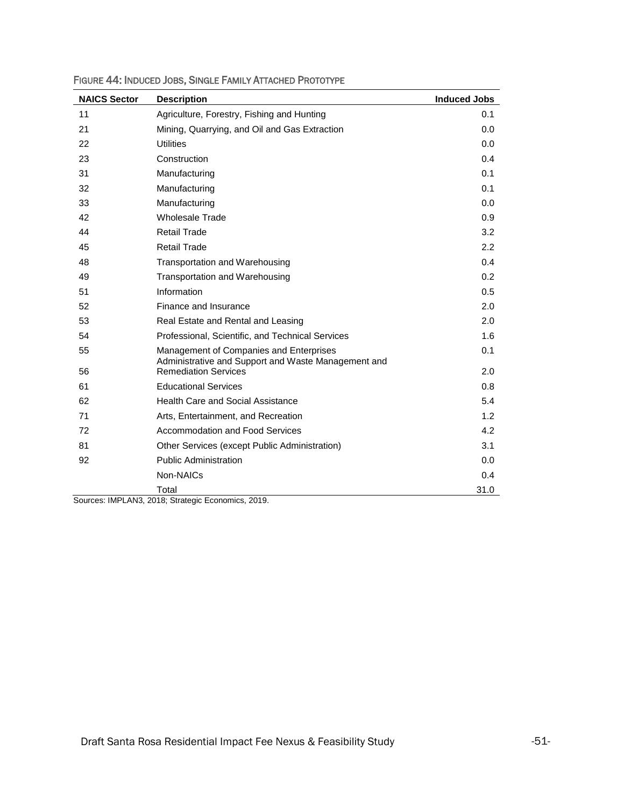| <b>NAICS Sector</b> | <b>Description</b>                                                                             | <b>Induced Jobs</b> |
|---------------------|------------------------------------------------------------------------------------------------|---------------------|
| 11                  | Agriculture, Forestry, Fishing and Hunting                                                     | 0.1                 |
| 21                  | Mining, Quarrying, and Oil and Gas Extraction                                                  | 0.0                 |
| 22                  | <b>Utilities</b>                                                                               | 0.0                 |
| 23                  | Construction                                                                                   | 0.4                 |
| 31                  | Manufacturing                                                                                  | 0.1                 |
| 32                  | Manufacturing                                                                                  | 0.1                 |
| 33                  | Manufacturing                                                                                  | 0.0                 |
| 42                  | <b>Wholesale Trade</b>                                                                         | 0.9                 |
| 44                  | <b>Retail Trade</b>                                                                            | 3.2                 |
| 45                  | <b>Retail Trade</b>                                                                            | 2.2                 |
| 48                  | Transportation and Warehousing                                                                 | 0.4                 |
| 49                  | Transportation and Warehousing                                                                 | 0.2                 |
| 51                  | Information                                                                                    | 0.5                 |
| 52                  | Finance and Insurance                                                                          | 2.0                 |
| 53                  | Real Estate and Rental and Leasing                                                             | 2.0                 |
| 54                  | Professional, Scientific, and Technical Services                                               | 1.6                 |
| 55                  | Management of Companies and Enterprises<br>Administrative and Support and Waste Management and | 0.1                 |
| 56                  | <b>Remediation Services</b>                                                                    | 2.0                 |
| 61                  | <b>Educational Services</b>                                                                    | 0.8                 |
| 62                  | <b>Health Care and Social Assistance</b>                                                       | 5.4                 |
| 71                  | Arts, Entertainment, and Recreation                                                            | 1.2                 |
| 72                  | Accommodation and Food Services                                                                | 4.2                 |
| 81                  | Other Services (except Public Administration)                                                  | 3.1                 |
| 92                  | <b>Public Administration</b>                                                                   | 0.0                 |
|                     | Non-NAICs                                                                                      | 0.4                 |
|                     | Total                                                                                          | 31.0                |

FIGURE 44: INDUCED JOBS, SINGLE FAMILY ATTACHED PROTOTYPE

Sources: IMPLAN3, 2018; Strategic Economics, 2019.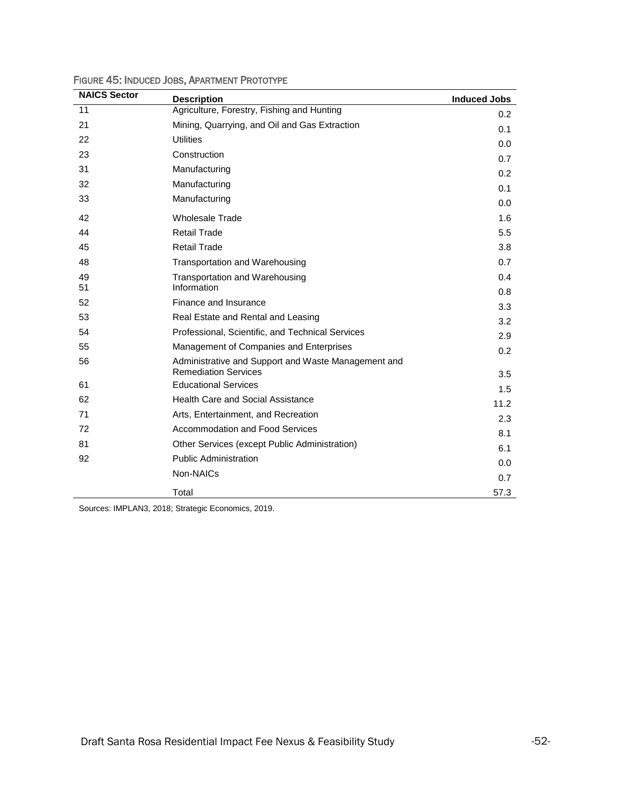| <b>NAICS Sector</b> | <b>Description</b>                                                                 | <b>Induced Jobs</b> |
|---------------------|------------------------------------------------------------------------------------|---------------------|
| 11                  | Agriculture, Forestry, Fishing and Hunting                                         | 0.2                 |
| 21                  | Mining, Quarrying, and Oil and Gas Extraction                                      | 0.1                 |
| 22                  | <b>Utilities</b>                                                                   | 0.0                 |
| 23                  | Construction                                                                       | 0.7                 |
| 31                  | Manufacturing                                                                      | 0.2                 |
| 32                  | Manufacturing                                                                      | 0.1                 |
| 33                  | Manufacturing                                                                      | 0.0                 |
| 42                  | <b>Wholesale Trade</b>                                                             | 1.6                 |
| 44                  | <b>Retail Trade</b>                                                                | 5.5                 |
| 45                  | <b>Retail Trade</b>                                                                | 3.8                 |
| 48                  | Transportation and Warehousing                                                     | 0.7                 |
| 49                  | Transportation and Warehousing                                                     | 0.4                 |
| 51                  | Information                                                                        | 0.8                 |
| 52                  | Finance and Insurance                                                              | 3.3                 |
| 53                  | Real Estate and Rental and Leasing                                                 | 3.2                 |
| 54                  | Professional, Scientific, and Technical Services                                   | 2.9                 |
| 55                  | Management of Companies and Enterprises                                            | 0.2                 |
| 56                  | Administrative and Support and Waste Management and<br><b>Remediation Services</b> |                     |
| 61                  | <b>Educational Services</b>                                                        | 3.5                 |
| 62                  | <b>Health Care and Social Assistance</b>                                           | 1.5                 |
| 71                  | Arts, Entertainment, and Recreation                                                | 11.2                |
| 72                  | Accommodation and Food Services                                                    | 2.3                 |
|                     |                                                                                    | 8.1                 |
| 81                  | Other Services (except Public Administration)                                      | 6.1                 |
| 92                  | <b>Public Administration</b>                                                       | 0.0                 |
|                     | Non-NAICs                                                                          | 0.7                 |
|                     | Total                                                                              | 57.3                |

FIGURE 45: INDUCED JOBS, APARTMENT PROTOTYPE

Sources: IMPLAN3, 2018; Strategic Economics, 2019.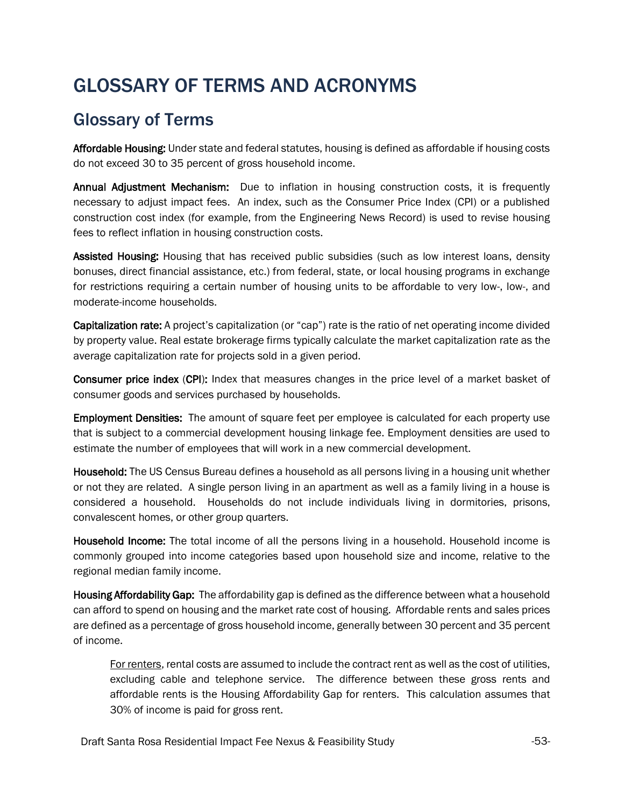# GLOSSARY OF TERMS AND ACRONYMS

### Glossary of Terms

Affordable Housing: Under state and federal statutes, housing is defined as affordable if housing costs do not exceed 30 to 35 percent of gross household income.

Annual Adjustment Mechanism: Due to inflation in housing construction costs, it is frequently necessary to adjust impact fees. An index, such as the Consumer Price Index (CPI) or a published construction cost index (for example, from the Engineering News Record) is used to revise housing fees to reflect inflation in housing construction costs.

Assisted Housing: Housing that has received public subsidies (such as low interest loans, density bonuses, direct financial assistance, etc.) from federal, state, or local housing programs in exchange for restrictions requiring a certain number of housing units to be affordable to very low-, low-, and moderate-income households.

Capitalization rate: A project's capitalization (or "cap") rate is the ratio of net operating income divided by property value. Real estate brokerage firms typically calculate the market capitalization rate as the average capitalization rate for projects sold in a given period.

Consumer price index (CPI): Index that measures changes in the price level of a market basket of consumer goods and services purchased by households.

Employment Densities: The amount of square feet per employee is calculated for each property use that is subject to a commercial development housing linkage fee. Employment densities are used to estimate the number of employees that will work in a new commercial development.

Household: The US Census Bureau defines a household as all persons living in a housing unit whether or not they are related. A single person living in an apartment as well as a family living in a house is considered a household. Households do not include individuals living in dormitories, prisons, convalescent homes, or other group quarters.

Household Income: The total income of all the persons living in a household. Household income is commonly grouped into income categories based upon household size and income, relative to the regional median family income.

Housing Affordability Gap: The affordability gap is defined as the difference between what a household can afford to spend on housing and the market rate cost of housing. Affordable rents and sales prices are defined as a percentage of gross household income, generally between 30 percent and 35 percent of income.

For renters, rental costs are assumed to include the contract rent as well as the cost of utilities, excluding cable and telephone service. The difference between these gross rents and affordable rents is the Housing Affordability Gap for renters. This calculation assumes that 30% of income is paid for gross rent.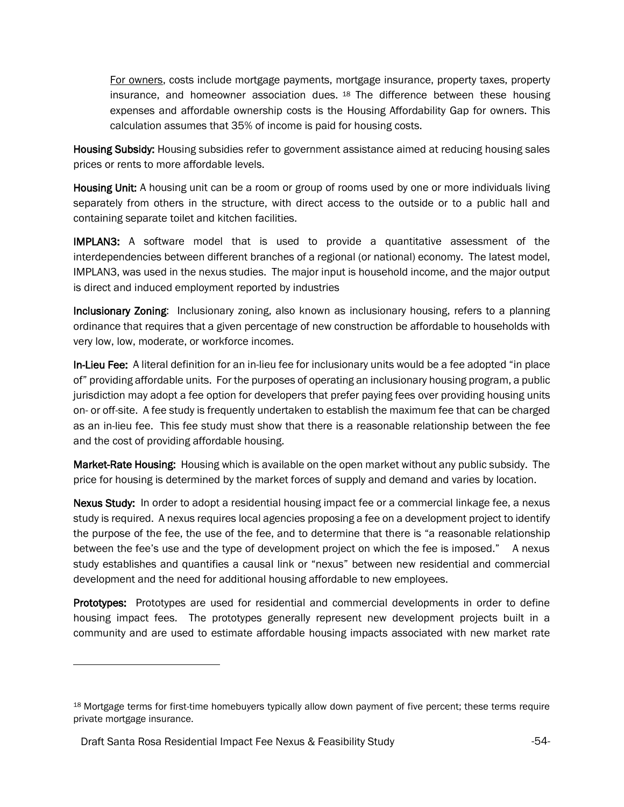For owners, costs include mortgage payments, mortgage insurance, property taxes, property insurance, and homeowner association dues.  $18$  The difference between these housing expenses and affordable ownership costs is the Housing Affordability Gap for owners. This calculation assumes that 35% of income is paid for housing costs.

Housing Subsidy: Housing subsidies refer to government assistance aimed at reducing housing sales prices or rents to more affordable levels.

Housing Unit: A housing unit can be a room or group of rooms used by one or more individuals living separately from others in the structure, with direct access to the outside or to a public hall and containing separate toilet and kitchen facilities.

IMPLAN3: A software model that is used to provide a quantitative assessment of the interdependencies between different branches of a regional (or national) economy. The latest model, IMPLAN3, was used in the nexus studies. The major input is household income, and the major output is direct and induced employment reported by industries

Inclusionary Zoning: Inclusionary zoning, also known as inclusionary housing, refers to a planning ordinance that requires that a given percentage of new construction be affordable to households with very low, low, moderate, or workforce incomes.

In-Lieu Fee: A literal definition for an in-lieu fee for inclusionary units would be a fee adopted "in place of" providing affordable units. For the purposes of operating an inclusionary housing program, a public jurisdiction may adopt a fee option for developers that prefer paying fees over providing housing units on- or off-site. A fee study is frequently undertaken to establish the maximum fee that can be charged as an in-lieu fee. This fee study must show that there is a reasonable relationship between the fee and the cost of providing affordable housing.

Market-Rate Housing: Housing which is available on the open market without any public subsidy. The price for housing is determined by the market forces of supply and demand and varies by location.

Nexus Study: In order to adopt a residential housing impact fee or a commercial linkage fee, a nexus study is required. A nexus requires local agencies proposing a fee on a development project to identify the purpose of the fee, the use of the fee, and to determine that there is "a reasonable relationship between the fee's use and the type of development project on which the fee is imposed." A nexus study establishes and quantifies a causal link or "nexus" between new residential and commercial development and the need for additional housing affordable to new employees.

Prototypes: Prototypes are used for residential and commercial developments in order to define housing impact fees. The prototypes generally represent new development projects built in a community and are used to estimate affordable housing impacts associated with new market rate

 $\overline{a}$ 

<sup>18</sup> Mortgage terms for first-time homebuyers typically allow down payment of five percent; these terms require private mortgage insurance.

Draft Santa Rosa Residential Impact Fee Nexus & Feasibility Study